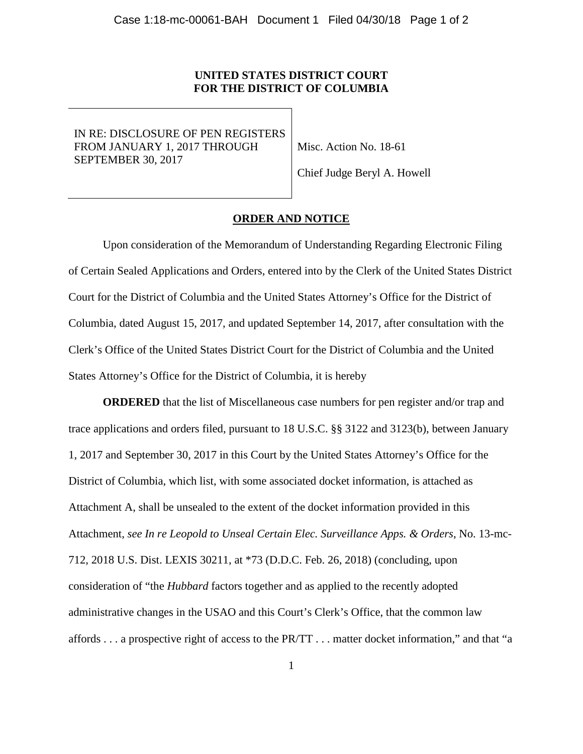## **UNITED STATES DISTRICT COURT FOR THE DISTRICT OF COLUMBIA**

IN RE: DISCLOSURE OF PEN REGISTERS FROM JANUARY 1, 2017 THROUGH SEPTEMBER 30, 2017

Misc. Action No. 18-61

Chief Judge Beryl A. Howell

#### **ORDER AND NOTICE**

Upon consideration of the Memorandum of Understanding Regarding Electronic Filing of Certain Sealed Applications and Orders, entered into by the Clerk of the United States District Court for the District of Columbia and the United States Attorney's Office for the District of Columbia, dated August 15, 2017, and updated September 14, 2017, after consultation with the Clerk's Office of the United States District Court for the District of Columbia and the United States Attorney's Office for the District of Columbia, it is hereby

**ORDERED** that the list of Miscellaneous case numbers for pen register and/or trap and trace applications and orders filed, pursuant to 18 U.S.C. §§ 3122 and 3123(b), between January 1, 2017 and September 30, 2017 in this Court by the United States Attorney's Office for the District of Columbia, which list, with some associated docket information, is attached as Attachment A, shall be unsealed to the extent of the docket information provided in this Attachment, *see In re Leopold to Unseal Certain Elec. Surveillance Apps. & Orders*, No. 13-mc-712, 2018 U.S. Dist. LEXIS 30211, at \*73 (D.D.C. Feb. 26, 2018) (concluding, upon consideration of "the *Hubbard* factors together and as applied to the recently adopted administrative changes in the USAO and this Court's Clerk's Office, that the common law affords . . . a prospective right of access to the PR/TT . . . matter docket information," and that "a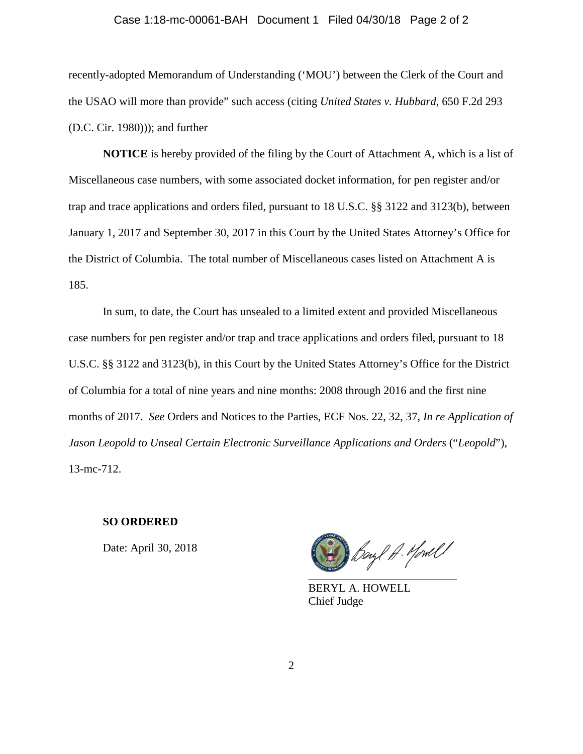## Case 1:18-mc-00061-BAH Document 1 Filed 04/30/18 Page 2 of 2

recently-adopted Memorandum of Understanding ('MOU') between the Clerk of the Court and the USAO will more than provide" such access (citing *United States v. Hubbard*, 650 F.2d 293 (D.C. Cir. 1980))); and further

**NOTICE** is hereby provided of the filing by the Court of Attachment A, which is a list of Miscellaneous case numbers, with some associated docket information, for pen register and/or trap and trace applications and orders filed, pursuant to 18 U.S.C. §§ 3122 and 3123(b), between January 1, 2017 and September 30, 2017 in this Court by the United States Attorney's Office for the District of Columbia. The total number of Miscellaneous cases listed on Attachment A is 185.

In sum, to date, the Court has unsealed to a limited extent and provided Miscellaneous case numbers for pen register and/or trap and trace applications and orders filed, pursuant to 18 U.S.C. §§ 3122 and 3123(b), in this Court by the United States Attorney's Office for the District of Columbia for a total of nine years and nine months: 2008 through 2016 and the first nine months of 2017. *See* Orders and Notices to the Parties, ECF Nos. 22, 32, 37, *In re Application of Jason Leopold to Unseal Certain Electronic Surveillance Applications and Orders* ("*Leopold*"), 13-mc-712.

#### **SO ORDERED**

Date: April 30, 2018

Beyl A. Mowell  $\overline{\phantom{a}}$  ,  $\overline{\phantom{a}}$  ,  $\overline{\phantom{a}}$  ,  $\overline{\phantom{a}}$  ,  $\overline{\phantom{a}}$  ,  $\overline{\phantom{a}}$  ,  $\overline{\phantom{a}}$  ,  $\overline{\phantom{a}}$  ,  $\overline{\phantom{a}}$  ,  $\overline{\phantom{a}}$  ,  $\overline{\phantom{a}}$  ,  $\overline{\phantom{a}}$  ,  $\overline{\phantom{a}}$  ,  $\overline{\phantom{a}}$  ,  $\overline{\phantom{a}}$  ,  $\overline{\phantom{a}}$ 

BERYL A. HOWELL Chief Judge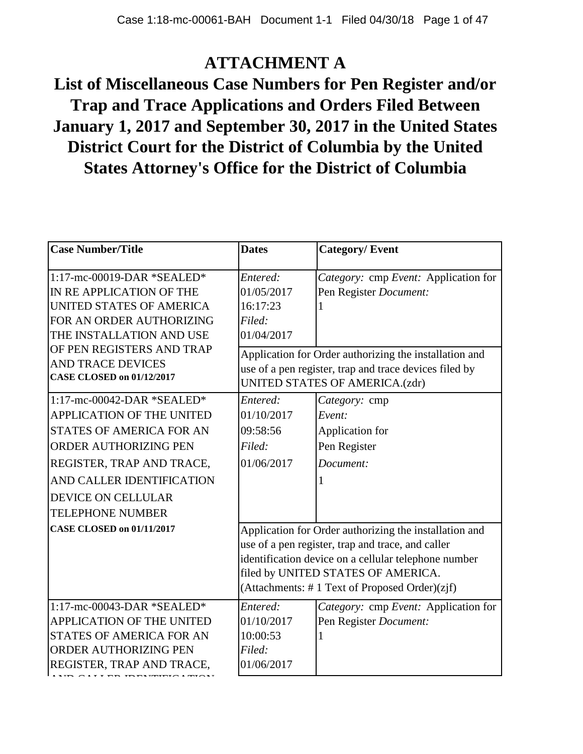## **ATTACHMENT A**

# **List of Miscellaneous Case Numbers for Pen Register and/or Trap and Trace Applications and Orders Filed Between January 1, 2017 and September 30, 2017 in the United States District Court for the District of Columbia by the United States Attorney's Office for the District of Columbia**

| <b>Case Number/Title</b>         | <b>Dates</b>                                         | <b>Category/Event</b>                                  |
|----------------------------------|------------------------------------------------------|--------------------------------------------------------|
| 1:17-mc-00019-DAR *SEALED*       | Entered:                                             | Category: cmp Event: Application for                   |
| IN RE APPLICATION OF THE         | 01/05/2017                                           | Pen Register Document:                                 |
| UNITED STATES OF AMERICA         | 16:17:23                                             |                                                        |
| FOR AN ORDER AUTHORIZING         | Filed:                                               |                                                        |
| THE INSTALLATION AND USE         | 01/04/2017                                           |                                                        |
| OF PEN REGISTERS AND TRAP        |                                                      | Application for Order authorizing the installation and |
| <b>AND TRACE DEVICES</b>         |                                                      | use of a pen register, trap and trace devices filed by |
| <b>CASE CLOSED on 01/12/2017</b> |                                                      | <b>UNITED STATES OF AMERICA.(zdr)</b>                  |
| 1:17-mc-00042-DAR *SEALED*       | Entered:                                             | Category: cmp                                          |
| <b>APPLICATION OF THE UNITED</b> | 01/10/2017                                           | Event:                                                 |
| STATES OF AMERICA FOR AN         | 09:58:56                                             | Application for                                        |
| ORDER AUTHORIZING PEN            | Filed:                                               | Pen Register                                           |
| REGISTER, TRAP AND TRACE,        | 01/06/2017                                           | Document:                                              |
| AND CALLER IDENTIFICATION        |                                                      |                                                        |
| <b>DEVICE ON CELLULAR</b>        |                                                      |                                                        |
| <b>TELEPHONE NUMBER</b>          |                                                      |                                                        |
| <b>CASE CLOSED on 01/11/2017</b> |                                                      | Application for Order authorizing the installation and |
|                                  |                                                      | use of a pen register, trap and trace, and caller      |
|                                  | identification device on a cellular telephone number |                                                        |
|                                  |                                                      | filed by UNITED STATES OF AMERICA.                     |
|                                  |                                                      | (Attachments: #1 Text of Proposed Order)(zjf)          |
| $1:17$ -mc-00043-DAR *SEALED*    | Entered:                                             | Category: cmp Event: Application for                   |
| APPLICATION OF THE UNITED        | 01/10/2017                                           | Pen Register Document:                                 |
| <b>STATES OF AMERICA FOR AN</b>  | 10:00:53                                             |                                                        |
| <b>ORDER AUTHORIZING PEN</b>     | Filed:                                               |                                                        |
| REGISTER, TRAP AND TRACE,        | 01/06/2017                                           |                                                        |
|                                  |                                                      |                                                        |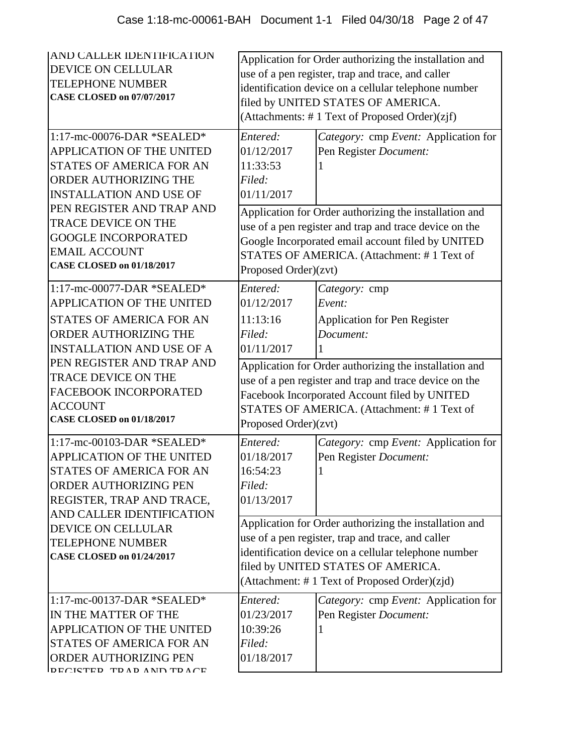| AND CALLER IDENTIFICATION<br>DEVICE ON CELLULAR<br><b>TELEPHONE NUMBER</b><br><b>CASE CLOSED on 07/07/2017</b><br>1:17-mc-00076-DAR *SEALED*<br>APPLICATION OF THE UNITED<br>STATES OF AMERICA FOR AN<br>ORDER AUTHORIZING THE<br><b>INSTALLATION AND USE OF</b> | Entered:<br>01/12/2017<br>11:33:53<br>Filed:<br>01/11/2017                                                                                                                                                                                  | Application for Order authorizing the installation and<br>use of a pen register, trap and trace, and caller<br>identification device on a cellular telephone number<br>filed by UNITED STATES OF AMERICA.<br>(Attachments: #1 Text of Proposed Order)(zjf)<br>Category: cmp Event: Application for<br>Pen Register Document: |  |
|------------------------------------------------------------------------------------------------------------------------------------------------------------------------------------------------------------------------------------------------------------------|---------------------------------------------------------------------------------------------------------------------------------------------------------------------------------------------------------------------------------------------|------------------------------------------------------------------------------------------------------------------------------------------------------------------------------------------------------------------------------------------------------------------------------------------------------------------------------|--|
| PEN REGISTER AND TRAP AND<br>TRACE DEVICE ON THE<br><b>GOOGLE INCORPORATED</b><br><b>EMAIL ACCOUNT</b><br><b>CASE CLOSED on 01/18/2017</b>                                                                                                                       | Application for Order authorizing the installation and<br>use of a pen register and trap and trace device on the<br>Google Incorporated email account filed by UNITED<br>STATES OF AMERICA. (Attachment: #1 Text of<br>Proposed Order)(zvt) |                                                                                                                                                                                                                                                                                                                              |  |
| 1:17-mc-00077-DAR *SEALED*<br><b>APPLICATION OF THE UNITED</b><br><b>STATES OF AMERICA FOR AN</b><br>ORDER AUTHORIZING THE<br><b>INSTALLATION AND USE OF A</b>                                                                                                   | Entered:<br>01/12/2017<br>11:13:16<br>Filed:<br>01/11/2017                                                                                                                                                                                  | Category: cmp<br>Event:<br><b>Application for Pen Register</b><br>Document:                                                                                                                                                                                                                                                  |  |
| PEN REGISTER AND TRAP AND<br>TRACE DEVICE ON THE<br>FACEBOOK INCORPORATED<br><b>ACCOUNT</b><br><b>CASE CLOSED on 01/18/2017</b>                                                                                                                                  | Application for Order authorizing the installation and<br>use of a pen register and trap and trace device on the<br>Facebook Incorporated Account filed by UNITED<br>STATES OF AMERICA. (Attachment: #1 Text of<br>Proposed Order)(zvt)     |                                                                                                                                                                                                                                                                                                                              |  |
| $1:17$ -mc-00103-DAR *SEALED*<br><b>APPLICATION OF THE UNITED</b><br>STATES OF AMERICA FOR AN<br><b>ORDER AUTHORIZING PEN</b><br>REGISTER, TRAP AND TRACE,<br>AND CALLER IDENTIFICATION                                                                          | Entered:<br>01/18/2017<br>16:54:23<br>Filed:<br>01/13/2017                                                                                                                                                                                  | Category: cmp Event: Application for<br>Pen Register Document:                                                                                                                                                                                                                                                               |  |
| <b>DEVICE ON CELLULAR</b><br><b>TELEPHONE NUMBER</b><br><b>CASE CLOSED on 01/24/2017</b>                                                                                                                                                                         |                                                                                                                                                                                                                                             | Application for Order authorizing the installation and<br>use of a pen register, trap and trace, and caller<br>identification device on a cellular telephone number<br>filed by UNITED STATES OF AMERICA.<br>(Attachment: #1 Text of Proposed Order)(zjd)                                                                    |  |
| 1:17-mc-00137-DAR *SEALED*<br>IN THE MATTER OF THE<br>APPLICATION OF THE UNITED<br>STATES OF AMERICA FOR AN<br>ORDER AUTHORIZING PEN<br>DECITED TD AD AND TD ACE                                                                                                 | Entered:<br>01/23/2017<br>10:39:26<br>Filed:<br>01/18/2017                                                                                                                                                                                  | Category: cmp Event: Application for<br>Pen Register Document:                                                                                                                                                                                                                                                               |  |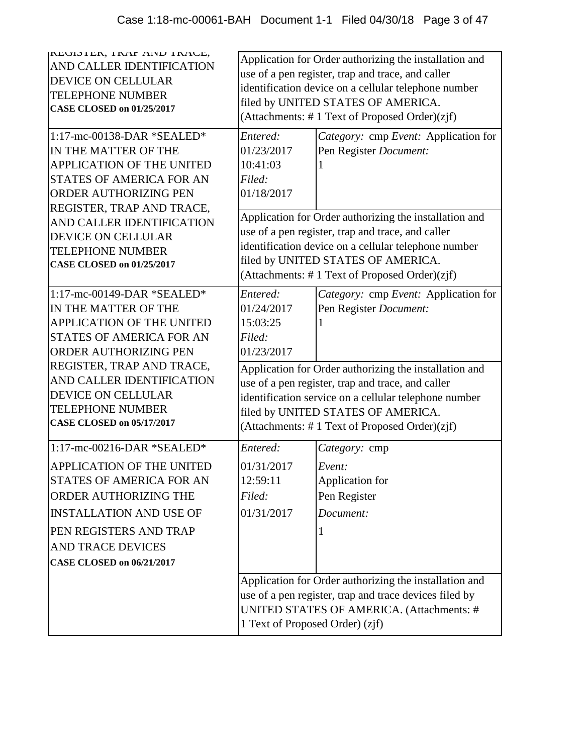| REUIDIER, IRAF AIND IRAUE,<br>AND CALLER IDENTIFICATION<br>DEVICE ON CELLULAR<br><b>TELEPHONE NUMBER</b><br><b>CASE CLOSED on 01/25/2017</b>                                                                                             | Application for Order authorizing the installation and<br>use of a pen register, trap and trace, and caller<br>identification device on a cellular telephone number<br>filed by UNITED STATES OF AMERICA.<br>(Attachments: #1 Text of Proposed Order)(zjf)  |                                                                                                                                                                                                  |  |
|------------------------------------------------------------------------------------------------------------------------------------------------------------------------------------------------------------------------------------------|-------------------------------------------------------------------------------------------------------------------------------------------------------------------------------------------------------------------------------------------------------------|--------------------------------------------------------------------------------------------------------------------------------------------------------------------------------------------------|--|
| 1:17-mc-00138-DAR *SEALED*<br>IN THE MATTER OF THE<br><b>APPLICATION OF THE UNITED</b><br>STATES OF AMERICA FOR AN<br><b>ORDER AUTHORIZING PEN</b>                                                                                       | Entered:<br>01/23/2017<br>10:41:03<br>Filed:<br>01/18/2017                                                                                                                                                                                                  | Category: cmp Event: Application for<br>Pen Register Document:                                                                                                                                   |  |
| REGISTER, TRAP AND TRACE,<br>AND CALLER IDENTIFICATION<br><b>DEVICE ON CELLULAR</b><br><b>TELEPHONE NUMBER</b><br><b>CASE CLOSED on 01/25/2017</b>                                                                                       | Application for Order authorizing the installation and<br>use of a pen register, trap and trace, and caller<br>identification device on a cellular telephone number<br>filed by UNITED STATES OF AMERICA.<br>(Attachments: #1 Text of Proposed Order)(zjf)  |                                                                                                                                                                                                  |  |
| 1:17-mc-00149-DAR *SEALED*<br>IN THE MATTER OF THE<br><b>APPLICATION OF THE UNITED</b><br>STATES OF AMERICA FOR AN<br><b>ORDER AUTHORIZING PEN</b>                                                                                       | Entered:<br>01/24/2017<br>15:03:25<br>Filed:<br>01/23/2017                                                                                                                                                                                                  | Category: cmp Event: Application for<br>Pen Register Document:                                                                                                                                   |  |
| REGISTER, TRAP AND TRACE,<br>AND CALLER IDENTIFICATION<br><b>DEVICE ON CELLULAR</b><br><b>TELEPHONE NUMBER</b><br><b>CASE CLOSED on 05/17/2017</b>                                                                                       | Application for Order authorizing the installation and<br>use of a pen register, trap and trace, and caller<br>identification service on a cellular telephone number<br>filed by UNITED STATES OF AMERICA.<br>(Attachments: #1 Text of Proposed Order)(zjf) |                                                                                                                                                                                                  |  |
| 1:17-mc-00216-DAR *SEALED*<br>APPLICATION OF THE UNITED<br>STATES OF AMERICA FOR AN<br>ORDER AUTHORIZING THE<br><b>INSTALLATION AND USE OF</b><br>PEN REGISTERS AND TRAP<br><b>AND TRACE DEVICES</b><br><b>CASE CLOSED on 06/21/2017</b> | Entered:<br>01/31/2017<br>12:59:11<br>Filed:<br>01/31/2017                                                                                                                                                                                                  | Category: cmp<br>Event:<br>Application for<br>Pen Register<br>Document:                                                                                                                          |  |
|                                                                                                                                                                                                                                          |                                                                                                                                                                                                                                                             | Application for Order authorizing the installation and<br>use of a pen register, trap and trace devices filed by<br>UNITED STATES OF AMERICA. (Attachments: #<br>1 Text of Proposed Order) (zjf) |  |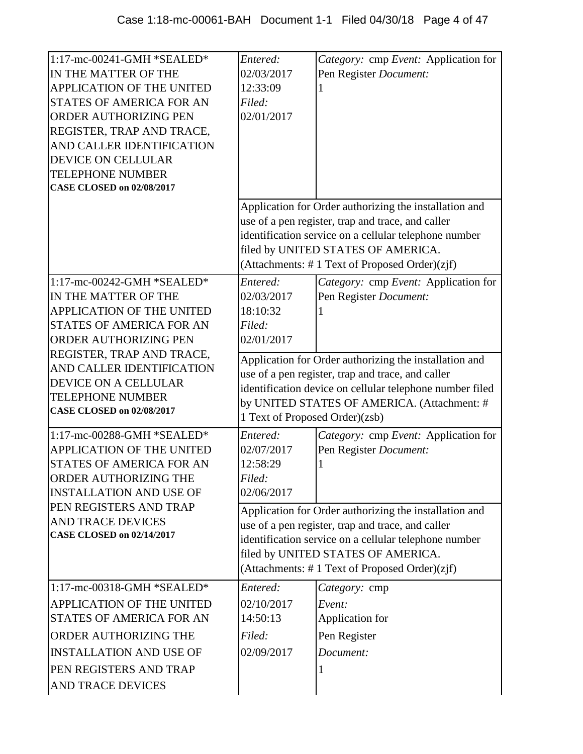| 1:17-mc-00241-GMH *SEALED*<br>IN THE MATTER OF THE<br>APPLICATION OF THE UNITED<br><b>STATES OF AMERICA FOR AN</b><br>ORDER AUTHORIZING PEN<br>REGISTER, TRAP AND TRACE,<br>AND CALLER IDENTIFICATION<br>DEVICE ON CELLULAR<br><b>TELEPHONE NUMBER</b><br><b>CASE CLOSED on 02/08/2017</b> | Entered:<br>02/03/2017<br>12:33:09<br>Filed:<br>02/01/2017                                                                                                                                                                                               | Category: cmp Event: Application for<br>Pen Register Document:<br>Application for Order authorizing the installation and                                                                                                                                    |
|--------------------------------------------------------------------------------------------------------------------------------------------------------------------------------------------------------------------------------------------------------------------------------------------|----------------------------------------------------------------------------------------------------------------------------------------------------------------------------------------------------------------------------------------------------------|-------------------------------------------------------------------------------------------------------------------------------------------------------------------------------------------------------------------------------------------------------------|
|                                                                                                                                                                                                                                                                                            |                                                                                                                                                                                                                                                          | use of a pen register, trap and trace, and caller<br>identification service on a cellular telephone number<br>filed by UNITED STATES OF AMERICA.<br>(Attachments: #1 Text of Proposed Order)(zjf)                                                           |
| 1:17-mc-00242-GMH *SEALED*<br>IN THE MATTER OF THE<br>APPLICATION OF THE UNITED<br>STATES OF AMERICA FOR AN<br>ORDER AUTHORIZING PEN                                                                                                                                                       | Entered:<br>02/03/2017<br>18:10:32<br>Filed:<br>02/01/2017                                                                                                                                                                                               | Category: cmp Event: Application for<br>Pen Register Document:                                                                                                                                                                                              |
| REGISTER, TRAP AND TRACE,<br>AND CALLER IDENTIFICATION<br>DEVICE ON A CELLULAR<br><b>TELEPHONE NUMBER</b><br><b>CASE CLOSED on 02/08/2017</b>                                                                                                                                              | Application for Order authorizing the installation and<br>use of a pen register, trap and trace, and caller<br>identification device on cellular telephone number filed<br>by UNITED STATES OF AMERICA. (Attachment: #<br>1 Text of Proposed Order)(zsb) |                                                                                                                                                                                                                                                             |
| 1:17-mc-00288-GMH *SEALED*<br>APPLICATION OF THE UNITED<br><b>STATES OF AMERICA FOR AN</b><br>ORDER AUTHORIZING THE<br><b>INSTALLATION AND USE OF</b>                                                                                                                                      | Entered:<br>02/07/2017<br>12:58:29<br>Filed:<br>02/06/2017                                                                                                                                                                                               | Category: cmp Event: Application for<br>Pen Register Document:                                                                                                                                                                                              |
| PEN REGISTERS AND TRAP<br><b>AND TRACE DEVICES</b><br><b>CASE CLOSED on 02/14/2017</b>                                                                                                                                                                                                     |                                                                                                                                                                                                                                                          | Application for Order authorizing the installation and<br>use of a pen register, trap and trace, and caller<br>identification service on a cellular telephone number<br>filed by UNITED STATES OF AMERICA.<br>(Attachments: #1 Text of Proposed Order)(zjf) |
| 1:17-mc-00318-GMH *SEALED*<br>APPLICATION OF THE UNITED<br><b>STATES OF AMERICA FOR AN</b><br>ORDER AUTHORIZING THE<br><b>INSTALLATION AND USE OF</b><br>PEN REGISTERS AND TRAP<br><b>AND TRACE DEVICES</b>                                                                                | Entered:<br>02/10/2017<br>14:50:13<br>Filed:<br>02/09/2017                                                                                                                                                                                               | Category: cmp<br>Event:<br>Application for<br>Pen Register<br>Document:                                                                                                                                                                                     |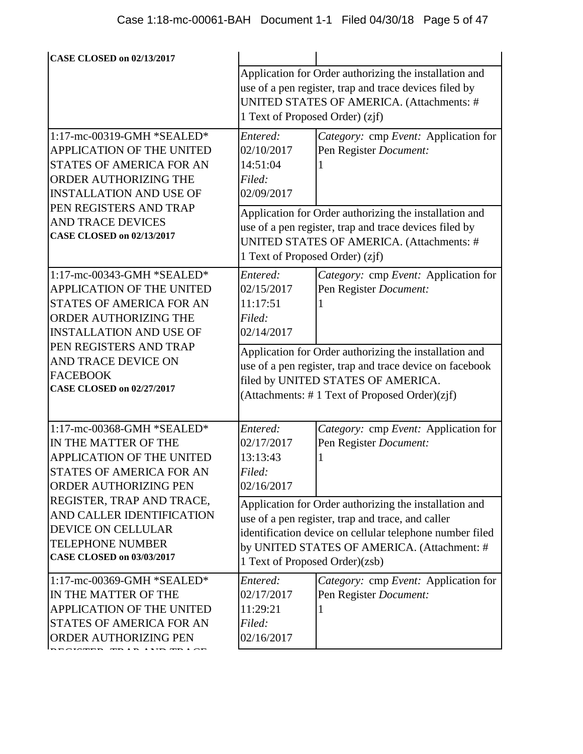| <b>CASE CLOSED on 02/13/2017</b>                                                                                                                      |                                                                                                                                                                                                                                                          |                                                                |  |
|-------------------------------------------------------------------------------------------------------------------------------------------------------|----------------------------------------------------------------------------------------------------------------------------------------------------------------------------------------------------------------------------------------------------------|----------------------------------------------------------------|--|
|                                                                                                                                                       |                                                                                                                                                                                                                                                          | Application for Order authorizing the installation and         |  |
|                                                                                                                                                       | use of a pen register, trap and trace devices filed by<br>UNITED STATES OF AMERICA. (Attachments: #<br>1 Text of Proposed Order) (zjf)                                                                                                                   |                                                                |  |
|                                                                                                                                                       |                                                                                                                                                                                                                                                          |                                                                |  |
|                                                                                                                                                       |                                                                                                                                                                                                                                                          |                                                                |  |
| 1:17-mc-00319-GMH *SEALED*<br>APPLICATION OF THE UNITED<br>STATES OF AMERICA FOR AN<br>ORDER AUTHORIZING THE                                          | Entered:<br>02/10/2017<br>14:51:04<br>Filed:<br>02/09/2017                                                                                                                                                                                               | Category: cmp Event: Application for<br>Pen Register Document: |  |
| <b>INSTALLATION AND USE OF</b><br>PEN REGISTERS AND TRAP                                                                                              |                                                                                                                                                                                                                                                          |                                                                |  |
| <b>AND TRACE DEVICES</b><br><b>CASE CLOSED on 02/13/2017</b>                                                                                          | Application for Order authorizing the installation and<br>use of a pen register, trap and trace devices filed by<br>UNITED STATES OF AMERICA. (Attachments: #<br>1 Text of Proposed Order) (zjf)                                                         |                                                                |  |
| 1:17-mc-00343-GMH *SEALED*<br>APPLICATION OF THE UNITED<br><b>STATES OF AMERICA FOR AN</b><br>ORDER AUTHORIZING THE<br><b>INSTALLATION AND USE OF</b> | Entered:<br>02/15/2017<br>11:17:51<br>Filed:<br>02/14/2017                                                                                                                                                                                               | Category: cmp Event: Application for<br>Pen Register Document: |  |
| PEN REGISTERS AND TRAP                                                                                                                                | Application for Order authorizing the installation and                                                                                                                                                                                                   |                                                                |  |
| AND TRACE DEVICE ON<br><b>FACEBOOK</b><br><b>CASE CLOSED on 02/27/2017</b>                                                                            | use of a pen register, trap and trace device on facebook<br>filed by UNITED STATES OF AMERICA.<br>(Attachments: #1 Text of Proposed Order)(zjf)                                                                                                          |                                                                |  |
| 1:17-mc-00368-GMH *SEALED*                                                                                                                            | Entered:                                                                                                                                                                                                                                                 | Category: cmp Event: Application for                           |  |
| IN THE MATTER OF THE                                                                                                                                  | 02/17/2017                                                                                                                                                                                                                                               | Pen Register Document:                                         |  |
| APPLICATION OF THE UNITED                                                                                                                             | 13:13:43                                                                                                                                                                                                                                                 |                                                                |  |
| STATES OF AMERICA FOR AN<br>ORDER AUTHORIZING PEN                                                                                                     | Filed:<br>02/16/2017                                                                                                                                                                                                                                     |                                                                |  |
| REGISTER, TRAP AND TRACE,<br>AND CALLER IDENTIFICATION<br><b>DEVICE ON CELLULAR</b><br><b>TELEPHONE NUMBER</b><br><b>CASE CLOSED on 03/03/2017</b>    | Application for Order authorizing the installation and<br>use of a pen register, trap and trace, and caller<br>identification device on cellular telephone number filed<br>by UNITED STATES OF AMERICA. (Attachment: #<br>1 Text of Proposed Order)(zsb) |                                                                |  |
| 1:17-mc-00369-GMH *SEALED*                                                                                                                            | Entered:                                                                                                                                                                                                                                                 | Category: cmp Event: Application for                           |  |
| IN THE MATTER OF THE                                                                                                                                  | 02/17/2017                                                                                                                                                                                                                                               | Pen Register Document:                                         |  |
| APPLICATION OF THE UNITED                                                                                                                             | 11:29:21                                                                                                                                                                                                                                                 |                                                                |  |
| <b>STATES OF AMERICA FOR AN</b><br>ORDER AUTHORIZING PEN                                                                                              | Filed:<br>02/16/2017                                                                                                                                                                                                                                     |                                                                |  |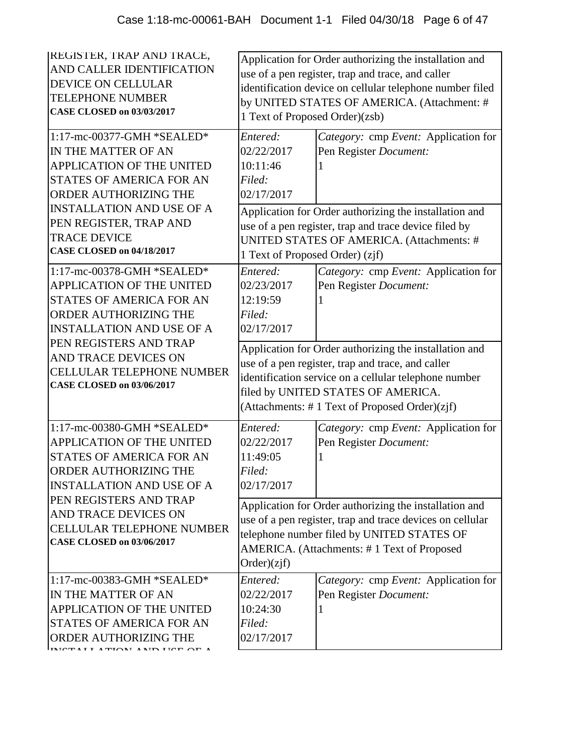| <b>REGISTER, TRAP AND TRACE,</b><br>AND CALLER IDENTIFICATION<br><b>DEVICE ON CELLULAR</b><br><b>TELEPHONE NUMBER</b><br><b>CASE CLOSED on 03/03/2017</b>                                                                              | Application for Order authorizing the installation and<br>use of a pen register, trap and trace, and caller<br>identification device on cellular telephone number filed<br>by UNITED STATES OF AMERICA. (Attachment: #<br>1 Text of Proposed Order)(zsb)    |                                                                                                                                                                                                                                |  |
|----------------------------------------------------------------------------------------------------------------------------------------------------------------------------------------------------------------------------------------|-------------------------------------------------------------------------------------------------------------------------------------------------------------------------------------------------------------------------------------------------------------|--------------------------------------------------------------------------------------------------------------------------------------------------------------------------------------------------------------------------------|--|
| 1:17-mc-00377-GMH *SEALED*<br>IN THE MATTER OF AN<br><b>APPLICATION OF THE UNITED</b><br><b>STATES OF AMERICA FOR AN</b><br>ORDER AUTHORIZING THE<br><b>INSTALLATION AND USE OF A</b><br>PEN REGISTER, TRAP AND<br><b>TRACE DEVICE</b> | Entered:<br>02/22/2017<br>10:11:46<br>Filed:<br>02/17/2017                                                                                                                                                                                                  | Category: cmp Event: Application for<br>Pen Register Document:<br>Application for Order authorizing the installation and<br>use of a pen register, trap and trace device filed by<br>UNITED STATES OF AMERICA. (Attachments: # |  |
| <b>CASE CLOSED on 04/18/2017</b><br>1:17-mc-00378-GMH *SEALED*<br><b>APPLICATION OF THE UNITED</b><br><b>STATES OF AMERICA FOR AN</b><br>ORDER AUTHORIZING THE<br><b>INSTALLATION AND USE OF A</b>                                     | 1 Text of Proposed Order) (zjf)<br>Entered:<br>02/23/2017<br>12:19:59<br>Filed:<br>02/17/2017                                                                                                                                                               | Category: cmp Event: Application for<br>Pen Register Document:                                                                                                                                                                 |  |
| PEN REGISTERS AND TRAP<br>AND TRACE DEVICES ON<br><b>CELLULAR TELEPHONE NUMBER</b><br><b>CASE CLOSED on 03/06/2017</b>                                                                                                                 | Application for Order authorizing the installation and<br>use of a pen register, trap and trace, and caller<br>identification service on a cellular telephone number<br>filed by UNITED STATES OF AMERICA.<br>(Attachments: #1 Text of Proposed Order)(zjf) |                                                                                                                                                                                                                                |  |
| 1:17-mc-00380-GMH *SEALED*<br><b>APPLICATION OF THE UNITED</b><br>STATES OF AMERICA FOR AN<br>ORDER AUTHORIZING THE<br><b>INSTALLATION AND USE OF A</b>                                                                                | Entered:<br>02/22/2017<br>11:49:05<br>Filed:<br>02/17/2017                                                                                                                                                                                                  | Category: cmp Event: Application for<br>Pen Register Document:                                                                                                                                                                 |  |
| PEN REGISTERS AND TRAP<br>AND TRACE DEVICES ON<br><b>CELLULAR TELEPHONE NUMBER</b><br><b>CASE CLOSED on 03/06/2017</b>                                                                                                                 | Application for Order authorizing the installation and<br>use of a pen register, trap and trace devices on cellular<br>telephone number filed by UNITED STATES OF<br>AMERICA. (Attachments: #1 Text of Proposed<br>Order)(zif)                              |                                                                                                                                                                                                                                |  |
| 1:17-mc-00383-GMH *SEALED*<br>IN THE MATTER OF AN<br>APPLICATION OF THE UNITED<br>STATES OF AMERICA FOR AN<br>ORDER AUTHORIZING THE                                                                                                    | Entered:<br>02/22/2017<br>10:24:30<br>Filed:<br>02/17/2017                                                                                                                                                                                                  | Category: cmp Event: Application for<br>Pen Register Document:                                                                                                                                                                 |  |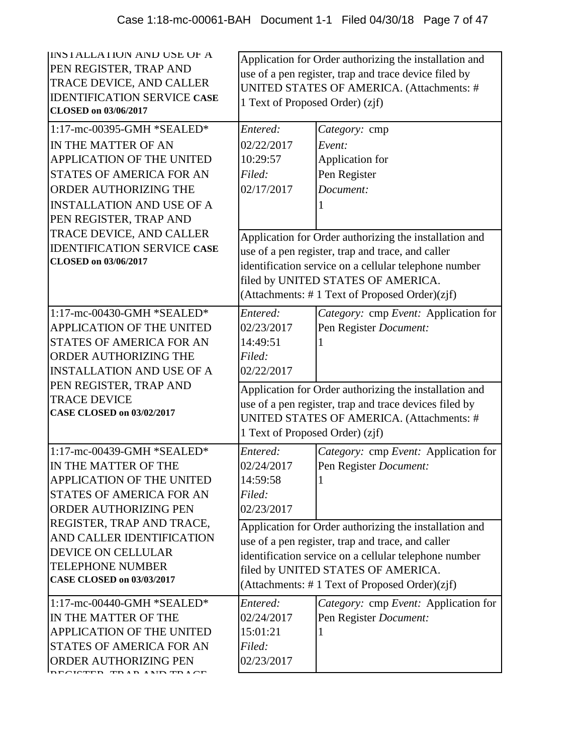| INSTALLATION AND USE OF A<br>PEN REGISTER, TRAP AND<br>TRACE DEVICE, AND CALLER<br><b>IDENTIFICATION SERVICE CASE</b><br><b>CLOSED</b> on 03/06/2017                                                                                 | Application for Order authorizing the installation and<br>use of a pen register, trap and trace device filed by<br>UNITED STATES OF AMERICA. (Attachments: #<br>1 Text of Proposed Order) (zjf)                                                             |                                                                                                                                                                                                                                                             |
|--------------------------------------------------------------------------------------------------------------------------------------------------------------------------------------------------------------------------------------|-------------------------------------------------------------------------------------------------------------------------------------------------------------------------------------------------------------------------------------------------------------|-------------------------------------------------------------------------------------------------------------------------------------------------------------------------------------------------------------------------------------------------------------|
| 1:17-mc-00395-GMH *SEALED*<br>IN THE MATTER OF AN<br>APPLICATION OF THE UNITED<br><b>STATES OF AMERICA FOR AN</b><br>ORDER AUTHORIZING THE<br><b>INSTALLATION AND USE OF A</b><br>PEN REGISTER, TRAP AND<br>TRACE DEVICE, AND CALLER | Entered:<br>02/22/2017<br>10:29:57<br>Filed:<br>02/17/2017                                                                                                                                                                                                  | Category: cmp<br>Event:<br>Application for<br>Pen Register<br>Document:                                                                                                                                                                                     |
| <b>IDENTIFICATION SERVICE CASE</b><br><b>CLOSED</b> on 03/06/2017                                                                                                                                                                    |                                                                                                                                                                                                                                                             | Application for Order authorizing the installation and<br>use of a pen register, trap and trace, and caller<br>identification service on a cellular telephone number<br>filed by UNITED STATES OF AMERICA.<br>(Attachments: #1 Text of Proposed Order)(zjf) |
| 1:17-mc-00430-GMH *SEALED*<br><b>APPLICATION OF THE UNITED</b><br><b>STATES OF AMERICA FOR AN</b><br><b>ORDER AUTHORIZING THE</b><br><b>INSTALLATION AND USE OF A</b>                                                                | Entered:<br>02/23/2017<br>14:49:51<br>Filed:<br>02/22/2017                                                                                                                                                                                                  | Category: cmp Event: Application for<br>Pen Register Document:                                                                                                                                                                                              |
| PEN REGISTER, TRAP AND<br><b>TRACE DEVICE</b><br><b>CASE CLOSED on 03/02/2017</b>                                                                                                                                                    | Application for Order authorizing the installation and<br>use of a pen register, trap and trace devices filed by<br>UNITED STATES OF AMERICA. (Attachments: #<br>1 Text of Proposed Order) (zjf)                                                            |                                                                                                                                                                                                                                                             |
| 1:17-mc-00439-GMH *SEALED*<br>IN THE MATTER OF THE<br><b>APPLICATION OF THE UNITED</b><br><b>STATES OF AMERICA FOR AN</b><br>ORDER AUTHORIZING PEN                                                                                   | Entered:<br>02/24/2017<br>14:59:58<br>Filed:<br>02/23/2017                                                                                                                                                                                                  | Category: cmp Event: Application for<br>Pen Register Document:                                                                                                                                                                                              |
| REGISTER, TRAP AND TRACE,<br>AND CALLER IDENTIFICATION<br><b>DEVICE ON CELLULAR</b><br><b>TELEPHONE NUMBER</b><br><b>CASE CLOSED on 03/03/2017</b>                                                                                   | Application for Order authorizing the installation and<br>use of a pen register, trap and trace, and caller<br>identification service on a cellular telephone number<br>filed by UNITED STATES OF AMERICA.<br>(Attachments: #1 Text of Proposed Order)(zjf) |                                                                                                                                                                                                                                                             |
| 1:17-mc-00440-GMH *SEALED*<br>IN THE MATTER OF THE<br><b>APPLICATION OF THE UNITED</b><br>STATES OF AMERICA FOR AN<br>ORDER AUTHORIZING PEN                                                                                          | Entered:<br>02/24/2017<br>15:01:21<br>Filed:<br>02/23/2017                                                                                                                                                                                                  | Category: cmp Event: Application for<br>Pen Register Document:                                                                                                                                                                                              |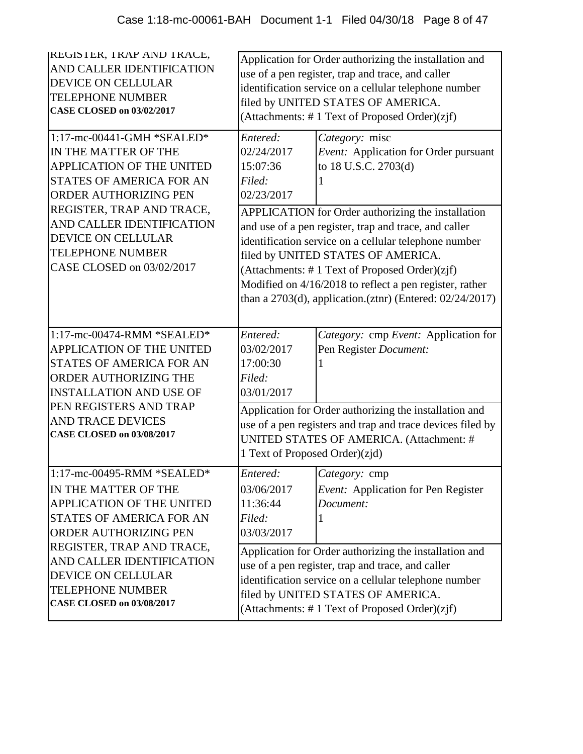| <b>REGISTER, TRAP AND TRACE,</b><br>AND CALLER IDENTIFICATION<br><b>DEVICE ON CELLULAR</b><br><b>TELEPHONE NUMBER</b><br><b>CASE CLOSED on 03/02/2017</b>                              | Application for Order authorizing the installation and<br>use of a pen register, trap and trace, and caller<br>identification service on a cellular telephone number<br>filed by UNITED STATES OF AMERICA.<br>(Attachments: #1 Text of Proposed Order)(zjf)                                                                     |                                                                                                                                       |  |
|----------------------------------------------------------------------------------------------------------------------------------------------------------------------------------------|---------------------------------------------------------------------------------------------------------------------------------------------------------------------------------------------------------------------------------------------------------------------------------------------------------------------------------|---------------------------------------------------------------------------------------------------------------------------------------|--|
| 1:17-mc-00441-GMH *SEALED*<br>IN THE MATTER OF THE<br><b>APPLICATION OF THE UNITED</b><br><b>STATES OF AMERICA FOR AN</b><br><b>ORDER AUTHORIZING PEN</b><br>REGISTER, TRAP AND TRACE, | Entered:<br>02/24/2017<br>15:07:36<br>Filed:<br>02/23/2017                                                                                                                                                                                                                                                                      | Category: misc<br>Event: Application for Order pursuant<br>to 18 U.S.C. 2703(d)<br>APPLICATION for Order authorizing the installation |  |
| AND CALLER IDENTIFICATION<br><b>DEVICE ON CELLULAR</b><br><b>TELEPHONE NUMBER</b><br>CASE CLOSED on 03/02/2017                                                                         | and use of a pen register, trap and trace, and caller<br>identification service on a cellular telephone number<br>filed by UNITED STATES OF AMERICA.<br>(Attachments: #1 Text of Proposed Order)(zjf)<br>Modified on 4/16/2018 to reflect a pen register, rather<br>than a 2703(d), application.(ztnr) (Entered: $02/24/2017$ ) |                                                                                                                                       |  |
| 1:17-mc-00474-RMM *SEALED*<br><b>APPLICATION OF THE UNITED</b><br><b>STATES OF AMERICA FOR AN</b><br>ORDER AUTHORIZING THE<br><b>INSTALLATION AND USE OF</b>                           | Entered:<br>03/02/2017<br>17:00:30<br>Filed:<br>03/01/2017                                                                                                                                                                                                                                                                      | Category: cmp Event: Application for<br>Pen Register Document:                                                                        |  |
| PEN REGISTERS AND TRAP<br><b>AND TRACE DEVICES</b><br><b>CASE CLOSED on 03/08/2017</b>                                                                                                 | Application for Order authorizing the installation and<br>use of a pen registers and trap and trace devices filed by<br>UNITED STATES OF AMERICA. (Attachment: #<br>1 Text of Proposed Order)(zjd)                                                                                                                              |                                                                                                                                       |  |
| 1:17-mc-00495-RMM *SEALED*<br>IN THE MATTER OF THE<br>APPLICATION OF THE UNITED<br>STATES OF AMERICA FOR AN<br>ORDER AUTHORIZING PEN                                                   | Entered:<br>03/06/2017<br>11:36:44<br>Filed:<br>03/03/2017                                                                                                                                                                                                                                                                      | Category: cmp<br>Event: Application for Pen Register<br>Document:                                                                     |  |
| REGISTER, TRAP AND TRACE,<br>AND CALLER IDENTIFICATION<br><b>DEVICE ON CELLULAR</b><br><b>TELEPHONE NUMBER</b><br><b>CASE CLOSED on 03/08/2017</b>                                     | Application for Order authorizing the installation and<br>use of a pen register, trap and trace, and caller<br>identification service on a cellular telephone number<br>filed by UNITED STATES OF AMERICA.<br>(Attachments: #1 Text of Proposed Order)(zjf)                                                                     |                                                                                                                                       |  |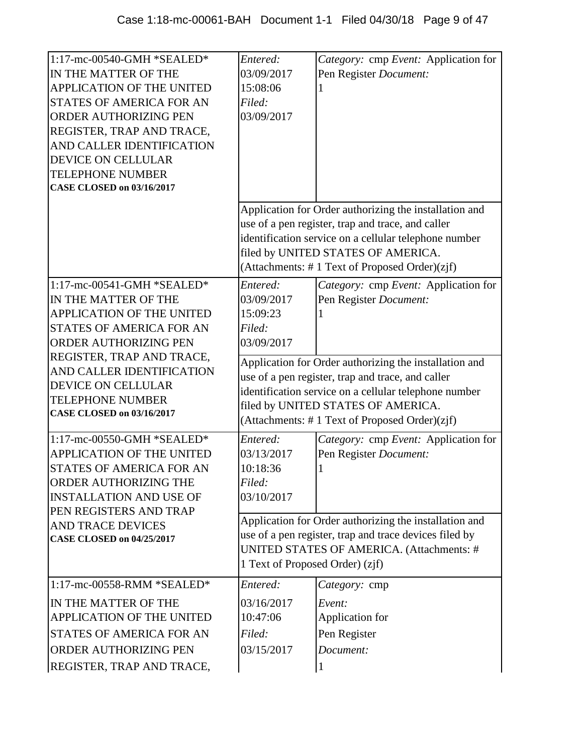| 1:17-mc-00540-GMH *SEALED*<br>IN THE MATTER OF THE<br>APPLICATION OF THE UNITED<br><b>STATES OF AMERICA FOR AN</b><br>ORDER AUTHORIZING PEN<br>REGISTER, TRAP AND TRACE,<br>AND CALLER IDENTIFICATION<br><b>DEVICE ON CELLULAR</b><br><b>TELEPHONE NUMBER</b><br><b>CASE CLOSED on 03/16/2017</b> | Entered:<br>03/09/2017<br>15:08:06<br>Filed:<br>03/09/2017                                    | Category: cmp Event: Application for<br>Pen Register Document:                                                                                                                                                                                              |
|---------------------------------------------------------------------------------------------------------------------------------------------------------------------------------------------------------------------------------------------------------------------------------------------------|-----------------------------------------------------------------------------------------------|-------------------------------------------------------------------------------------------------------------------------------------------------------------------------------------------------------------------------------------------------------------|
|                                                                                                                                                                                                                                                                                                   |                                                                                               | Application for Order authorizing the installation and<br>use of a pen register, trap and trace, and caller<br>identification service on a cellular telephone number<br>filed by UNITED STATES OF AMERICA.<br>(Attachments: #1 Text of Proposed Order)(zjf) |
| 1:17-mc-00541-GMH *SEALED*<br>IN THE MATTER OF THE<br><b>APPLICATION OF THE UNITED</b><br>STATES OF AMERICA FOR AN<br><b>ORDER AUTHORIZING PEN</b>                                                                                                                                                | Entered:<br>03/09/2017<br>15:09:23<br>Filed:<br>03/09/2017                                    | Category: cmp Event: Application for<br>Pen Register Document:                                                                                                                                                                                              |
| REGISTER, TRAP AND TRACE,<br>AND CALLER IDENTIFICATION<br><b>DEVICE ON CELLULAR</b><br><b>TELEPHONE NUMBER</b><br><b>CASE CLOSED on 03/16/2017</b>                                                                                                                                                |                                                                                               | Application for Order authorizing the installation and<br>use of a pen register, trap and trace, and caller<br>identification service on a cellular telephone number<br>filed by UNITED STATES OF AMERICA.<br>(Attachments: #1 Text of Proposed Order)(zjf) |
| 1:17-mc-00550-GMH *SEALED*<br><b>APPLICATION OF THE UNITED</b><br><b>STATES OF AMERICA FOR AN</b><br>ORDER AUTHORIZING THE<br><b>INSTALLATION AND USE OF</b><br>PEN REGISTERS AND TRAP<br><b>AND TRACE DEVICES</b><br><b>CASE CLOSED on 04/25/2017</b>                                            | Entered:<br>03/13/2017<br>10:18:36<br>Filed:<br>03/10/2017<br>1 Text of Proposed Order) (zjf) | Category: cmp Event: Application for<br>Pen Register Document:<br>Application for Order authorizing the installation and<br>use of a pen register, trap and trace devices filed by<br>UNITED STATES OF AMERICA. (Attachments: #                             |
| 1:17-mc-00558-RMM *SEALED*<br>IN THE MATTER OF THE<br>APPLICATION OF THE UNITED<br>STATES OF AMERICA FOR AN<br><b>ORDER AUTHORIZING PEN</b><br>REGISTER, TRAP AND TRACE,                                                                                                                          | Entered:<br>03/16/2017<br>10:47:06<br>Filed:<br>03/15/2017                                    | Category: cmp<br>Event:<br>Application for<br>Pen Register<br>Document:                                                                                                                                                                                     |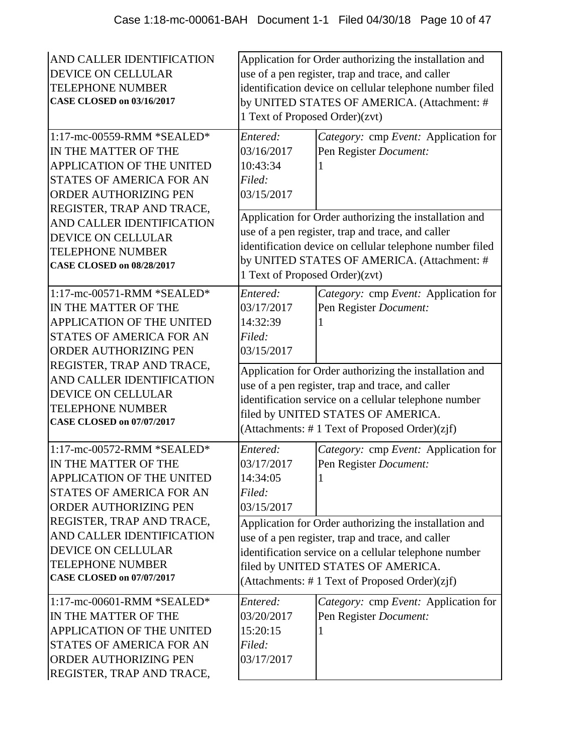| AND CALLER IDENTIFICATION<br><b>DEVICE ON CELLULAR</b><br><b>TELEPHONE NUMBER</b><br><b>CASE CLOSED on 03/16/2017</b><br>1:17-mc-00559-RMM *SEALED*<br>IN THE MATTER OF THE<br>APPLICATION OF THE UNITED<br>STATES OF AMERICA FOR AN<br><b>ORDER AUTHORIZING PEN</b><br>REGISTER, TRAP AND TRACE, | 1 Text of Proposed Order)(zvt)<br>Entered:<br>03/16/2017<br>10:43:34<br>Filed:<br>03/15/2017                                                                                                                                                                | Application for Order authorizing the installation and<br>use of a pen register, trap and trace, and caller<br>identification device on cellular telephone number filed<br>by UNITED STATES OF AMERICA. (Attachment: #<br>Category: cmp Event: Application for<br>Pen Register Document: |  |
|---------------------------------------------------------------------------------------------------------------------------------------------------------------------------------------------------------------------------------------------------------------------------------------------------|-------------------------------------------------------------------------------------------------------------------------------------------------------------------------------------------------------------------------------------------------------------|------------------------------------------------------------------------------------------------------------------------------------------------------------------------------------------------------------------------------------------------------------------------------------------|--|
| AND CALLER IDENTIFICATION<br><b>DEVICE ON CELLULAR</b><br><b>TELEPHONE NUMBER</b><br><b>CASE CLOSED on 08/28/2017</b>                                                                                                                                                                             | Application for Order authorizing the installation and<br>use of a pen register, trap and trace, and caller<br>identification device on cellular telephone number filed<br>by UNITED STATES OF AMERICA. (Attachment: #<br>1 Text of Proposed Order)(zvt)    |                                                                                                                                                                                                                                                                                          |  |
| 1:17-mc-00571-RMM *SEALED*<br>IN THE MATTER OF THE<br><b>APPLICATION OF THE UNITED</b><br>STATES OF AMERICA FOR AN<br>ORDER AUTHORIZING PEN                                                                                                                                                       | Entered:<br>03/17/2017<br>14:32:39<br>Filed:<br>03/15/2017                                                                                                                                                                                                  | Category: cmp Event: Application for<br>Pen Register Document:                                                                                                                                                                                                                           |  |
| REGISTER, TRAP AND TRACE,<br>AND CALLER IDENTIFICATION<br><b>DEVICE ON CELLULAR</b><br><b>TELEPHONE NUMBER</b><br><b>CASE CLOSED on 07/07/2017</b>                                                                                                                                                | Application for Order authorizing the installation and<br>use of a pen register, trap and trace, and caller<br>identification service on a cellular telephone number<br>filed by UNITED STATES OF AMERICA.<br>(Attachments: #1 Text of Proposed Order)(zjf) |                                                                                                                                                                                                                                                                                          |  |
| 1:17-mc-00572-RMM *SEALED*<br>IN THE MATTER OF THE<br><b>APPLICATION OF THE UNITED</b><br><b>STATES OF AMERICA FOR AN</b><br><b>ORDER AUTHORIZING PEN</b>                                                                                                                                         | Entered:<br>03/17/2017<br>14:34:05<br>Filed:<br>03/15/2017                                                                                                                                                                                                  | Category: cmp Event: Application for<br>Pen Register Document:                                                                                                                                                                                                                           |  |
| REGISTER, TRAP AND TRACE,<br>AND CALLER IDENTIFICATION<br><b>DEVICE ON CELLULAR</b><br><b>TELEPHONE NUMBER</b><br><b>CASE CLOSED on 07/07/2017</b>                                                                                                                                                |                                                                                                                                                                                                                                                             | Application for Order authorizing the installation and<br>use of a pen register, trap and trace, and caller<br>identification service on a cellular telephone number<br>filed by UNITED STATES OF AMERICA.<br>(Attachments: #1 Text of Proposed Order)(zjf)                              |  |
| 1:17-mc-00601-RMM *SEALED*<br>IN THE MATTER OF THE<br><b>APPLICATION OF THE UNITED</b><br><b>STATES OF AMERICA FOR AN</b><br>ORDER AUTHORIZING PEN<br>REGISTER, TRAP AND TRACE,                                                                                                                   | Entered:<br>03/20/2017<br>15:20:15<br>Filed:<br>03/17/2017                                                                                                                                                                                                  | Category: cmp Event: Application for<br>Pen Register Document:                                                                                                                                                                                                                           |  |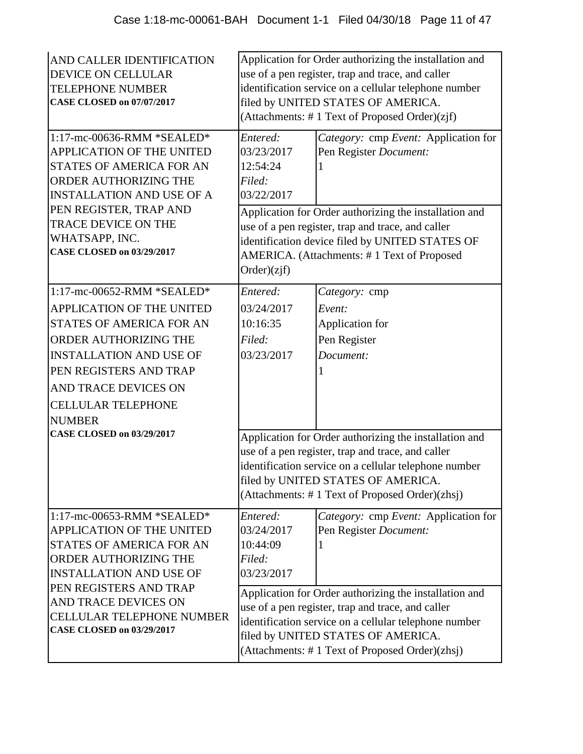| AND CALLER IDENTIFICATION<br>DEVICE ON CELLULAR<br><b>TELEPHONE NUMBER</b><br><b>CASE CLOSED on 07/07/2017</b><br>1:17-mc-00636-RMM *SEALED*<br>APPLICATION OF THE UNITED                                                                                                                        | Application for Order authorizing the installation and<br>use of a pen register, trap and trace, and caller<br>identification service on a cellular telephone number<br>filed by UNITED STATES OF AMERICA.<br>(Attachments: #1 Text of Proposed Order)(zjf)<br>Entered:<br>Category: cmp Event: Application for<br>03/23/2017<br>Pen Register Document: |                                                                                                                                                                                                                                                                                                                                         |  |
|--------------------------------------------------------------------------------------------------------------------------------------------------------------------------------------------------------------------------------------------------------------------------------------------------|---------------------------------------------------------------------------------------------------------------------------------------------------------------------------------------------------------------------------------------------------------------------------------------------------------------------------------------------------------|-----------------------------------------------------------------------------------------------------------------------------------------------------------------------------------------------------------------------------------------------------------------------------------------------------------------------------------------|--|
| <b>STATES OF AMERICA FOR AN</b><br>ORDER AUTHORIZING THE<br><b>INSTALLATION AND USE OF A</b><br>PEN REGISTER, TRAP AND<br>TRACE DEVICE ON THE<br>WHATSAPP, INC.<br><b>CASE CLOSED on 03/29/2017</b>                                                                                              | 12:54:24<br>Filed:<br>03/22/2017                                                                                                                                                                                                                                                                                                                        |                                                                                                                                                                                                                                                                                                                                         |  |
|                                                                                                                                                                                                                                                                                                  | Application for Order authorizing the installation and<br>use of a pen register, trap and trace, and caller<br>identification device filed by UNITED STATES OF<br>AMERICA. (Attachments: #1 Text of Proposed<br>Order)(zif)                                                                                                                             |                                                                                                                                                                                                                                                                                                                                         |  |
| 1:17-mc-00652-RMM *SEALED*<br><b>APPLICATION OF THE UNITED</b><br><b>STATES OF AMERICA FOR AN</b><br>ORDER AUTHORIZING THE<br><b>INSTALLATION AND USE OF</b><br>PEN REGISTERS AND TRAP<br>AND TRACE DEVICES ON<br><b>CELLULAR TELEPHONE</b><br><b>NUMBER</b><br><b>CASE CLOSED on 03/29/2017</b> | Entered:<br>03/24/2017<br>10:16:35<br>Filed:<br>03/23/2017                                                                                                                                                                                                                                                                                              | Category: cmp<br>Event:<br>Application for<br>Pen Register<br>Document:<br>Application for Order authorizing the installation and<br>use of a pen register, trap and trace, and caller<br>identification service on a cellular telephone number<br>filed by UNITED STATES OF AMERICA.<br>(Attachments: #1 Text of Proposed Order)(zhsj) |  |
| $1:17$ -mc-00653-RMM *SEALED*<br><b>APPLICATION OF THE UNITED</b><br><b>STATES OF AMERICA FOR AN</b><br>ORDER AUTHORIZING THE<br><b>INSTALLATION AND USE OF</b>                                                                                                                                  | Entered:<br>03/24/2017<br>10:44:09<br>Filed:<br>03/23/2017                                                                                                                                                                                                                                                                                              | Category: cmp Event: Application for<br>Pen Register Document:                                                                                                                                                                                                                                                                          |  |
| PEN REGISTERS AND TRAP<br>AND TRACE DEVICES ON<br><b>CELLULAR TELEPHONE NUMBER</b><br><b>CASE CLOSED on 03/29/2017</b>                                                                                                                                                                           | Application for Order authorizing the installation and<br>use of a pen register, trap and trace, and caller<br>identification service on a cellular telephone number<br>filed by UNITED STATES OF AMERICA.<br>(Attachments: #1 Text of Proposed Order)(zhsj)                                                                                            |                                                                                                                                                                                                                                                                                                                                         |  |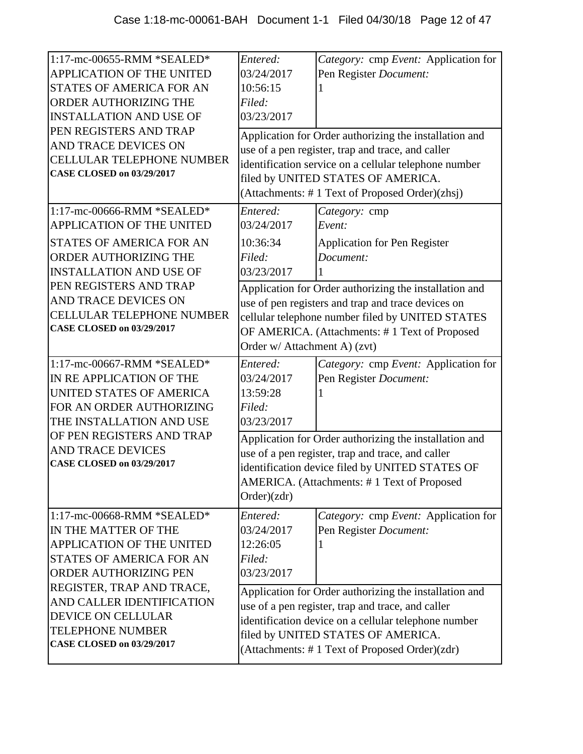| 1:17-mc-00655-RMM *SEALED*<br>APPLICATION OF THE UNITED<br>STATES OF AMERICA FOR AN<br>ORDER AUTHORIZING THE<br><b>INSTALLATION AND USE OF</b><br>PEN REGISTERS AND TRAP<br>AND TRACE DEVICES ON<br><b>CELLULAR TELEPHONE NUMBER</b><br><b>CASE CLOSED on 03/29/2017</b>                   | Entered:<br>03/24/2017<br>10:56:15<br>Filed:<br>03/23/2017                                 | Category: cmp Event: Application for<br>Pen Register Document:<br>Application for Order authorizing the installation and<br>use of a pen register, trap and trace, and caller<br>identification service on a cellular telephone number<br>filed by UNITED STATES OF AMERICA.                                                                       |
|--------------------------------------------------------------------------------------------------------------------------------------------------------------------------------------------------------------------------------------------------------------------------------------------|--------------------------------------------------------------------------------------------|----------------------------------------------------------------------------------------------------------------------------------------------------------------------------------------------------------------------------------------------------------------------------------------------------------------------------------------------------|
| 1:17-mc-00666-RMM *SEALED*<br>APPLICATION OF THE UNITED<br>STATES OF AMERICA FOR AN<br>ORDER AUTHORIZING THE<br><b>INSTALLATION AND USE OF</b><br>PEN REGISTERS AND TRAP<br>AND TRACE DEVICES ON<br><b>CELLULAR TELEPHONE NUMBER</b><br><b>CASE CLOSED on 03/29/2017</b>                   | Entered:<br>03/24/2017<br>10:36:34<br>Filed:<br>03/23/2017<br>Order w/ Attachment A) (zvt) | (Attachments: #1 Text of Proposed Order)(zhsj)<br>Category: cmp<br>Event:<br><b>Application for Pen Register</b><br>Document:<br>Application for Order authorizing the installation and<br>use of pen registers and trap and trace devices on<br>cellular telephone number filed by UNITED STATES<br>OF AMERICA. (Attachments: #1 Text of Proposed |
| 1:17-mc-00667-RMM *SEALED*<br>IN RE APPLICATION OF THE<br>UNITED STATES OF AMERICA<br>FOR AN ORDER AUTHORIZING<br>THE INSTALLATION AND USE<br>OF PEN REGISTERS AND TRAP<br><b>AND TRACE DEVICES</b><br><b>CASE CLOSED on 03/29/2017</b>                                                    | Entered:<br>03/24/2017<br>13:59:28<br>Filed:<br>03/23/2017<br>Order)(zdr)                  | Category: cmp Event: Application for<br>Pen Register Document:<br>Application for Order authorizing the installation and<br>use of a pen register, trap and trace, and caller<br>identification device filed by UNITED STATES OF<br>AMERICA. (Attachments: #1 Text of Proposed                                                                     |
| 1:17-mc-00668-RMM *SEALED*<br>IN THE MATTER OF THE<br>APPLICATION OF THE UNITED<br><b>STATES OF AMERICA FOR AN</b><br>ORDER AUTHORIZING PEN<br>REGISTER, TRAP AND TRACE,<br>AND CALLER IDENTIFICATION<br>DEVICE ON CELLULAR<br><b>TELEPHONE NUMBER</b><br><b>CASE CLOSED on 03/29/2017</b> | Entered:<br>03/24/2017<br>12:26:05<br>Filed:<br>03/23/2017                                 | Category: cmp Event: Application for<br>Pen Register Document:<br>Application for Order authorizing the installation and<br>use of a pen register, trap and trace, and caller<br>identification device on a cellular telephone number<br>filed by UNITED STATES OF AMERICA.<br>(Attachments: #1 Text of Proposed Order)(zdr)                       |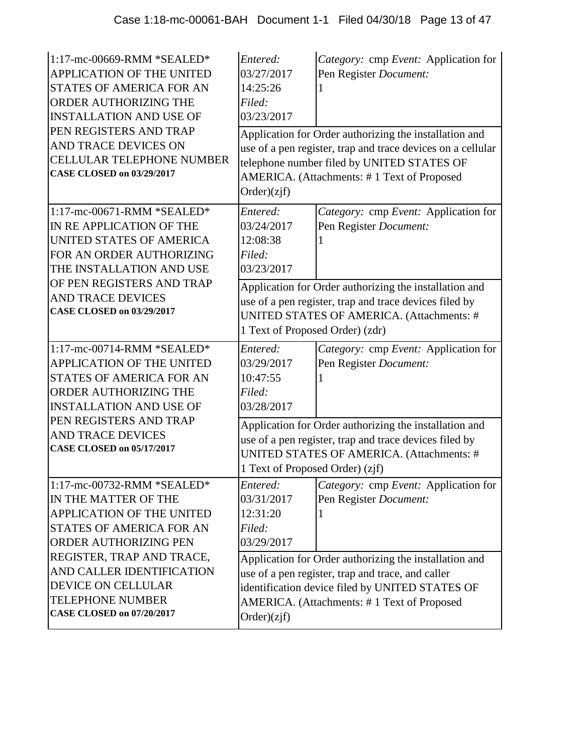| 1:17-mc-00669-RMM *SEALED*<br><b>APPLICATION OF THE UNITED</b><br><b>STATES OF AMERICA FOR AN</b><br>ORDER AUTHORIZING THE<br><b>INSTALLATION AND USE OF</b><br>PEN REGISTERS AND TRAP<br>AND TRACE DEVICES ON<br><b>CELLULAR TELEPHONE NUMBER</b><br><b>CASE CLOSED on 03/29/2017</b> | Entered:<br>03/27/2017<br>14:25:26<br>Filed:<br>03/23/2017<br>Order)(zjf)                                                                                                                        | Category: cmp Event: Application for<br>Pen Register Document:<br>Application for Order authorizing the installation and<br>use of a pen register, trap and trace devices on a cellular<br>telephone number filed by UNITED STATES OF<br>AMERICA. (Attachments: #1 Text of Proposed |  |
|----------------------------------------------------------------------------------------------------------------------------------------------------------------------------------------------------------------------------------------------------------------------------------------|--------------------------------------------------------------------------------------------------------------------------------------------------------------------------------------------------|-------------------------------------------------------------------------------------------------------------------------------------------------------------------------------------------------------------------------------------------------------------------------------------|--|
| 1:17-mc-00671-RMM *SEALED*<br>IN RE APPLICATION OF THE<br>UNITED STATES OF AMERICA<br>FOR AN ORDER AUTHORIZING<br>THE INSTALLATION AND USE                                                                                                                                             | Entered:<br>03/24/2017<br>12:08:38<br>Filed:<br>03/23/2017                                                                                                                                       | Category: cmp Event: Application for<br>Pen Register Document:                                                                                                                                                                                                                      |  |
| OF PEN REGISTERS AND TRAP<br><b>AND TRACE DEVICES</b><br><b>CASE CLOSED on 03/29/2017</b>                                                                                                                                                                                              | Application for Order authorizing the installation and<br>use of a pen register, trap and trace devices filed by<br>UNITED STATES OF AMERICA. (Attachments: #<br>1 Text of Proposed Order) (zdr) |                                                                                                                                                                                                                                                                                     |  |
| 1:17-mc-00714-RMM *SEALED*<br>APPLICATION OF THE UNITED<br><b>STATES OF AMERICA FOR AN</b><br>ORDER AUTHORIZING THE<br><b>INSTALLATION AND USE OF</b><br>PEN REGISTERS AND TRAP<br><b>AND TRACE DEVICES</b>                                                                            | Entered:<br>03/29/2017<br>10:47:55<br>Filed:<br>03/28/2017                                                                                                                                       | Category: cmp Event: Application for<br>Pen Register Document:<br>Application for Order authorizing the installation and<br>use of a pen register, trap and trace devices filed by                                                                                                  |  |
| <b>CASE CLOSED on 05/17/2017</b>                                                                                                                                                                                                                                                       | UNITED STATES OF AMERICA. (Attachments: #<br>1 Text of Proposed Order) (zjf)                                                                                                                     |                                                                                                                                                                                                                                                                                     |  |
| 1:17-mc-00732-RMM *SEALED*<br>IN THE MATTER OF THE<br>APPLICATION OF THE UNITED<br><b>STATES OF AMERICA FOR AN</b><br>ORDER AUTHORIZING PEN<br>REGISTER, TRAP AND TRACE,<br>AND CALLER IDENTIFICATION                                                                                  | Entered:<br>03/31/2017<br>12:31:20<br>Filed:<br>03/29/2017                                                                                                                                       | Category: cmp Event: Application for<br>Pen Register Document:<br>Application for Order authorizing the installation and                                                                                                                                                            |  |
| DEVICE ON CELLULAR<br><b>TELEPHONE NUMBER</b><br><b>CASE CLOSED on 07/20/2017</b>                                                                                                                                                                                                      | Order)(zjf)                                                                                                                                                                                      | use of a pen register, trap and trace, and caller<br>identification device filed by UNITED STATES OF<br>AMERICA. (Attachments: #1 Text of Proposed                                                                                                                                  |  |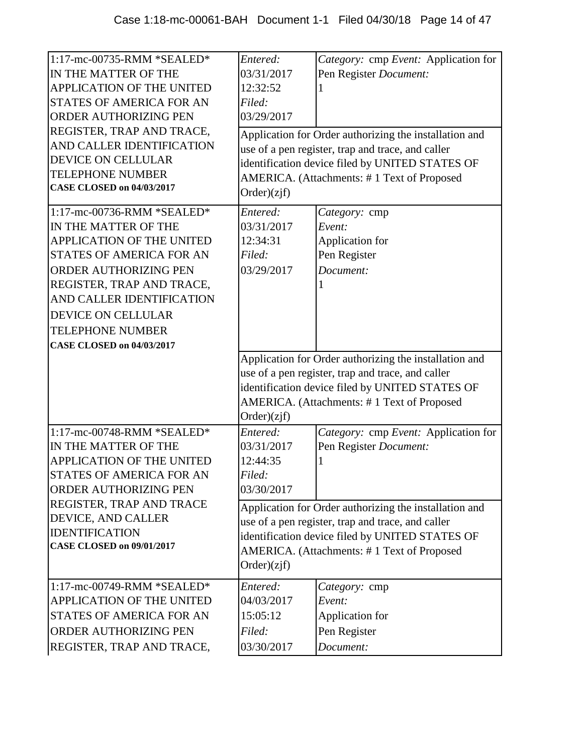| 1:17-mc-00735-RMM *SEALED*<br>IN THE MATTER OF THE<br><b>APPLICATION OF THE UNITED</b><br><b>STATES OF AMERICA FOR AN</b><br>ORDER AUTHORIZING PEN<br>REGISTER, TRAP AND TRACE,<br>AND CALLER IDENTIFICATION<br><b>DEVICE ON CELLULAR</b><br><b>TELEPHONE NUMBER</b><br><b>CASE CLOSED on 04/03/2017</b><br>1:17-mc-00736-RMM *SEALED* | Entered:<br>03/31/2017<br>12:32:52<br>Filed:<br>03/29/2017<br>Order)(zif)<br>Entered: | Category: cmp Event: Application for<br>Pen Register Document:<br>Application for Order authorizing the installation and<br>use of a pen register, trap and trace, and caller<br>identification device filed by UNITED STATES OF<br>AMERICA. (Attachments: #1 Text of Proposed<br>Category: cmp |
|----------------------------------------------------------------------------------------------------------------------------------------------------------------------------------------------------------------------------------------------------------------------------------------------------------------------------------------|---------------------------------------------------------------------------------------|-------------------------------------------------------------------------------------------------------------------------------------------------------------------------------------------------------------------------------------------------------------------------------------------------|
| IN THE MATTER OF THE                                                                                                                                                                                                                                                                                                                   | 03/31/2017                                                                            | Event:                                                                                                                                                                                                                                                                                          |
| <b>APPLICATION OF THE UNITED</b><br><b>STATES OF AMERICA FOR AN</b>                                                                                                                                                                                                                                                                    | 12:34:31<br>Filed:                                                                    | Application for<br>Pen Register                                                                                                                                                                                                                                                                 |
| ORDER AUTHORIZING PEN                                                                                                                                                                                                                                                                                                                  | 03/29/2017                                                                            | Document:                                                                                                                                                                                                                                                                                       |
| REGISTER, TRAP AND TRACE,                                                                                                                                                                                                                                                                                                              |                                                                                       |                                                                                                                                                                                                                                                                                                 |
| AND CALLER IDENTIFICATION                                                                                                                                                                                                                                                                                                              |                                                                                       |                                                                                                                                                                                                                                                                                                 |
| DEVICE ON CELLULAR                                                                                                                                                                                                                                                                                                                     |                                                                                       |                                                                                                                                                                                                                                                                                                 |
| <b>TELEPHONE NUMBER</b>                                                                                                                                                                                                                                                                                                                |                                                                                       |                                                                                                                                                                                                                                                                                                 |
| <b>CASE CLOSED on 04/03/2017</b>                                                                                                                                                                                                                                                                                                       |                                                                                       |                                                                                                                                                                                                                                                                                                 |
|                                                                                                                                                                                                                                                                                                                                        | Order)(zjf)                                                                           | Application for Order authorizing the installation and<br>use of a pen register, trap and trace, and caller<br>identification device filed by UNITED STATES OF<br>AMERICA. (Attachments: #1 Text of Proposed                                                                                    |
| 1:17-mc-00748-RMM *SEALED*                                                                                                                                                                                                                                                                                                             | Entered:                                                                              |                                                                                                                                                                                                                                                                                                 |
|                                                                                                                                                                                                                                                                                                                                        |                                                                                       | Category: cmp Event: Application for                                                                                                                                                                                                                                                            |
| IN THE MATTER OF THE                                                                                                                                                                                                                                                                                                                   | 03/31/2017                                                                            | Pen Register Document:                                                                                                                                                                                                                                                                          |
| APPLICATION OF THE UNITED                                                                                                                                                                                                                                                                                                              | 12:44:35                                                                              |                                                                                                                                                                                                                                                                                                 |
| STATES OF AMERICA FOR AN                                                                                                                                                                                                                                                                                                               | Filed:                                                                                |                                                                                                                                                                                                                                                                                                 |
| ORDER AUTHORIZING PEN                                                                                                                                                                                                                                                                                                                  | 03/30/2017                                                                            |                                                                                                                                                                                                                                                                                                 |
| REGISTER, TRAP AND TRACE                                                                                                                                                                                                                                                                                                               |                                                                                       | Application for Order authorizing the installation and                                                                                                                                                                                                                                          |
| DEVICE, AND CALLER                                                                                                                                                                                                                                                                                                                     |                                                                                       | use of a pen register, trap and trace, and caller                                                                                                                                                                                                                                               |
| <b>IDENTIFICATION</b><br><b>CASE CLOSED on 09/01/2017</b>                                                                                                                                                                                                                                                                              |                                                                                       | identification device filed by UNITED STATES OF                                                                                                                                                                                                                                                 |
|                                                                                                                                                                                                                                                                                                                                        | Order)(zif)                                                                           | AMERICA. (Attachments: #1 Text of Proposed                                                                                                                                                                                                                                                      |
| 1:17-mc-00749-RMM *SEALED*                                                                                                                                                                                                                                                                                                             | Entered:                                                                              | Category: cmp                                                                                                                                                                                                                                                                                   |
| APPLICATION OF THE UNITED                                                                                                                                                                                                                                                                                                              | 04/03/2017                                                                            | Event:                                                                                                                                                                                                                                                                                          |
| STATES OF AMERICA FOR AN                                                                                                                                                                                                                                                                                                               | 15:05:12                                                                              | Application for                                                                                                                                                                                                                                                                                 |
| ORDER AUTHORIZING PEN<br>REGISTER, TRAP AND TRACE,                                                                                                                                                                                                                                                                                     | Filed:<br>03/30/2017                                                                  | Pen Register<br>Document:                                                                                                                                                                                                                                                                       |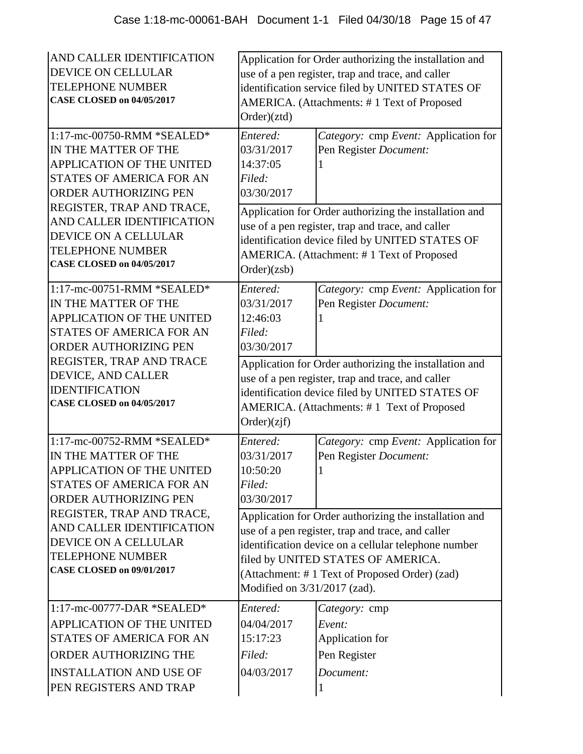| AND CALLER IDENTIFICATION<br><b>DEVICE ON CELLULAR</b><br><b>TELEPHONE NUMBER</b><br><b>CASE CLOSED on 04/05/2017</b>                                                                                                                                                                                      | Application for Order authorizing the installation and<br>use of a pen register, trap and trace, and caller<br>identification service filed by UNITED STATES OF<br>AMERICA. (Attachments: #1 Text of Proposed<br>Order)(ztd) |                                                                                                                                                                                                                                                                                                                              |  |
|------------------------------------------------------------------------------------------------------------------------------------------------------------------------------------------------------------------------------------------------------------------------------------------------------------|------------------------------------------------------------------------------------------------------------------------------------------------------------------------------------------------------------------------------|------------------------------------------------------------------------------------------------------------------------------------------------------------------------------------------------------------------------------------------------------------------------------------------------------------------------------|--|
| 1:17-mc-00750-RMM *SEALED*<br>IN THE MATTER OF THE<br><b>APPLICATION OF THE UNITED</b><br><b>STATES OF AMERICA FOR AN</b><br>ORDER AUTHORIZING PEN                                                                                                                                                         | Entered:<br>03/31/2017<br>14:37:05<br>Filed:<br>03/30/2017                                                                                                                                                                   | Category: cmp Event: Application for<br>Pen Register Document:                                                                                                                                                                                                                                                               |  |
| REGISTER, TRAP AND TRACE,<br>AND CALLER IDENTIFICATION<br><b>DEVICE ON A CELLULAR</b><br><b>TELEPHONE NUMBER</b><br><b>CASE CLOSED on 04/05/2017</b>                                                                                                                                                       | Application for Order authorizing the installation and<br>use of a pen register, trap and trace, and caller<br>identification device filed by UNITED STATES OF<br>AMERICA. (Attachment: #1 Text of Proposed<br>Order)(zsb)   |                                                                                                                                                                                                                                                                                                                              |  |
| 1:17-mc-00751-RMM *SEALED*<br>IN THE MATTER OF THE<br><b>APPLICATION OF THE UNITED</b><br><b>STATES OF AMERICA FOR AN</b><br>ORDER AUTHORIZING PEN<br>REGISTER, TRAP AND TRACE<br>DEVICE, AND CALLER<br><b>IDENTIFICATION</b><br><b>CASE CLOSED on 04/05/2017</b>                                          | Entered:<br>03/31/2017<br>12:46:03<br>Filed:<br>03/30/2017<br>Order)(zif)                                                                                                                                                    | Category: cmp Event: Application for<br>Pen Register Document:<br>Application for Order authorizing the installation and<br>use of a pen register, trap and trace, and caller<br>identification device filed by UNITED STATES OF<br>AMERICA. (Attachments: #1 Text of Proposed                                               |  |
| 1:17-mc-00752-RMM *SEALED*<br>IN THE MATTER OF THE<br>APPLICATION OF THE UNITED<br><b>STATES OF AMERICA FOR AN</b><br><b>ORDER AUTHORIZING PEN</b><br>REGISTER, TRAP AND TRACE,<br>AND CALLER IDENTIFICATION<br><b>DEVICE ON A CELLULAR</b><br><b>TELEPHONE NUMBER</b><br><b>CASE CLOSED on 09/01/2017</b> | Entered:<br>03/31/2017<br>10:50:20<br>Filed:<br>03/30/2017<br>Modified on 3/31/2017 (zad).                                                                                                                                   | Category: cmp Event: Application for<br>Pen Register Document:<br>Application for Order authorizing the installation and<br>use of a pen register, trap and trace, and caller<br>identification device on a cellular telephone number<br>filed by UNITED STATES OF AMERICA.<br>(Attachment: #1 Text of Proposed Order) (zad) |  |
| $1:17$ -mc-00777-DAR *SEALED*<br><b>APPLICATION OF THE UNITED</b><br>STATES OF AMERICA FOR AN<br><b>ORDER AUTHORIZING THE</b><br><b>INSTALLATION AND USE OF</b><br>PEN REGISTERS AND TRAP                                                                                                                  | Entered:<br>04/04/2017<br>15:17:23<br>Filed:<br>04/03/2017                                                                                                                                                                   | Category: cmp<br>Event:<br>Application for<br>Pen Register<br>Document:                                                                                                                                                                                                                                                      |  |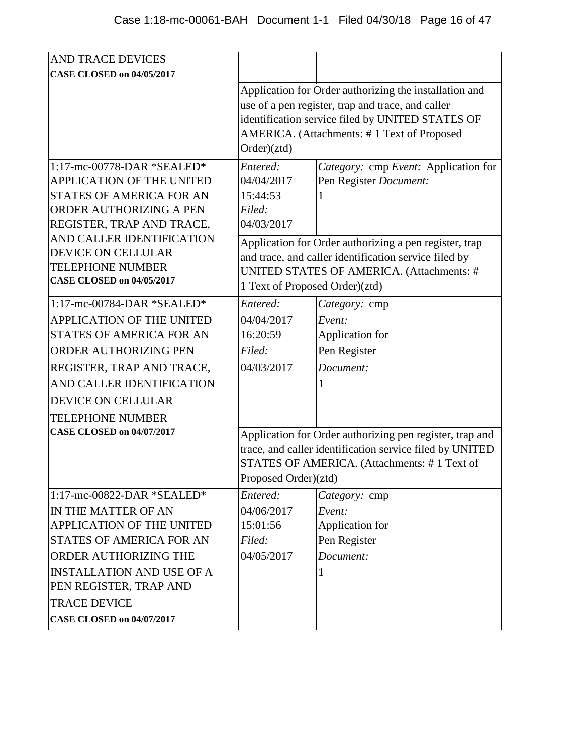| <b>AND TRACE DEVICES</b>                                                                                                                                                                                                                                             |                                                                                              |                                                                                                                                                                                                                                                |
|----------------------------------------------------------------------------------------------------------------------------------------------------------------------------------------------------------------------------------------------------------------------|----------------------------------------------------------------------------------------------|------------------------------------------------------------------------------------------------------------------------------------------------------------------------------------------------------------------------------------------------|
| <b>CASE CLOSED on 04/05/2017</b>                                                                                                                                                                                                                                     | Order)(ztd)                                                                                  | Application for Order authorizing the installation and<br>use of a pen register, trap and trace, and caller<br>identification service filed by UNITED STATES OF<br>AMERICA. (Attachments: #1 Text of Proposed                                  |
| 1:17-mc-00778-DAR *SEALED*<br><b>APPLICATION OF THE UNITED</b><br>STATES OF AMERICA FOR AN<br>ORDER AUTHORIZING A PEN<br>REGISTER, TRAP AND TRACE,<br>AND CALLER IDENTIFICATION<br>DEVICE ON CELLULAR<br><b>TELEPHONE NUMBER</b><br><b>CASE CLOSED on 04/05/2017</b> | Entered:<br>04/04/2017<br>15:44:53<br>Filed:<br>04/03/2017<br>1 Text of Proposed Order)(ztd) | Category: cmp Event: Application for<br>Pen Register Document:<br>Application for Order authorizing a pen register, trap<br>and trace, and caller identification service filed by<br><b>UNITED STATES OF AMERICA. (Attachments: #</b>          |
| 1:17-mc-00784-DAR *SEALED*<br><b>APPLICATION OF THE UNITED</b><br>STATES OF AMERICA FOR AN<br>ORDER AUTHORIZING PEN<br>REGISTER, TRAP AND TRACE,<br>AND CALLER IDENTIFICATION<br>DEVICE ON CELLULAR<br><b>TELEPHONE NUMBER</b><br><b>CASE CLOSED on 04/07/2017</b>   | Entered:<br>04/04/2017<br>16:20:59<br>Filed:<br>04/03/2017<br>Proposed Order)(ztd)           | Category: cmp<br>Event:<br>Application for<br>Pen Register<br>Document:<br>Application for Order authorizing pen register, trap and<br>trace, and caller identification service filed by UNITED<br>STATES OF AMERICA. (Attachments: #1 Text of |
| 1:17-mc-00822-DAR *SEALED*<br>IN THE MATTER OF AN<br>APPLICATION OF THE UNITED<br>STATES OF AMERICA FOR AN<br>ORDER AUTHORIZING THE<br><b>INSTALLATION AND USE OF A</b><br>PEN REGISTER, TRAP AND<br><b>TRACE DEVICE</b><br><b>CASE CLOSED on 04/07/2017</b>         | Entered:<br>04/06/2017<br>15:01:56<br>Filed:<br>04/05/2017                                   | Category: cmp<br>Event:<br>Application for<br>Pen Register<br>Document:<br>1                                                                                                                                                                   |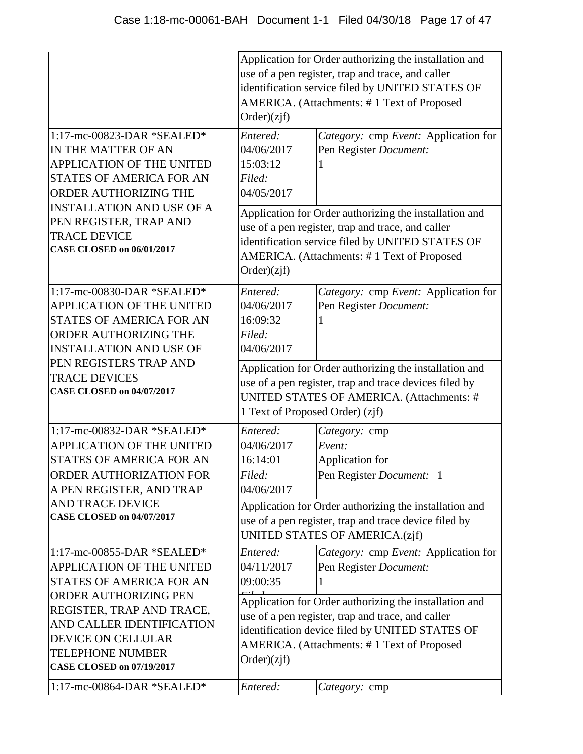|                                                                                                                                                                                                                                                                                  | Application for Order authorizing the installation and<br>use of a pen register, trap and trace, and caller<br>identification service filed by UNITED STATES OF<br>AMERICA. (Attachments: #1 Text of Proposed<br>Order)(zif) |                                                                                                                                                                                                                                                                                |  |
|----------------------------------------------------------------------------------------------------------------------------------------------------------------------------------------------------------------------------------------------------------------------------------|------------------------------------------------------------------------------------------------------------------------------------------------------------------------------------------------------------------------------|--------------------------------------------------------------------------------------------------------------------------------------------------------------------------------------------------------------------------------------------------------------------------------|--|
| 1:17-mc-00823-DAR *SEALED*<br>IN THE MATTER OF AN<br><b>APPLICATION OF THE UNITED</b><br>STATES OF AMERICA FOR AN<br><b>ORDER AUTHORIZING THE</b><br><b>INSTALLATION AND USE OF A</b><br>PEN REGISTER, TRAP AND<br><b>TRACE DEVICE</b><br><b>CASE CLOSED on 06/01/2017</b>       | Entered:<br>04/06/2017<br>15:03:12<br>Filed:<br>04/05/2017                                                                                                                                                                   | Category: cmp Event: Application for<br>Pen Register Document:                                                                                                                                                                                                                 |  |
|                                                                                                                                                                                                                                                                                  | Application for Order authorizing the installation and<br>use of a pen register, trap and trace, and caller<br>identification service filed by UNITED STATES OF<br>AMERICA. (Attachments: #1 Text of Proposed<br>Order)(zif) |                                                                                                                                                                                                                                                                                |  |
| 1:17-mc-00830-DAR *SEALED*<br>APPLICATION OF THE UNITED<br><b>STATES OF AMERICA FOR AN</b><br>ORDER AUTHORIZING THE<br><b>INSTALLATION AND USE OF</b>                                                                                                                            | Entered:<br>04/06/2017<br>16:09:32<br>Filed:<br>04/06/2017                                                                                                                                                                   | Category: cmp Event: Application for<br>Pen Register Document:                                                                                                                                                                                                                 |  |
| PEN REGISTERS TRAP AND<br><b>TRACE DEVICES</b><br><b>CASE CLOSED on 04/07/2017</b>                                                                                                                                                                                               | Application for Order authorizing the installation and<br>use of a pen register, trap and trace devices filed by<br>UNITED STATES OF AMERICA. (Attachments: #<br>1 Text of Proposed Order) (zjf)                             |                                                                                                                                                                                                                                                                                |  |
| 1:17-mc-00832-DAR *SEALED*<br><b>APPLICATION OF THE UNITED</b><br>STATES OF AMERICA FOR AN<br><b>ORDER AUTHORIZATION FOR</b><br>A PEN REGISTER, AND TRAP<br><b>AND TRACE DEVICE</b><br><b>CASE CLOSED on 04/07/2017</b>                                                          | Entered:<br>04/06/2017<br>16:14:01<br>Filed:<br>04/06/2017                                                                                                                                                                   | Category: cmp<br>Event:<br>Application for<br>Pen Register Document: 1<br>Application for Order authorizing the installation and<br>use of a pen register, trap and trace device filed by<br>UNITED STATES OF AMERICA.(zjf)                                                    |  |
| 1:17-mc-00855-DAR *SEALED*<br><b>APPLICATION OF THE UNITED</b><br><b>STATES OF AMERICA FOR AN</b><br>ORDER AUTHORIZING PEN<br>REGISTER, TRAP AND TRACE,<br>AND CALLER IDENTIFICATION<br><b>DEVICE ON CELLULAR</b><br><b>TELEPHONE NUMBER</b><br><b>CASE CLOSED on 07/19/2017</b> | Entered:<br>04/11/2017<br>09:00:35<br>Order)(zif)                                                                                                                                                                            | Category: cmp Event: Application for<br>Pen Register Document:<br>Application for Order authorizing the installation and<br>use of a pen register, trap and trace, and caller<br>identification device filed by UNITED STATES OF<br>AMERICA. (Attachments: #1 Text of Proposed |  |
| 1:17-mc-00864-DAR *SEALED*                                                                                                                                                                                                                                                       | Entered:                                                                                                                                                                                                                     | Category: cmp                                                                                                                                                                                                                                                                  |  |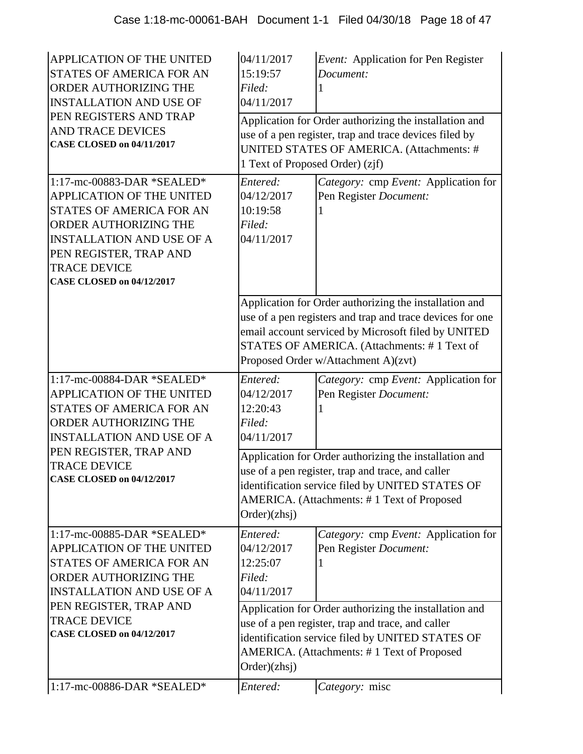| APPLICATION OF THE UNITED<br><b>STATES OF AMERICA FOR AN</b><br>ORDER AUTHORIZING THE<br><b>INSTALLATION AND USE OF</b>                                                                                                                             | 04/11/2017<br>15:19:57<br>Filed:<br>04/11/2017                                                                                                                                                                                | Event: Application for Pen Register<br>Document:                                                                                                                                                                                                                 |
|-----------------------------------------------------------------------------------------------------------------------------------------------------------------------------------------------------------------------------------------------------|-------------------------------------------------------------------------------------------------------------------------------------------------------------------------------------------------------------------------------|------------------------------------------------------------------------------------------------------------------------------------------------------------------------------------------------------------------------------------------------------------------|
| PEN REGISTERS AND TRAP<br><b>AND TRACE DEVICES</b><br>CASE CLOSED on 04/11/2017                                                                                                                                                                     | 1 Text of Proposed Order) (zjf)                                                                                                                                                                                               | Application for Order authorizing the installation and<br>use of a pen register, trap and trace devices filed by<br>UNITED STATES OF AMERICA. (Attachments: #                                                                                                    |
| 1:17-mc-00883-DAR *SEALED*<br><b>APPLICATION OF THE UNITED</b><br><b>STATES OF AMERICA FOR AN</b><br>ORDER AUTHORIZING THE<br><b>INSTALLATION AND USE OF A</b><br>PEN REGISTER, TRAP AND<br><b>TRACE DEVICE</b><br><b>CASE CLOSED on 04/12/2017</b> | Entered:<br>04/12/2017<br>10:19:58<br>Filed:<br>04/11/2017                                                                                                                                                                    | Category: cmp Event: Application for<br>Pen Register Document:                                                                                                                                                                                                   |
|                                                                                                                                                                                                                                                     |                                                                                                                                                                                                                               | Application for Order authorizing the installation and<br>use of a pen registers and trap and trace devices for one<br>email account serviced by Microsoft filed by UNITED<br>STATES OF AMERICA. (Attachments: #1 Text of<br>Proposed Order w/Attachment A)(zvt) |
| 1:17-mc-00884-DAR *SEALED*<br><b>APPLICATION OF THE UNITED</b><br>STATES OF AMERICA FOR AN<br><b>ORDER AUTHORIZING THE</b><br><b>INSTALLATION AND USE OF A</b>                                                                                      | Entered:<br>04/12/2017<br>12:20:43<br>Filed:<br>04/11/2017                                                                                                                                                                    | Category: cmp Event: Application for<br>Pen Register Document:                                                                                                                                                                                                   |
| PEN REGISTER, TRAP AND<br><b>TRACE DEVICE</b><br><b>CASE CLOSED on 04/12/2017</b>                                                                                                                                                                   | Application for Order authorizing the installation and<br>use of a pen register, trap and trace, and caller<br>identification service filed by UNITED STATES OF<br>AMERICA. (Attachments: #1 Text of Proposed<br>Order)(zhsj) |                                                                                                                                                                                                                                                                  |
|                                                                                                                                                                                                                                                     |                                                                                                                                                                                                                               |                                                                                                                                                                                                                                                                  |
| 1:17-mc-00885-DAR *SEALED*<br><b>APPLICATION OF THE UNITED</b><br>STATES OF AMERICA FOR AN<br><b>ORDER AUTHORIZING THE</b><br><b>INSTALLATION AND USE OF A</b>                                                                                      | Entered:<br>04/12/2017<br>12:25:07<br>Filed:<br>04/11/2017                                                                                                                                                                    | Category: cmp Event: Application for<br>Pen Register Document:                                                                                                                                                                                                   |
| PEN REGISTER, TRAP AND<br><b>TRACE DEVICE</b><br><b>CASE CLOSED on 04/12/2017</b>                                                                                                                                                                   | Order)(zhsj)                                                                                                                                                                                                                  | Application for Order authorizing the installation and<br>use of a pen register, trap and trace, and caller<br>identification service filed by UNITED STATES OF<br>AMERICA. (Attachments: #1 Text of Proposed                                                    |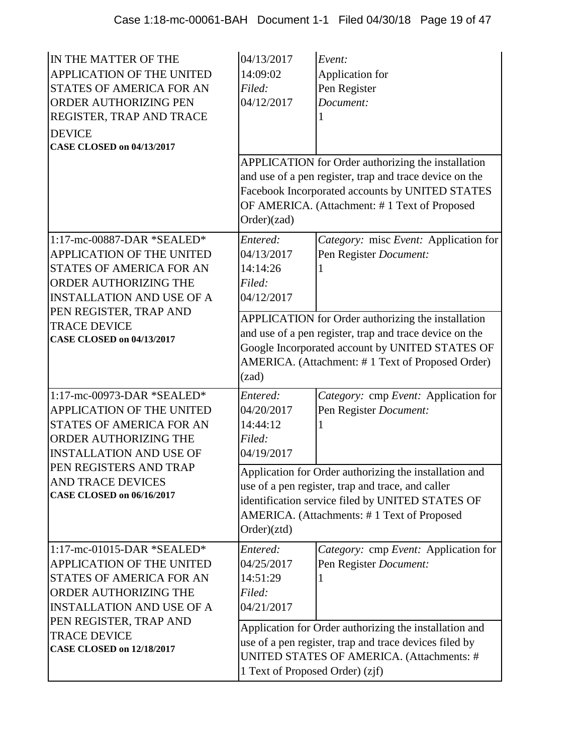| IN THE MATTER OF THE<br>APPLICATION OF THE UNITED<br>STATES OF AMERICA FOR AN<br>ORDER AUTHORIZING PEN<br>REGISTER, TRAP AND TRACE<br><b>DEVICE</b><br><b>CASE CLOSED on 04/13/2017</b>                                                         | 04/13/2017<br>14:09:02<br>Filed:<br>04/12/2017<br>Order)(zad)                                                                                                                                                                 | Event:<br>Application for<br>Pen Register<br>Document:<br>APPLICATION for Order authorizing the installation<br>and use of a pen register, trap and trace device on the<br>Facebook Incorporated accounts by UNITED STATES<br>OF AMERICA. (Attachment: #1 Text of Proposed |  |
|-------------------------------------------------------------------------------------------------------------------------------------------------------------------------------------------------------------------------------------------------|-------------------------------------------------------------------------------------------------------------------------------------------------------------------------------------------------------------------------------|----------------------------------------------------------------------------------------------------------------------------------------------------------------------------------------------------------------------------------------------------------------------------|--|
| 1:17-mc-00887-DAR *SEALED*<br>APPLICATION OF THE UNITED<br><b>STATES OF AMERICA FOR AN</b><br>ORDER AUTHORIZING THE<br><b>INSTALLATION AND USE OF A</b>                                                                                         | Entered:<br>04/13/2017<br>14:14:26<br>Filed:<br>04/12/2017                                                                                                                                                                    | Category: misc Event: Application for<br>Pen Register Document:                                                                                                                                                                                                            |  |
| PEN REGISTER, TRAP AND<br><b>TRACE DEVICE</b><br><b>CASE CLOSED on 04/13/2017</b>                                                                                                                                                               | APPLICATION for Order authorizing the installation<br>and use of a pen register, trap and trace device on the<br>Google Incorporated account by UNITED STATES OF<br>AMERICA. (Attachment: #1 Text of Proposed Order)<br>(zad) |                                                                                                                                                                                                                                                                            |  |
| 1:17-mc-00973-DAR *SEALED*<br>APPLICATION OF THE UNITED<br><b>STATES OF AMERICA FOR AN</b><br>ORDER AUTHORIZING THE<br><b>INSTALLATION AND USE OF</b><br>PEN REGISTERS AND TRAP<br><b>AND TRACE DEVICES</b><br><b>CASE CLOSED on 06/16/2017</b> | Entered:<br>04/20/2017<br>14:44:12<br>Filed:<br>04/19/2017                                                                                                                                                                    | Category: cmp Event: Application for<br>Pen Register Document:                                                                                                                                                                                                             |  |
|                                                                                                                                                                                                                                                 | Application for Order authorizing the installation and<br>use of a pen register, trap and trace, and caller<br>identification service filed by UNITED STATES OF<br>AMERICA. (Attachments: #1 Text of Proposed<br>Order)(ztd)  |                                                                                                                                                                                                                                                                            |  |
| $1:17$ -mc-01015-DAR *SEALED*<br><b>APPLICATION OF THE UNITED</b><br><b>STATES OF AMERICA FOR AN</b><br>ORDER AUTHORIZING THE<br><b>INSTALLATION AND USE OF A</b>                                                                               | Entered:<br>04/25/2017<br>14:51:29<br>Filed:<br>04/21/2017                                                                                                                                                                    | Category: cmp Event: Application for<br>Pen Register Document:                                                                                                                                                                                                             |  |
| PEN REGISTER, TRAP AND<br><b>TRACE DEVICE</b><br><b>CASE CLOSED on 12/18/2017</b>                                                                                                                                                               | 1 Text of Proposed Order) (zjf)                                                                                                                                                                                               | Application for Order authorizing the installation and<br>use of a pen register, trap and trace devices filed by<br>UNITED STATES OF AMERICA. (Attachments: #                                                                                                              |  |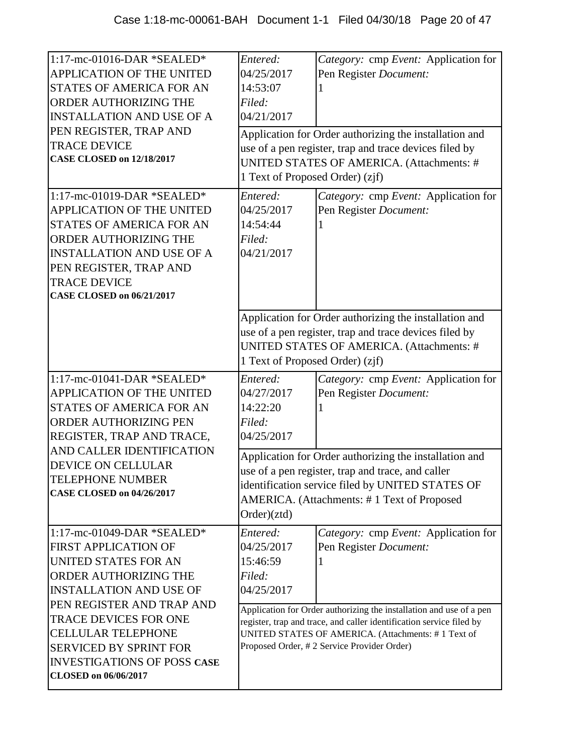| 1:17-mc-01016-DAR *SEALED*<br>APPLICATION OF THE UNITED<br>STATES OF AMERICA FOR AN<br>ORDER AUTHORIZING THE<br><b>INSTALLATION AND USE OF A</b><br>PEN REGISTER, TRAP AND<br><b>TRACE DEVICE</b><br><b>CASE CLOSED on 12/18/2017</b> | Entered:<br>04/25/2017<br>14:53:07<br>Filed:<br>04/21/2017<br>1 Text of Proposed Order) (zjf)                                                                                                                                | Category: cmp Event: Application for<br>Pen Register Document:<br>Application for Order authorizing the installation and<br>use of a pen register, trap and trace devices filed by<br>UNITED STATES OF AMERICA. (Attachments: #                 |
|---------------------------------------------------------------------------------------------------------------------------------------------------------------------------------------------------------------------------------------|------------------------------------------------------------------------------------------------------------------------------------------------------------------------------------------------------------------------------|-------------------------------------------------------------------------------------------------------------------------------------------------------------------------------------------------------------------------------------------------|
| 1:17-mc-01019-DAR *SEALED*<br>APPLICATION OF THE UNITED<br>STATES OF AMERICA FOR AN<br>ORDER AUTHORIZING THE<br><b>INSTALLATION AND USE OF A</b><br>PEN REGISTER, TRAP AND<br><b>TRACE DEVICE</b><br><b>CASE CLOSED on 06/21/2017</b> | Entered:<br>04/25/2017<br>14:54:44<br>Filed:<br>04/21/2017                                                                                                                                                                   | Category: cmp Event: Application for<br>Pen Register Document:                                                                                                                                                                                  |
|                                                                                                                                                                                                                                       | 1 Text of Proposed Order) (zjf)                                                                                                                                                                                              | Application for Order authorizing the installation and<br>use of a pen register, trap and trace devices filed by<br>UNITED STATES OF AMERICA. (Attachments: #                                                                                   |
| 1:17-mc-01041-DAR *SEALED*<br>APPLICATION OF THE UNITED<br>STATES OF AMERICA FOR AN<br><b>ORDER AUTHORIZING PEN</b><br>REGISTER, TRAP AND TRACE,                                                                                      | Entered:<br>04/27/2017<br>14:22:20<br>Filed:<br>04/25/2017                                                                                                                                                                   | Category: cmp Event: Application for<br>Pen Register Document:                                                                                                                                                                                  |
| AND CALLER IDENTIFICATION<br>DEVICE ON CELLULAR<br>TELEPHONE NUMBER<br><b>CASE CLOSED on 04/26/2017</b>                                                                                                                               | Application for Order authorizing the installation and<br>use of a pen register, trap and trace, and caller<br>identification service filed by UNITED STATES OF<br>AMERICA. (Attachments: #1 Text of Proposed<br>Order)(ztd) |                                                                                                                                                                                                                                                 |
| $1:17$ -mc-01049-DAR *SEALED*<br><b>FIRST APPLICATION OF</b><br>UNITED STATES FOR AN<br>ORDER AUTHORIZING THE<br><b>INSTALLATION AND USE OF</b>                                                                                       | Entered:<br>04/25/2017<br>15:46:59<br>Filed:<br>04/25/2017                                                                                                                                                                   | Category: cmp Event: Application for<br>Pen Register Document:                                                                                                                                                                                  |
| PEN REGISTER AND TRAP AND<br><b>TRACE DEVICES FOR ONE</b><br><b>CELLULAR TELEPHONE</b><br><b>SERVICED BY SPRINT FOR</b><br><b>INVESTIGATIONS OF POSS CASE</b><br>CLOSED on 06/06/2017                                                 |                                                                                                                                                                                                                              | Application for Order authorizing the installation and use of a pen<br>register, trap and trace, and caller identification service filed by<br>UNITED STATES OF AMERICA. (Attachments: #1 Text of<br>Proposed Order, #2 Service Provider Order) |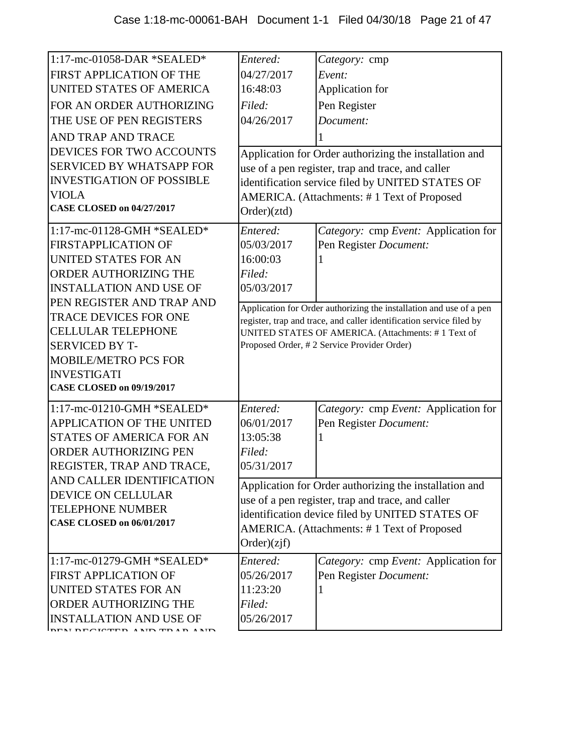| 1:17-mc-01058-DAR *SEALED*       | Entered:                                                                                                                                                                 | Category: cmp                                                       |
|----------------------------------|--------------------------------------------------------------------------------------------------------------------------------------------------------------------------|---------------------------------------------------------------------|
| FIRST APPLICATION OF THE         | 04/27/2017                                                                                                                                                               | Event:                                                              |
| UNITED STATES OF AMERICA         | 16:48:03                                                                                                                                                                 | Application for                                                     |
| FOR AN ORDER AUTHORIZING         | Filed:                                                                                                                                                                   | Pen Register                                                        |
| THE USE OF PEN REGISTERS         | 04/26/2017                                                                                                                                                               | Document:                                                           |
| AND TRAP AND TRACE               |                                                                                                                                                                          |                                                                     |
| DEVICES FOR TWO ACCOUNTS         |                                                                                                                                                                          | Application for Order authorizing the installation and              |
| <b>SERVICED BY WHATSAPP FOR</b>  |                                                                                                                                                                          | use of a pen register, trap and trace, and caller                   |
| <b>INVESTIGATION OF POSSIBLE</b> |                                                                                                                                                                          | identification service filed by UNITED STATES OF                    |
| <b>VIOLA</b>                     |                                                                                                                                                                          | AMERICA. (Attachments: #1 Text of Proposed                          |
| <b>CASE CLOSED on 04/27/2017</b> | Order)(ztd)                                                                                                                                                              |                                                                     |
| 1:17-mc-01128-GMH *SEALED*       | Entered:                                                                                                                                                                 | Category: cmp Event: Application for                                |
| <b>FIRSTAPPLICATION OF</b>       | 05/03/2017                                                                                                                                                               | Pen Register Document:                                              |
| <b>UNITED STATES FOR AN</b>      | 16:00:03                                                                                                                                                                 |                                                                     |
| <b>ORDER AUTHORIZING THE</b>     | Filed:                                                                                                                                                                   |                                                                     |
| <b>INSTALLATION AND USE OF</b>   | 05/03/2017                                                                                                                                                               |                                                                     |
| PEN REGISTER AND TRAP AND        |                                                                                                                                                                          | Application for Order authorizing the installation and use of a pen |
| <b>TRACE DEVICES FOR ONE</b>     | register, trap and trace, and caller identification service filed by<br>UNITED STATES OF AMERICA. (Attachments: #1 Text of<br>Proposed Order, #2 Service Provider Order) |                                                                     |
| <b>CELLULAR TELEPHONE</b>        |                                                                                                                                                                          |                                                                     |
| <b>SERVICED BY T-</b>            |                                                                                                                                                                          |                                                                     |
| <b>MOBILE/METRO PCS FOR</b>      |                                                                                                                                                                          |                                                                     |
| <b>INVESTIGATI</b>               |                                                                                                                                                                          |                                                                     |
| <b>CASE CLOSED on 09/19/2017</b> |                                                                                                                                                                          |                                                                     |
| 1:17-mc-01210-GMH *SEALED*       | Entered:                                                                                                                                                                 | Category: cmp Event: Application for                                |
| APPLICATION OF THE UNITED        | 06/01/2017                                                                                                                                                               | Pen Register Document:                                              |
| <b>STATES OF AMERICA FOR AN</b>  | 13:05:38                                                                                                                                                                 |                                                                     |
| <b>ORDER AUTHORIZING PEN</b>     | Filed:                                                                                                                                                                   |                                                                     |
| REGISTER, TRAP AND TRACE,        | 05/31/2017                                                                                                                                                               |                                                                     |
| AND CALLER IDENTIFICATION        |                                                                                                                                                                          | Application for Order authorizing the installation and              |
| DEVICE ON CELLULAR               |                                                                                                                                                                          | use of a pen register, trap and trace, and caller                   |
| <b>TELEPHONE NUMBER</b>          |                                                                                                                                                                          | identification device filed by UNITED STATES OF                     |
| <b>CASE CLOSED on 06/01/2017</b> |                                                                                                                                                                          | AMERICA. (Attachments: #1 Text of Proposed                          |
|                                  | Order)(zif)                                                                                                                                                              |                                                                     |
| 1:17-mc-01279-GMH *SEALED*       | Entered:                                                                                                                                                                 | Category: cmp Event: Application for                                |
| <b>FIRST APPLICATION OF</b>      | 05/26/2017                                                                                                                                                               | Pen Register Document:                                              |
| <b>UNITED STATES FOR AN</b>      | 11:23:20                                                                                                                                                                 |                                                                     |
| ORDER AUTHORIZING THE            | Filed:                                                                                                                                                                   |                                                                     |
| <b>INSTALLATION AND USE OF</b>   | 05/26/2017                                                                                                                                                               |                                                                     |
|                                  |                                                                                                                                                                          |                                                                     |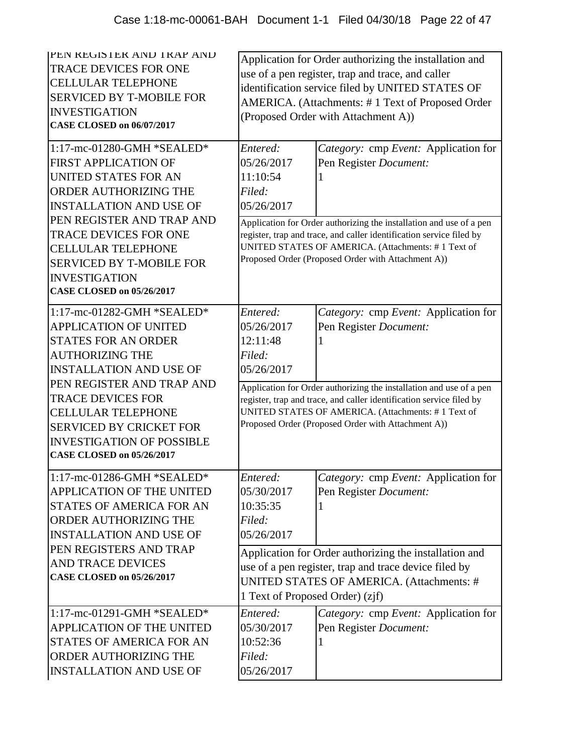| PEN REGISTER AND TRAP AND<br><b>TRACE DEVICES FOR ONE</b><br><b>CELLULAR TELEPHONE</b><br><b>SERVICED BY T-MOBILE FOR</b><br><b>INVESTIGATION</b><br><b>CASE CLOSED on 06/07/2017</b>        | Application for Order authorizing the installation and<br>use of a pen register, trap and trace, and caller<br>identification service filed by UNITED STATES OF<br>AMERICA. (Attachments: #1 Text of Proposed Order<br>(Proposed Order with Attachment A)) |                                                                                                                                                                                                                                                         |  |
|----------------------------------------------------------------------------------------------------------------------------------------------------------------------------------------------|------------------------------------------------------------------------------------------------------------------------------------------------------------------------------------------------------------------------------------------------------------|---------------------------------------------------------------------------------------------------------------------------------------------------------------------------------------------------------------------------------------------------------|--|
| 1:17-mc-01280-GMH *SEALED*<br><b>FIRST APPLICATION OF</b><br>UNITED STATES FOR AN<br><b>ORDER AUTHORIZING THE</b><br><b>INSTALLATION AND USE OF</b>                                          | Entered:<br>05/26/2017<br>11:10:54<br>Filed:<br>05/26/2017                                                                                                                                                                                                 | Category: cmp Event: Application for<br>Pen Register Document:                                                                                                                                                                                          |  |
| PEN REGISTER AND TRAP AND<br><b>TRACE DEVICES FOR ONE</b><br><b>CELLULAR TELEPHONE</b><br><b>SERVICED BY T-MOBILE FOR</b><br><b>INVESTIGATION</b><br><b>CASE CLOSED on 05/26/2017</b>        |                                                                                                                                                                                                                                                            | Application for Order authorizing the installation and use of a pen<br>register, trap and trace, and caller identification service filed by<br>UNITED STATES OF AMERICA. (Attachments: #1 Text of<br>Proposed Order (Proposed Order with Attachment A)) |  |
| 1:17-mc-01282-GMH *SEALED*<br><b>APPLICATION OF UNITED</b><br><b>STATES FOR AN ORDER</b><br><b>AUTHORIZING THE</b><br><b>INSTALLATION AND USE OF</b>                                         | Entered:<br>05/26/2017<br>12:11:48<br>Filed:<br>05/26/2017                                                                                                                                                                                                 | Category: cmp Event: Application for<br>Pen Register Document:                                                                                                                                                                                          |  |
| PEN REGISTER AND TRAP AND<br><b>TRACE DEVICES FOR</b><br><b>CELLULAR TELEPHONE</b><br><b>SERVICED BY CRICKET FOR</b><br><b>INVESTIGATION OF POSSIBLE</b><br><b>CASE CLOSED on 05/26/2017</b> | Application for Order authorizing the installation and use of a pen<br>register, trap and trace, and caller identification service filed by<br>UNITED STATES OF AMERICA. (Attachments: #1 Text of<br>Proposed Order (Proposed Order with Attachment A))    |                                                                                                                                                                                                                                                         |  |
| 1:17-mc-01286-GMH *SEALED*<br><b>APPLICATION OF THE UNITED</b><br><b>STATES OF AMERICA FOR AN</b><br>ORDER AUTHORIZING THE<br><b>INSTALLATION AND USE OF</b>                                 | Entered:<br>05/30/2017<br>10:35:35<br>Filed:<br>05/26/2017                                                                                                                                                                                                 | Category: cmp Event: Application for<br>Pen Register Document:                                                                                                                                                                                          |  |
| PEN REGISTERS AND TRAP<br><b>AND TRACE DEVICES</b><br><b>CASE CLOSED on 05/26/2017</b>                                                                                                       | Application for Order authorizing the installation and<br>use of a pen register, trap and trace device filed by<br>UNITED STATES OF AMERICA. (Attachments: #<br>1 Text of Proposed Order) (zjf)                                                            |                                                                                                                                                                                                                                                         |  |
| 1:17-mc-01291-GMH *SEALED*<br><b>APPLICATION OF THE UNITED</b><br><b>STATES OF AMERICA FOR AN</b><br>ORDER AUTHORIZING THE<br><b>INSTALLATION AND USE OF</b>                                 | Entered:<br>05/30/2017<br>10:52:36<br>Filed:<br>05/26/2017                                                                                                                                                                                                 | Category: cmp Event: Application for<br>Pen Register Document:                                                                                                                                                                                          |  |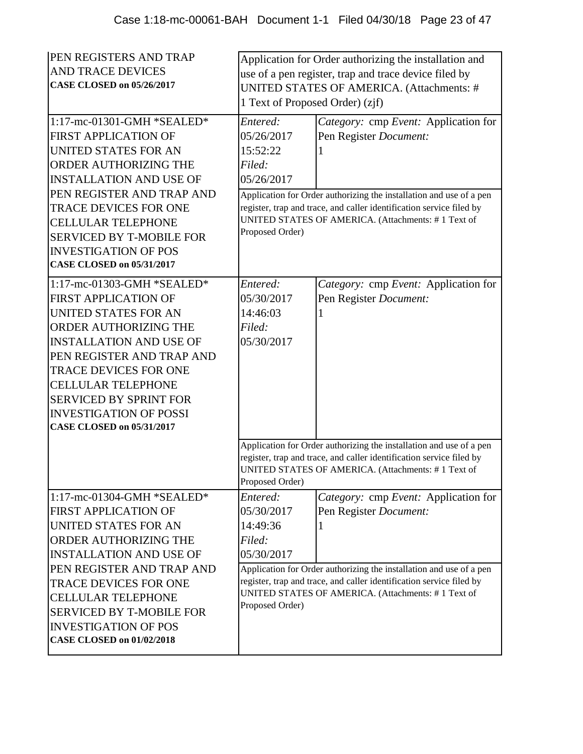| PEN REGISTERS AND TRAP<br><b>AND TRACE DEVICES</b><br><b>CASE CLOSED on 05/26/2017</b><br>1:17-mc-01301-GMH *SEALED*<br><b>FIRST APPLICATION OF</b><br><b>UNITED STATES FOR AN</b><br><b>ORDER AUTHORIZING THE</b><br><b>INSTALLATION AND USE OF</b><br>PEN REGISTER AND TRAP AND                                                            | 1 Text of Proposed Order) (zjf)<br>Entered:<br>05/26/2017<br>15:52:22<br>Filed:<br>05/26/2017                                                 | Application for Order authorizing the installation and<br>use of a pen register, trap and trace device filed by<br>UNITED STATES OF AMERICA. (Attachments: #<br>Category: cmp Event: Application for<br>Pen Register Document:<br>Application for Order authorizing the installation and use of a pen |  |
|----------------------------------------------------------------------------------------------------------------------------------------------------------------------------------------------------------------------------------------------------------------------------------------------------------------------------------------------|-----------------------------------------------------------------------------------------------------------------------------------------------|-------------------------------------------------------------------------------------------------------------------------------------------------------------------------------------------------------------------------------------------------------------------------------------------------------|--|
| <b>TRACE DEVICES FOR ONE</b><br><b>CELLULAR TELEPHONE</b><br><b>SERVICED BY T-MOBILE FOR</b><br><b>INVESTIGATION OF POS</b><br><b>CASE CLOSED on 05/31/2017</b>                                                                                                                                                                              | register, trap and trace, and caller identification service filed by<br>UNITED STATES OF AMERICA. (Attachments: #1 Text of<br>Proposed Order) |                                                                                                                                                                                                                                                                                                       |  |
| 1:17-mc-01303-GMH *SEALED*<br><b>FIRST APPLICATION OF</b><br>UNITED STATES FOR AN<br><b>ORDER AUTHORIZING THE</b><br><b>INSTALLATION AND USE OF</b><br>PEN REGISTER AND TRAP AND<br>TRACE DEVICES FOR ONE<br><b>CELLULAR TELEPHONE</b><br><b>SERVICED BY SPRINT FOR</b><br><b>INVESTIGATION OF POSSI</b><br><b>CASE CLOSED on 05/31/2017</b> | Entered:<br>05/30/2017<br>14:46:03<br>Filed:<br>05/30/2017                                                                                    | Category: cmp Event: Application for<br>Pen Register Document:                                                                                                                                                                                                                                        |  |
|                                                                                                                                                                                                                                                                                                                                              | Proposed Order)                                                                                                                               | Application for Order authorizing the installation and use of a pen<br>register, trap and trace, and caller identification service filed by<br>UNITED STATES OF AMERICA. (Attachments: #1 Text of                                                                                                     |  |
| 1:17-mc-01304-GMH *SEALED*<br><b>FIRST APPLICATION OF</b><br>UNITED STATES FOR AN<br>ORDER AUTHORIZING THE<br><b>INSTALLATION AND USE OF</b><br>PEN REGISTER AND TRAP AND<br>TRACE DEVICES FOR ONE<br><b>CELLULAR TELEPHONE</b><br><b>SERVICED BY T-MOBILE FOR</b><br><b>INVESTIGATION OF POS</b><br><b>CASE CLOSED on 01/02/2018</b>        | Entered:<br>05/30/2017<br>14:49:36<br>Filed:<br>05/30/2017<br>Proposed Order)                                                                 | Category: cmp Event: Application for<br>Pen Register Document:<br>Application for Order authorizing the installation and use of a pen<br>register, trap and trace, and caller identification service filed by<br>UNITED STATES OF AMERICA. (Attachments: #1 Text of                                   |  |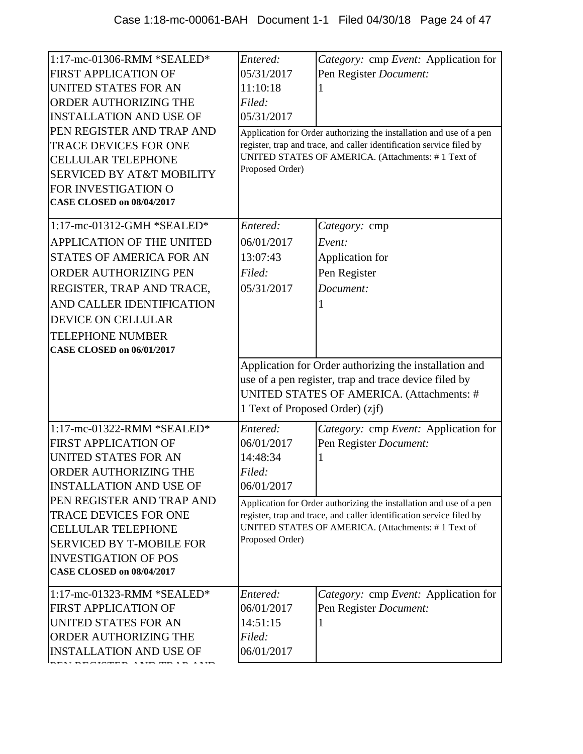| 1:17-mc-01306-RMM *SEALED*<br><b>FIRST APPLICATION OF</b><br>UNITED STATES FOR AN<br><b>ORDER AUTHORIZING THE</b><br><b>INSTALLATION AND USE OF</b><br>PEN REGISTER AND TRAP AND<br><b>TRACE DEVICES FOR ONE</b><br><b>CELLULAR TELEPHONE</b><br><b>SERVICED BY AT&amp;T MOBILITY</b><br>FOR INVESTIGATION O<br><b>CASE CLOSED on 08/04/2017</b> | Entered:<br>05/31/2017<br>11:10:18<br>Filed:<br>05/31/2017<br>Proposed Order)                                                                                                                   | Category: cmp Event: Application for<br>Pen Register Document:<br>Application for Order authorizing the installation and use of a pen<br>register, trap and trace, and caller identification service filed by<br>UNITED STATES OF AMERICA. (Attachments: #1 Text of |
|--------------------------------------------------------------------------------------------------------------------------------------------------------------------------------------------------------------------------------------------------------------------------------------------------------------------------------------------------|-------------------------------------------------------------------------------------------------------------------------------------------------------------------------------------------------|---------------------------------------------------------------------------------------------------------------------------------------------------------------------------------------------------------------------------------------------------------------------|
| 1:17-mc-01312-GMH *SEALED*<br>APPLICATION OF THE UNITED<br><b>STATES OF AMERICA FOR AN</b><br><b>ORDER AUTHORIZING PEN</b><br>REGISTER, TRAP AND TRACE,<br>AND CALLER IDENTIFICATION<br><b>DEVICE ON CELLULAR</b><br><b>TELEPHONE NUMBER</b><br><b>CASE CLOSED on 06/01/2017</b>                                                                 | Entered:<br>06/01/2017<br>13:07:43<br>Filed:<br>05/31/2017                                                                                                                                      | Category: cmp<br>Event:<br>Application for<br>Pen Register<br>Document:                                                                                                                                                                                             |
|                                                                                                                                                                                                                                                                                                                                                  | Application for Order authorizing the installation and<br>use of a pen register, trap and trace device filed by<br>UNITED STATES OF AMERICA. (Attachments: #<br>1 Text of Proposed Order) (zjf) |                                                                                                                                                                                                                                                                     |
| 1:17-mc-01322-RMM *SEALED*<br><b>FIRST APPLICATION OF</b><br><b>UNITED STATES FOR AN</b><br>ORDER AUTHORIZING THE<br><b>INSTALLATION AND USE OF</b>                                                                                                                                                                                              | Entered:<br>06/01/2017<br>14:48:34<br>Filed:<br>06/01/2017                                                                                                                                      | Category: cmp Event: Application for<br>Pen Register Document:                                                                                                                                                                                                      |
| PEN REGISTER AND TRAP AND<br>TRACE DEVICES FOR ONE<br><b>CELLULAR TELEPHONE</b><br><b>SERVICED BY T-MOBILE FOR</b><br><b>INVESTIGATION OF POS</b><br><b>CASE CLOSED on 08/04/2017</b>                                                                                                                                                            | Proposed Order)                                                                                                                                                                                 | Application for Order authorizing the installation and use of a pen<br>register, trap and trace, and caller identification service filed by<br>UNITED STATES OF AMERICA. (Attachments: #1 Text of                                                                   |
| 1:17-mc-01323-RMM *SEALED*<br><b>FIRST APPLICATION OF</b><br>UNITED STATES FOR AN<br><b>ORDER AUTHORIZING THE</b><br><b>INSTALLATION AND USE OF</b>                                                                                                                                                                                              | Entered:<br>06/01/2017<br>14:51:15<br>Filed:<br>06/01/2017                                                                                                                                      | Category: cmp Event: Application for<br>Pen Register Document:                                                                                                                                                                                                      |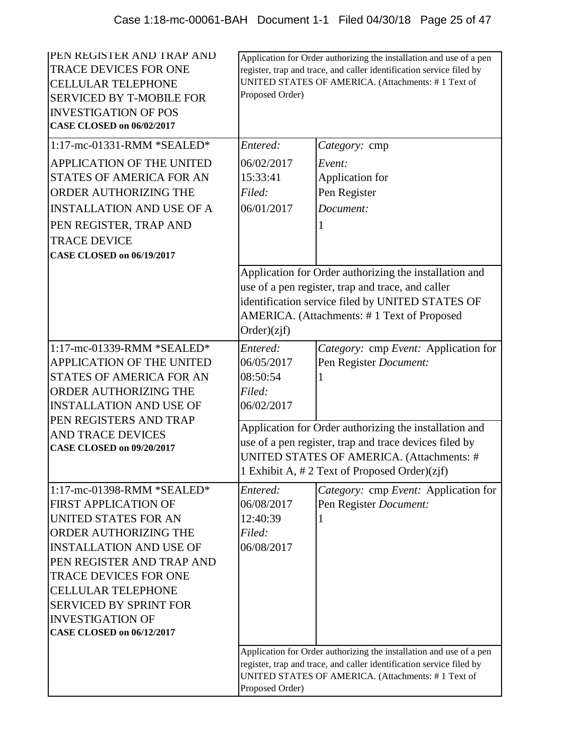| <b>IPEN REGISTER AND TRAP AND</b><br><b>TRACE DEVICES FOR ONE</b><br><b>CELLULAR TELEPHONE</b><br><b>SERVICED BY T-MOBILE FOR</b><br><b>INVESTIGATION OF POS</b><br><b>CASE CLOSED on 06/02/2017</b> | Application for Order authorizing the installation and use of a pen<br>register, trap and trace, and caller identification service filed by<br>UNITED STATES OF AMERICA. (Attachments: #1 Text of<br>Proposed Order) |                                                                                                                                                                                                               |
|------------------------------------------------------------------------------------------------------------------------------------------------------------------------------------------------------|----------------------------------------------------------------------------------------------------------------------------------------------------------------------------------------------------------------------|---------------------------------------------------------------------------------------------------------------------------------------------------------------------------------------------------------------|
| 1:17-mc-01331-RMM *SEALED*                                                                                                                                                                           | Entered:                                                                                                                                                                                                             | Category: cmp                                                                                                                                                                                                 |
| <b>APPLICATION OF THE UNITED</b>                                                                                                                                                                     | 06/02/2017                                                                                                                                                                                                           | Event:                                                                                                                                                                                                        |
| <b>STATES OF AMERICA FOR AN</b>                                                                                                                                                                      | 15:33:41                                                                                                                                                                                                             | Application for                                                                                                                                                                                               |
| <b>ORDER AUTHORIZING THE</b>                                                                                                                                                                         | Filed:                                                                                                                                                                                                               | Pen Register                                                                                                                                                                                                  |
| <b>INSTALLATION AND USE OF A</b>                                                                                                                                                                     | 06/01/2017                                                                                                                                                                                                           | Document:                                                                                                                                                                                                     |
| PEN REGISTER, TRAP AND                                                                                                                                                                               |                                                                                                                                                                                                                      |                                                                                                                                                                                                               |
| <b>TRACE DEVICE</b>                                                                                                                                                                                  |                                                                                                                                                                                                                      |                                                                                                                                                                                                               |
| <b>CASE CLOSED on 06/19/2017</b>                                                                                                                                                                     |                                                                                                                                                                                                                      |                                                                                                                                                                                                               |
|                                                                                                                                                                                                      | Order)(zif)                                                                                                                                                                                                          | Application for Order authorizing the installation and<br>use of a pen register, trap and trace, and caller<br>identification service filed by UNITED STATES OF<br>AMERICA. (Attachments: #1 Text of Proposed |
| 1:17-mc-01339-RMM *SEALED*                                                                                                                                                                           | Entered:                                                                                                                                                                                                             | Category: cmp Event: Application for                                                                                                                                                                          |
| <b>APPLICATION OF THE UNITED</b>                                                                                                                                                                     | 06/05/2017                                                                                                                                                                                                           | Pen Register Document:                                                                                                                                                                                        |
| STATES OF AMERICA FOR AN                                                                                                                                                                             | 08:50:54                                                                                                                                                                                                             |                                                                                                                                                                                                               |
| ORDER AUTHORIZING THE                                                                                                                                                                                | Filed:                                                                                                                                                                                                               |                                                                                                                                                                                                               |
| <b>INSTALLATION AND USE OF</b><br>PEN REGISTERS AND TRAP                                                                                                                                             | 06/02/2017                                                                                                                                                                                                           |                                                                                                                                                                                                               |
| <b>AND TRACE DEVICES</b>                                                                                                                                                                             | Application for Order authorizing the installation and<br>use of a pen register, trap and trace devices filed by<br>UNITED STATES OF AMERICA. (Attachments: #                                                        |                                                                                                                                                                                                               |
| <b>CASE CLOSED on 09/20/2017</b>                                                                                                                                                                     |                                                                                                                                                                                                                      |                                                                                                                                                                                                               |
|                                                                                                                                                                                                      |                                                                                                                                                                                                                      |                                                                                                                                                                                                               |
|                                                                                                                                                                                                      |                                                                                                                                                                                                                      | 1 Exhibit A, #2 Text of Proposed Order)(zjf)                                                                                                                                                                  |
| 1:17-mc-01398-RMM *SEALED*                                                                                                                                                                           | Entered:                                                                                                                                                                                                             | Category: cmp Event: Application for                                                                                                                                                                          |
| <b>FIRST APPLICATION OF</b>                                                                                                                                                                          | 06/08/2017                                                                                                                                                                                                           | Pen Register Document:                                                                                                                                                                                        |
| UNITED STATES FOR AN                                                                                                                                                                                 | 12:40:39                                                                                                                                                                                                             |                                                                                                                                                                                                               |
| <b>ORDER AUTHORIZING THE</b>                                                                                                                                                                         | Filed:                                                                                                                                                                                                               |                                                                                                                                                                                                               |
| <b>INSTALLATION AND USE OF</b><br>PEN REGISTER AND TRAP AND                                                                                                                                          | 06/08/2017                                                                                                                                                                                                           |                                                                                                                                                                                                               |
| <b>TRACE DEVICES FOR ONE</b>                                                                                                                                                                         |                                                                                                                                                                                                                      |                                                                                                                                                                                                               |
| <b>CELLULAR TELEPHONE</b>                                                                                                                                                                            |                                                                                                                                                                                                                      |                                                                                                                                                                                                               |
| <b>SERVICED BY SPRINT FOR</b>                                                                                                                                                                        |                                                                                                                                                                                                                      |                                                                                                                                                                                                               |
| <b>INVESTIGATION OF</b>                                                                                                                                                                              |                                                                                                                                                                                                                      |                                                                                                                                                                                                               |
| <b>CASE CLOSED on 06/12/2017</b>                                                                                                                                                                     |                                                                                                                                                                                                                      |                                                                                                                                                                                                               |
|                                                                                                                                                                                                      | Application for Order authorizing the installation and use of a pen<br>register, trap and trace, and caller identification service filed by<br>UNITED STATES OF AMERICA. (Attachments: #1 Text of<br>Proposed Order) |                                                                                                                                                                                                               |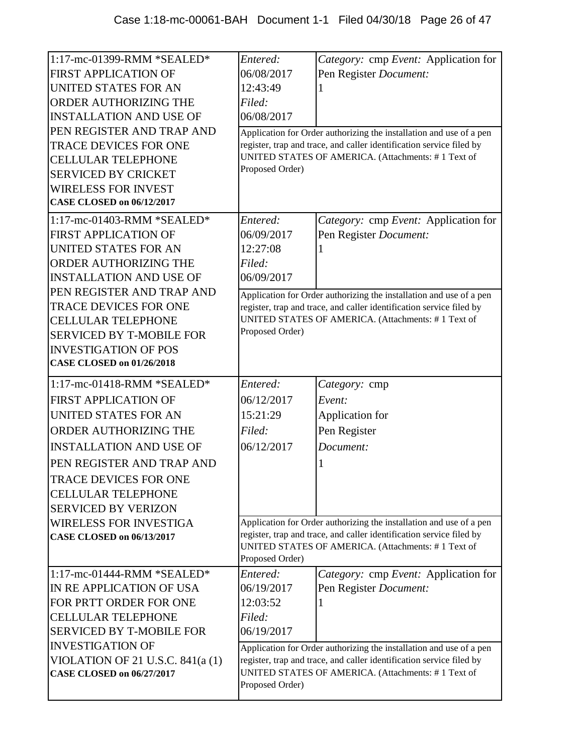| 1:17-mc-01399-RMM *SEALED*                                      | Entered:               | Category: cmp Event: Application for                                                                                                        |
|-----------------------------------------------------------------|------------------------|---------------------------------------------------------------------------------------------------------------------------------------------|
| <b>FIRST APPLICATION OF</b><br>UNITED STATES FOR AN             | 06/08/2017<br>12:43:49 | Pen Register Document:                                                                                                                      |
| ORDER AUTHORIZING THE                                           | Filed:                 |                                                                                                                                             |
| <b>INSTALLATION AND USE OF</b>                                  | 06/08/2017             |                                                                                                                                             |
| PEN REGISTER AND TRAP AND                                       |                        |                                                                                                                                             |
| <b>TRACE DEVICES FOR ONE</b>                                    |                        | Application for Order authorizing the installation and use of a pen<br>register, trap and trace, and caller identification service filed by |
| <b>CELLULAR TELEPHONE</b>                                       |                        | UNITED STATES OF AMERICA. (Attachments: #1 Text of                                                                                          |
| <b>SERVICED BY CRICKET</b>                                      | Proposed Order)        |                                                                                                                                             |
| <b>WIRELESS FOR INVEST</b>                                      |                        |                                                                                                                                             |
| <b>CASE CLOSED on 06/12/2017</b>                                |                        |                                                                                                                                             |
|                                                                 |                        |                                                                                                                                             |
| 1:17-mc-01403-RMM *SEALED*                                      | Entered:               | Category: cmp Event: Application for                                                                                                        |
| <b>FIRST APPLICATION OF</b>                                     | 06/09/2017             | Pen Register Document:                                                                                                                      |
| UNITED STATES FOR AN                                            | 12:27:08               |                                                                                                                                             |
| ORDER AUTHORIZING THE                                           | Filed:                 |                                                                                                                                             |
| <b>INSTALLATION AND USE OF</b>                                  | 06/09/2017             |                                                                                                                                             |
| PEN REGISTER AND TRAP AND                                       |                        | Application for Order authorizing the installation and use of a pen                                                                         |
| <b>TRACE DEVICES FOR ONE</b>                                    |                        | register, trap and trace, and caller identification service filed by<br>UNITED STATES OF AMERICA. (Attachments: #1 Text of                  |
| <b>CELLULAR TELEPHONE</b>                                       | Proposed Order)        |                                                                                                                                             |
| <b>SERVICED BY T-MOBILE FOR</b>                                 |                        |                                                                                                                                             |
| <b>INVESTIGATION OF POS</b><br><b>CASE CLOSED on 01/26/2018</b> |                        |                                                                                                                                             |
|                                                                 |                        |                                                                                                                                             |
| 1:17-mc-01418-RMM *SEALED*                                      | Entered:               | Category: cmp                                                                                                                               |
| <b>FIRST APPLICATION OF</b>                                     | 06/12/2017             | Event:                                                                                                                                      |
| UNITED STATES FOR AN                                            | 15:21:29               | Application for                                                                                                                             |
| ORDER AUTHORIZING THE                                           | Filed:                 | Pen Register                                                                                                                                |
| <b>INSTALLATION AND USE OF</b>                                  | 06/12/2017             | Document:                                                                                                                                   |
| PEN REGISTER AND TRAP AND                                       |                        |                                                                                                                                             |
| TRACE DEVICES FOR ONE                                           |                        |                                                                                                                                             |
| <b>CELLULAR TELEPHONE</b>                                       |                        |                                                                                                                                             |
|                                                                 |                        |                                                                                                                                             |
| <b>SERVICED BY VERIZON</b>                                      |                        |                                                                                                                                             |
| <b>WIRELESS FOR INVESTIGA</b>                                   |                        | Application for Order authorizing the installation and use of a pen                                                                         |
| <b>CASE CLOSED on 06/13/2017</b>                                |                        | register, trap and trace, and caller identification service filed by                                                                        |
|                                                                 |                        | UNITED STATES OF AMERICA. (Attachments: #1 Text of                                                                                          |
|                                                                 | Proposed Order)        |                                                                                                                                             |
| 1:17-mc-01444-RMM *SEALED*                                      | Entered:               | Category: cmp Event: Application for                                                                                                        |
| IN RE APPLICATION OF USA                                        | 06/19/2017             | Pen Register Document:                                                                                                                      |
| FOR PRTT ORDER FOR ONE                                          | 12:03:52               |                                                                                                                                             |
| <b>CELLULAR TELEPHONE</b>                                       | Filed:                 |                                                                                                                                             |
| <b>SERVICED BY T-MOBILE FOR</b>                                 | 06/19/2017             |                                                                                                                                             |
| <b>INVESTIGATION OF</b>                                         |                        | Application for Order authorizing the installation and use of a pen                                                                         |
| VIOLATION OF 21 U.S.C. $841(a(1))$                              |                        | register, trap and trace, and caller identification service filed by                                                                        |
| <b>CASE CLOSED on 06/27/2017</b>                                | Proposed Order)        | UNITED STATES OF AMERICA. (Attachments: #1 Text of                                                                                          |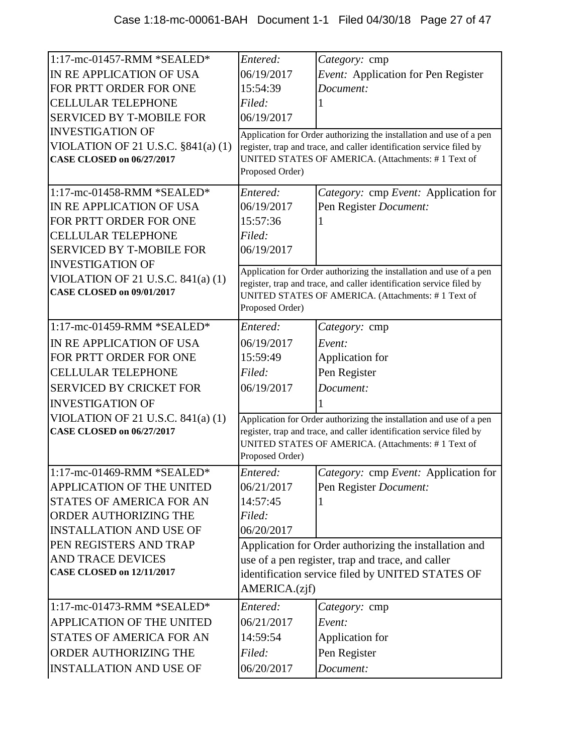| 1:17-mc-01457-RMM *SEALED*                            | Entered:        | Category: cmp                                                        |
|-------------------------------------------------------|-----------------|----------------------------------------------------------------------|
| IN RE APPLICATION OF USA                              | 06/19/2017      | Event: Application for Pen Register                                  |
| FOR PRTT ORDER FOR ONE                                | 15:54:39        | Document:                                                            |
| <b>CELLULAR TELEPHONE</b>                             | Filed:          |                                                                      |
| <b>SERVICED BY T-MOBILE FOR</b>                       | 06/19/2017      |                                                                      |
| <b>INVESTIGATION OF</b>                               |                 | Application for Order authorizing the installation and use of a pen  |
| VIOLATION OF 21 U.S.C. $\S 841(a) (1)$                |                 | register, trap and trace, and caller identification service filed by |
| <b>CASE CLOSED on 06/27/2017</b>                      |                 | UNITED STATES OF AMERICA. (Attachments: #1 Text of                   |
|                                                       | Proposed Order) |                                                                      |
| 1:17-mc-01458-RMM *SEALED*                            | Entered:        | Category: cmp Event: Application for                                 |
| IN RE APPLICATION OF USA                              | 06/19/2017      | Pen Register Document:                                               |
| FOR PRTT ORDER FOR ONE                                | 15:57:36        |                                                                      |
| <b>CELLULAR TELEPHONE</b>                             | Filed:          |                                                                      |
| <b>SERVICED BY T-MOBILE FOR</b>                       | 06/19/2017      |                                                                      |
| <b>INVESTIGATION OF</b>                               |                 | Application for Order authorizing the installation and use of a pen  |
| VIOLATION OF 21 U.S.C. $841(a)$ (1)                   |                 | register, trap and trace, and caller identification service filed by |
| <b>CASE CLOSED on 09/01/2017</b>                      |                 | UNITED STATES OF AMERICA. (Attachments: #1 Text of                   |
|                                                       | Proposed Order) |                                                                      |
| 1:17-mc-01459-RMM *SEALED*                            | Entered:        | Category: cmp                                                        |
| IN RE APPLICATION OF USA                              | 06/19/2017      | Event:                                                               |
| FOR PRTT ORDER FOR ONE                                | 15:59:49        | Application for                                                      |
| <b>CELLULAR TELEPHONE</b>                             | Filed:          | Pen Register                                                         |
| <b>SERVICED BY CRICKET FOR</b>                        | 06/19/2017      | Document:                                                            |
| <b>INVESTIGATION OF</b>                               |                 |                                                                      |
| VIOLATION OF 21 U.S.C. $841(a)$ (1)                   |                 | Application for Order authorizing the installation and use of a pen  |
| <b>CASE CLOSED on 06/27/2017</b>                      |                 | register, trap and trace, and caller identification service filed by |
|                                                       |                 | UNITED STATES OF AMERICA. (Attachments: #1 Text of                   |
|                                                       | Proposed Order) |                                                                      |
| 1:17-mc-01469-RMM *SEALED*                            | Entered:        | <i>Category:</i> cmp <i>Event:</i> Application for                   |
| <b>APPLICATION OF THE UNITED</b>                      | 06/21/2017      | Pen Register Document:                                               |
| STATES OF AMERICA FOR AN                              | 14:57:45        |                                                                      |
| ORDER AUTHORIZING THE                                 | Filed:          |                                                                      |
| <b>INSTALLATION AND USE OF</b>                        | 06/20/2017      |                                                                      |
| PEN REGISTERS AND TRAP                                |                 | Application for Order authorizing the installation and               |
| AND TRACE DEVICES<br><b>CASE CLOSED on 12/11/2017</b> |                 | use of a pen register, trap and trace, and caller                    |
|                                                       |                 | identification service filed by UNITED STATES OF                     |
|                                                       | AMERICA.(zjf)   |                                                                      |
| 1:17-mc-01473-RMM *SEALED*                            | Entered:        | Category: cmp                                                        |
| <b>APPLICATION OF THE UNITED</b>                      | 06/21/2017      | Event:                                                               |
| <b>STATES OF AMERICA FOR AN</b>                       | 14:59:54        | Application for                                                      |
| ORDER AUTHORIZING THE                                 | Filed:          | Pen Register                                                         |
| <b>INSTALLATION AND USE OF</b>                        | 06/20/2017      | Document:                                                            |
|                                                       |                 |                                                                      |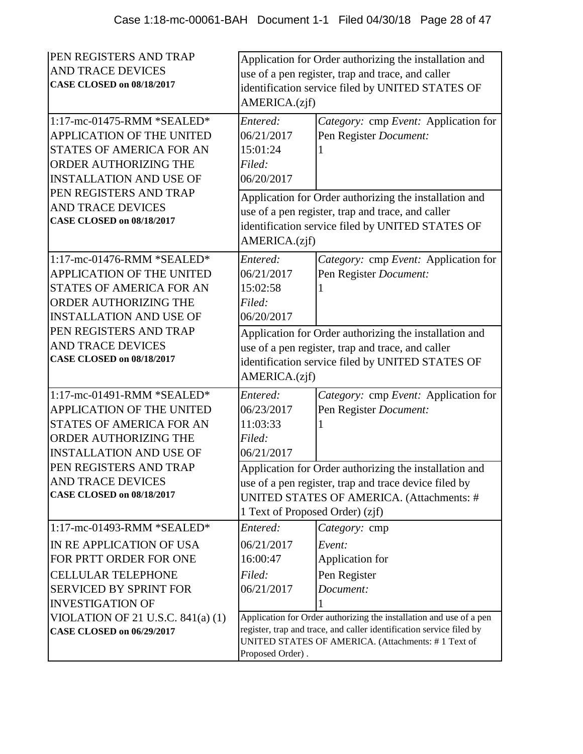| <b>PEN REGISTERS AND TRAP</b><br><b>AND TRACE DEVICES</b><br><b>CASE CLOSED on 08/18/2017</b><br>1:17-mc-01475-RMM *SEALED*<br><b>APPLICATION OF THE UNITED</b><br><b>STATES OF AMERICA FOR AN</b><br><b>ORDER AUTHORIZING THE</b> | AMERICA.(zjf)<br>Entered:<br>06/21/2017<br>15:01:24<br>Filed:                                                                                                                                                         | Application for Order authorizing the installation and<br>use of a pen register, trap and trace, and caller<br>identification service filed by UNITED STATES OF<br>Category: cmp Event: Application for<br>Pen Register Document: |
|------------------------------------------------------------------------------------------------------------------------------------------------------------------------------------------------------------------------------------|-----------------------------------------------------------------------------------------------------------------------------------------------------------------------------------------------------------------------|-----------------------------------------------------------------------------------------------------------------------------------------------------------------------------------------------------------------------------------|
| <b>INSTALLATION AND USE OF</b><br>PEN REGISTERS AND TRAP<br><b>AND TRACE DEVICES</b><br><b>CASE CLOSED on 08/18/2017</b><br>1:17-mc-01476-RMM *SEALED*                                                                             | 06/20/2017<br>AMERICA.(zjf)<br>Entered:                                                                                                                                                                               | Application for Order authorizing the installation and<br>use of a pen register, trap and trace, and caller<br>identification service filed by UNITED STATES OF                                                                   |
| APPLICATION OF THE UNITED<br><b>STATES OF AMERICA FOR AN</b><br>ORDER AUTHORIZING THE<br><b>INSTALLATION AND USE OF</b>                                                                                                            | 06/21/2017<br>15:02:58<br>Filed:<br>06/20/2017                                                                                                                                                                        | Category: cmp Event: Application for<br>Pen Register Document:                                                                                                                                                                    |
| PEN REGISTERS AND TRAP<br><b>AND TRACE DEVICES</b><br><b>CASE CLOSED on 08/18/2017</b>                                                                                                                                             | Application for Order authorizing the installation and<br>use of a pen register, trap and trace, and caller<br>identification service filed by UNITED STATES OF<br>AMERICA.(zjf)                                      |                                                                                                                                                                                                                                   |
| 1:17-mc-01491-RMM *SEALED*<br><b>APPLICATION OF THE UNITED</b><br><b>STATES OF AMERICA FOR AN</b><br><b>ORDER AUTHORIZING THE</b><br><b>INSTALLATION AND USE OF</b>                                                                | Entered:<br>06/23/2017<br>11:03:33<br>Filed:<br>06/21/2017                                                                                                                                                            | Category: cmp Event: Application for<br>Pen Register Document:                                                                                                                                                                    |
| PEN REGISTERS AND TRAP<br><b>AND TRACE DEVICES</b><br><b>CASE CLOSED on 08/18/2017</b>                                                                                                                                             | Application for Order authorizing the installation and<br>use of a pen register, trap and trace device filed by<br>UNITED STATES OF AMERICA. (Attachments: #<br>1 Text of Proposed Order) (zjf)                       |                                                                                                                                                                                                                                   |
| 1:17-mc-01493-RMM *SEALED*<br>IN RE APPLICATION OF USA<br>FOR PRTT ORDER FOR ONE<br><b>CELLULAR TELEPHONE</b><br><b>SERVICED BY SPRINT FOR</b><br><b>INVESTIGATION OF</b>                                                          | Entered:<br>06/21/2017<br>16:00:47<br>Filed:<br>06/21/2017                                                                                                                                                            | Category: cmp<br>Event:<br>Application for<br>Pen Register<br>Document:                                                                                                                                                           |
| VIOLATION OF 21 U.S.C. $841(a)(1)$<br><b>CASE CLOSED on 06/29/2017</b>                                                                                                                                                             | Application for Order authorizing the installation and use of a pen<br>register, trap and trace, and caller identification service filed by<br>UNITED STATES OF AMERICA. (Attachments: #1 Text of<br>Proposed Order). |                                                                                                                                                                                                                                   |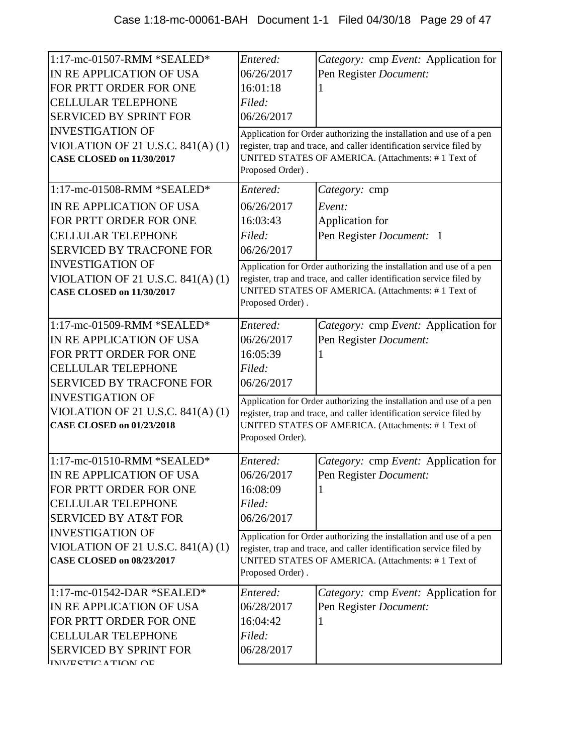| 1:17-mc-01507-RMM *SEALED*<br>IN RE APPLICATION OF USA<br>FOR PRTT ORDER FOR ONE<br><b>CELLULAR TELEPHONE</b><br><b>SERVICED BY SPRINT FOR</b><br><b>INVESTIGATION OF</b><br>VIOLATION OF 21 U.S.C. 841(A) (1)<br><b>CASE CLOSED on 11/30/2017</b>    | Entered:<br>06/26/2017<br>16:01:18<br>Filed:<br>06/26/2017<br>Proposed Order). | Category: cmp Event: Application for<br>Pen Register Document:<br>Application for Order authorizing the installation and use of a pen<br>register, trap and trace, and caller identification service filed by<br>UNITED STATES OF AMERICA. (Attachments: #1 Text of         |
|-------------------------------------------------------------------------------------------------------------------------------------------------------------------------------------------------------------------------------------------------------|--------------------------------------------------------------------------------|-----------------------------------------------------------------------------------------------------------------------------------------------------------------------------------------------------------------------------------------------------------------------------|
| 1:17-mc-01508-RMM *SEALED*<br>IN RE APPLICATION OF USA<br>FOR PRTT ORDER FOR ONE<br><b>CELLULAR TELEPHONE</b><br><b>SERVICED BY TRACFONE FOR</b><br><b>INVESTIGATION OF</b><br>VIOLATION OF 21 U.S.C. $841(A)(1)$<br><b>CASE CLOSED on 11/30/2017</b> | Entered:<br>06/26/2017<br>16:03:43<br>Filed:<br>06/26/2017<br>Proposed Order). | Category: cmp<br>Event:<br>Application for<br>Pen Register Document: 1<br>Application for Order authorizing the installation and use of a pen<br>register, trap and trace, and caller identification service filed by<br>UNITED STATES OF AMERICA. (Attachments: #1 Text of |
| 1:17-mc-01509-RMM *SEALED*<br>IN RE APPLICATION OF USA<br>FOR PRTT ORDER FOR ONE<br><b>CELLULAR TELEPHONE</b><br><b>SERVICED BY TRACFONE FOR</b><br><b>INVESTIGATION OF</b><br>VIOLATION OF 21 U.S.C. $841(A)(1)$<br><b>CASE CLOSED on 01/23/2018</b> | Entered:<br>06/26/2017<br>16:05:39<br>Filed:<br>06/26/2017<br>Proposed Order). | Category: cmp Event: Application for<br>Pen Register Document:<br>Application for Order authorizing the installation and use of a pen<br>register, trap and trace, and caller identification service filed by<br>UNITED STATES OF AMERICA. (Attachments: #1 Text of         |
| 1:17-mc-01510-RMM *SEALED*<br>IN RE APPLICATION OF USA<br>FOR PRTT ORDER FOR ONE<br><b>CELLULAR TELEPHONE</b><br><b>SERVICED BY AT&amp;T FOR</b><br><b>INVESTIGATION OF</b><br>VIOLATION OF 21 U.S.C. 841(A) (1)<br><b>CASE CLOSED on 08/23/2017</b>  | Entered:<br>06/26/2017<br>16:08:09<br>Filed:<br>06/26/2017<br>Proposed Order). | Category: cmp Event: Application for<br>Pen Register Document:<br>Application for Order authorizing the installation and use of a pen<br>register, trap and trace, and caller identification service filed by<br>UNITED STATES OF AMERICA. (Attachments: #1 Text of         |
| $1:17$ -mc-01542-DAR *SEALED*<br>IN RE APPLICATION OF USA<br>FOR PRTT ORDER FOR ONE<br><b>CELLULAR TELEPHONE</b><br><b>SERVICED BY SPRINT FOR</b><br>IINIVE CTIC A TIAN AE                                                                            | Entered:<br>06/28/2017<br>16:04:42<br>Filed:<br>06/28/2017                     | Category: cmp Event: Application for<br>Pen Register Document:                                                                                                                                                                                                              |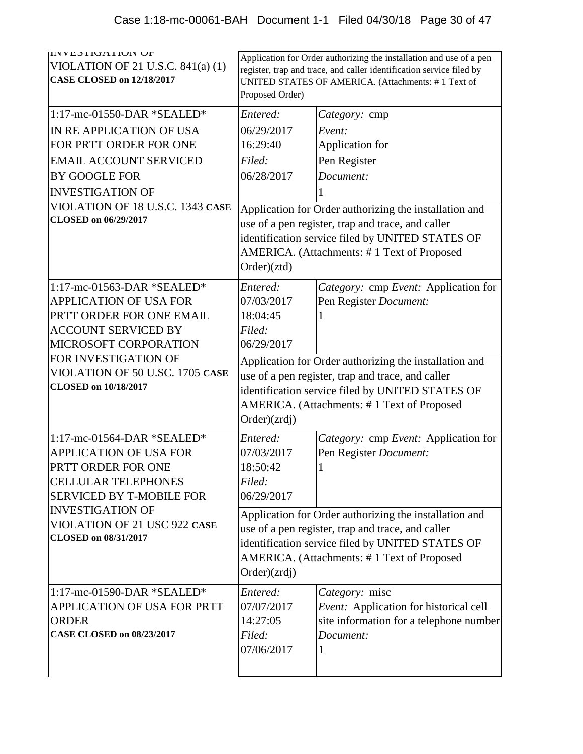| IIIN V EO I IUA I IUIN UF<br>VIOLATION OF 21 U.S.C. $841(a)$ (1)<br><b>CASE CLOSED on 12/18/2017</b>                                                                                                                                     | Application for Order authorizing the installation and use of a pen<br>register, trap and trace, and caller identification service filed by<br>UNITED STATES OF AMERICA. (Attachments: #1 Text of<br>Proposed Order)          |                                                                                                                                                                                                                                                                                 |
|------------------------------------------------------------------------------------------------------------------------------------------------------------------------------------------------------------------------------------------|-------------------------------------------------------------------------------------------------------------------------------------------------------------------------------------------------------------------------------|---------------------------------------------------------------------------------------------------------------------------------------------------------------------------------------------------------------------------------------------------------------------------------|
| $1:17$ -mc-01550-DAR *SEALED*                                                                                                                                                                                                            | Entered:                                                                                                                                                                                                                      | Category: cmp                                                                                                                                                                                                                                                                   |
| IN RE APPLICATION OF USA<br>FOR PRTT ORDER FOR ONE<br><b>EMAIL ACCOUNT SERVICED</b><br><b>BY GOOGLE FOR</b><br><b>INVESTIGATION OF</b><br>VIOLATION OF 18 U.S.C. 1343 CASE<br><b>CLOSED</b> on 06/29/2017                                | 06/29/2017<br>16:29:40<br>Filed:<br>06/28/2017<br>Order)(ztd)                                                                                                                                                                 | Event:<br>Application for<br>Pen Register<br>Document:<br>Application for Order authorizing the installation and<br>use of a pen register, trap and trace, and caller<br>identification service filed by UNITED STATES OF<br>AMERICA. (Attachments: #1 Text of Proposed         |
| 1:17-mc-01563-DAR *SEALED*<br><b>APPLICATION OF USA FOR</b><br>PRTT ORDER FOR ONE EMAIL<br><b>ACCOUNT SERVICED BY</b><br>MICROSOFT CORPORATION<br>FOR INVESTIGATION OF<br>VIOLATION OF 50 U.SC. 1705 CASE<br><b>CLOSED</b> on 10/18/2017 | Entered:<br>07/03/2017<br>18:04:45<br>Filed:<br>06/29/2017<br>Order)(zrdj)                                                                                                                                                    | Category: cmp Event: Application for<br>Pen Register Document:<br>Application for Order authorizing the installation and<br>use of a pen register, trap and trace, and caller<br>identification service filed by UNITED STATES OF<br>AMERICA. (Attachments: #1 Text of Proposed |
| 1:17-mc-01564-DAR *SEALED*<br><b>APPLICATION OF USA FOR</b><br>PRTT ORDER FOR ONE<br><b>CELLULAR TELEPHONES</b><br><b>SERVICED BY T-MOBILE FOR</b>                                                                                       | Entered:<br>07/03/2017<br>18:50:42<br>Filed:<br>06/29/2017                                                                                                                                                                    | Category: cmp Event: Application for<br>Pen Register Document:                                                                                                                                                                                                                  |
| <b>INVESTIGATION OF</b><br>VIOLATION OF 21 USC 922 CASE<br><b>CLOSED</b> on 08/31/2017                                                                                                                                                   | Application for Order authorizing the installation and<br>use of a pen register, trap and trace, and caller<br>identification service filed by UNITED STATES OF<br>AMERICA. (Attachments: #1 Text of Proposed<br>Order)(zrdj) |                                                                                                                                                                                                                                                                                 |
| 1:17-mc-01590-DAR *SEALED*<br>APPLICATION OF USA FOR PRTT<br><b>ORDER</b><br><b>CASE CLOSED on 08/23/2017</b>                                                                                                                            | Entered:<br>07/07/2017<br>14:27:05<br>Filed:<br>07/06/2017                                                                                                                                                                    | Category: misc<br>Event: Application for historical cell<br>site information for a telephone number<br>Document:<br>1                                                                                                                                                           |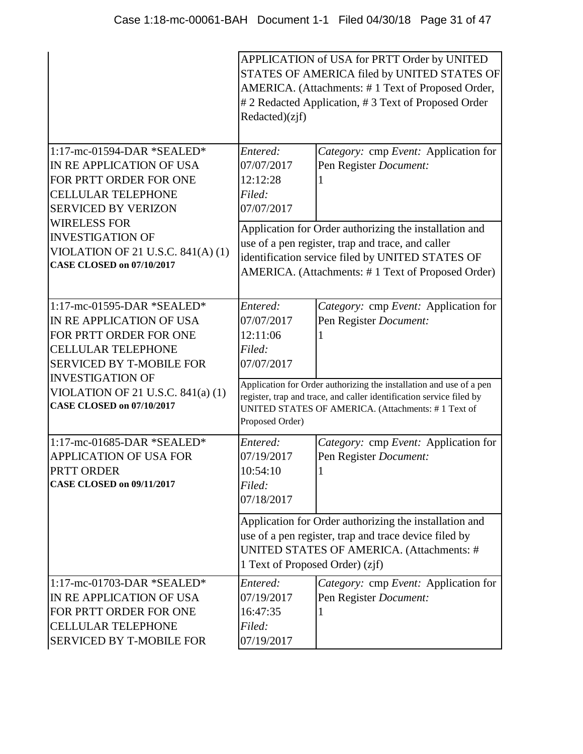|                                                                                                                                                  | APPLICATION of USA for PRTT Order by UNITED<br>STATES OF AMERICA filed by UNITED STATES OF<br>AMERICA. (Attachments: #1 Text of Proposed Order,<br># 2 Redacted Application, # 3 Text of Proposed Order<br>Redacted)(zjf) |                                                                                                                                                              |  |
|--------------------------------------------------------------------------------------------------------------------------------------------------|---------------------------------------------------------------------------------------------------------------------------------------------------------------------------------------------------------------------------|--------------------------------------------------------------------------------------------------------------------------------------------------------------|--|
| 1:17-mc-01594-DAR *SEALED*<br>IN RE APPLICATION OF USA<br>FOR PRTT ORDER FOR ONE<br><b>CELLULAR TELEPHONE</b><br><b>SERVICED BY VERIZON</b>      | Entered:<br>07/07/2017<br>12:12:28<br>Filed:<br>07/07/2017                                                                                                                                                                | Category: cmp Event: Application for<br>Pen Register Document:                                                                                               |  |
| <b>WIRELESS FOR</b><br><b>INVESTIGATION OF</b><br>VIOLATION OF 21 U.S.C. $841(A)(1)$<br><b>CASE CLOSED on 07/10/2017</b>                         | Application for Order authorizing the installation and<br>use of a pen register, trap and trace, and caller<br>identification service filed by UNITED STATES OF<br>AMERICA. (Attachments: #1 Text of Proposed Order)      |                                                                                                                                                              |  |
| 1:17-mc-01595-DAR *SEALED*<br>IN RE APPLICATION OF USA<br>FOR PRTT ORDER FOR ONE<br><b>CELLULAR TELEPHONE</b><br><b>SERVICED BY T-MOBILE FOR</b> | Entered:<br>07/07/2017<br>12:11:06<br>Filed:<br>07/07/2017                                                                                                                                                                | Category: cmp Event: Application for<br>Pen Register Document:                                                                                               |  |
| <b>INVESTIGATION OF</b><br>VIOLATION OF 21 U.S.C. $841(a)$ (1)<br><b>CASE CLOSED on 07/10/2017</b>                                               | Application for Order authorizing the installation and use of a pen<br>register, trap and trace, and caller identification service filed by<br>UNITED STATES OF AMERICA. (Attachments: #1 Text of<br>Proposed Order)      |                                                                                                                                                              |  |
| 1:17-mc-01685-DAR *SEALED*<br><b>APPLICATION OF USA FOR</b><br>PRTT ORDER<br><b>CASE CLOSED on 09/11/2017</b>                                    | Entered:<br>07/19/2017<br>10:54:10<br>Filed:<br>07/18/2017                                                                                                                                                                | Category: cmp Event: Application for<br>Pen Register Document:                                                                                               |  |
|                                                                                                                                                  | 1 Text of Proposed Order) (zjf)                                                                                                                                                                                           | Application for Order authorizing the installation and<br>use of a pen register, trap and trace device filed by<br>UNITED STATES OF AMERICA. (Attachments: # |  |
| 1:17-mc-01703-DAR *SEALED*<br>IN RE APPLICATION OF USA<br>FOR PRTT ORDER FOR ONE<br><b>CELLULAR TELEPHONE</b><br><b>SERVICED BY T-MOBILE FOR</b> | Entered:<br>07/19/2017<br>16:47:35<br>Filed:<br>07/19/2017                                                                                                                                                                | Category: cmp Event: Application for<br>Pen Register Document:                                                                                               |  |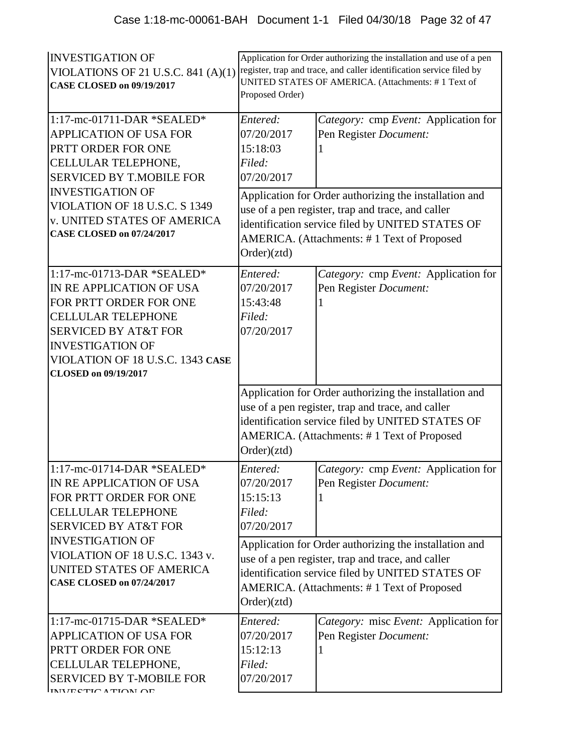| <b>INVESTIGATION OF</b><br>VIOLATIONS OF 21 U.S.C. 841 $(A)(1)$<br><b>CASE CLOSED on 09/19/2017</b>                                                                                                                                                                               | Application for Order authorizing the installation and use of a pen<br>register, trap and trace, and caller identification service filed by<br>UNITED STATES OF AMERICA. (Attachments: #1 Text of<br>Proposed Order)         |                                                                                                                                                                                                               |
|-----------------------------------------------------------------------------------------------------------------------------------------------------------------------------------------------------------------------------------------------------------------------------------|------------------------------------------------------------------------------------------------------------------------------------------------------------------------------------------------------------------------------|---------------------------------------------------------------------------------------------------------------------------------------------------------------------------------------------------------------|
| 1:17-mc-01711-DAR *SEALED*<br><b>APPLICATION OF USA FOR</b><br>PRTT ORDER FOR ONE<br>CELLULAR TELEPHONE,<br><b>SERVICED BY T.MOBILE FOR</b><br><b>INVESTIGATION OF</b><br>VIOLATION OF 18 U.S.C. S 1349<br><b>v. UNITED STATES OF AMERICA</b><br><b>CASE CLOSED on 07/24/2017</b> | Entered:<br>07/20/2017<br>15:18:03<br>Filed:<br>07/20/2017                                                                                                                                                                   | Category: cmp Event: Application for<br>Pen Register Document:                                                                                                                                                |
|                                                                                                                                                                                                                                                                                   | Application for Order authorizing the installation and<br>use of a pen register, trap and trace, and caller<br>identification service filed by UNITED STATES OF<br>AMERICA. (Attachments: #1 Text of Proposed<br>Order)(ztd) |                                                                                                                                                                                                               |
| 1:17-mc-01713-DAR *SEALED*<br>IN RE APPLICATION OF USA<br>FOR PRTT ORDER FOR ONE<br><b>CELLULAR TELEPHONE</b><br><b>SERVICED BY AT&amp;T FOR</b><br><b>INVESTIGATION OF</b><br>VIOLATION OF 18 U.S.C. 1343 CASE<br><b>CLOSED</b> on 09/19/2017                                    | Entered:<br>07/20/2017<br>15:43:48<br>Filed:<br>07/20/2017                                                                                                                                                                   | Category: cmp Event: Application for<br>Pen Register Document:                                                                                                                                                |
|                                                                                                                                                                                                                                                                                   | Order)(ztd)                                                                                                                                                                                                                  | Application for Order authorizing the installation and<br>use of a pen register, trap and trace, and caller<br>identification service filed by UNITED STATES OF<br>AMERICA. (Attachments: #1 Text of Proposed |
| 1:17-mc-01714-DAR *SEALED*<br>IN RE APPLICATION OF USA<br>FOR PRTT ORDER FOR ONE<br><b>CELLULAR TELEPHONE</b><br><b>SERVICED BY AT&amp;T FOR</b>                                                                                                                                  | Entered:<br>07/20/2017<br>15:15:13<br>Filed:<br>07/20/2017                                                                                                                                                                   | Category: cmp Event: Application for<br>Pen Register Document:                                                                                                                                                |
| <b>INVESTIGATION OF</b><br>VIOLATION OF 18 U.S.C. 1343 v.<br>UNITED STATES OF AMERICA<br><b>CASE CLOSED on 07/24/2017</b>                                                                                                                                                         | Application for Order authorizing the installation and<br>use of a pen register, trap and trace, and caller<br>identification service filed by UNITED STATES OF<br>AMERICA. (Attachments: #1 Text of Proposed<br>Order)(ztd) |                                                                                                                                                                                                               |
| 1:17-mc-01715-DAR *SEALED*<br><b>APPLICATION OF USA FOR</b><br>PRTT ORDER FOR ONE<br>CELLULAR TELEPHONE,<br><b>SERVICED BY T-MOBILE FOR</b><br>INIVECTIC A TIAN AE                                                                                                                | Entered:<br>07/20/2017<br>15:12:13<br>Filed:<br>07/20/2017                                                                                                                                                                   | Category: misc Event: Application for<br>Pen Register Document:                                                                                                                                               |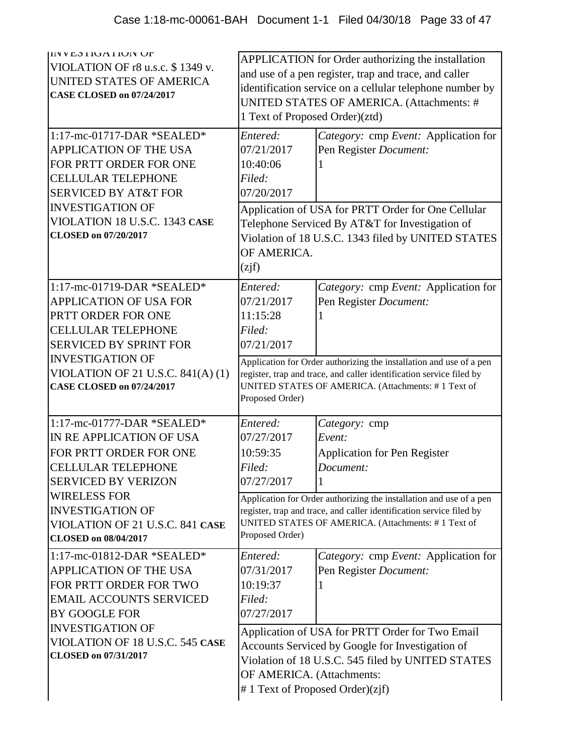| <b>IIV VESTIUATIUIV UF</b><br>VIOLATION OF r8 u.s.c. \$1349 v.<br>UNITED STATES OF AMERICA<br><b>CASE CLOSED on 07/24/2017</b>                                                                                                                                  | APPLICATION for Order authorizing the installation<br>and use of a pen register, trap and trace, and caller<br>identification service on a cellular telephone number by<br>UNITED STATES OF AMERICA. (Attachments: #<br>1 Text of Proposed Order)(ztd) |                                                                                                                                                                                                                                                                                       |
|-----------------------------------------------------------------------------------------------------------------------------------------------------------------------------------------------------------------------------------------------------------------|--------------------------------------------------------------------------------------------------------------------------------------------------------------------------------------------------------------------------------------------------------|---------------------------------------------------------------------------------------------------------------------------------------------------------------------------------------------------------------------------------------------------------------------------------------|
| 1:17-mc-01717-DAR *SEALED*<br>APPLICATION OF THE USA<br>FOR PRTT ORDER FOR ONE<br><b>CELLULAR TELEPHONE</b><br><b>SERVICED BY AT&amp;T FOR</b><br><b>INVESTIGATION OF</b><br>VIOLATION 18 U.S.C. 1343 CASE<br><b>CLOSED</b> on 07/20/2017                       | Entered:<br>07/21/2017<br>10:40:06<br>Filed:<br>07/20/2017<br>OF AMERICA.<br>(zi f)                                                                                                                                                                    | Category: cmp Event: Application for<br>Pen Register Document:<br>Application of USA for PRTT Order for One Cellular<br>Telephone Serviced By AT&T for Investigation of<br>Violation of 18 U.S.C. 1343 filed by UNITED STATES                                                         |
| 1:17-mc-01719-DAR *SEALED*<br><b>APPLICATION OF USA FOR</b><br>PRTT ORDER FOR ONE<br><b>CELLULAR TELEPHONE</b><br><b>SERVICED BY SPRINT FOR</b><br><b>INVESTIGATION OF</b><br>VIOLATION OF 21 U.S.C. 841(A) (1)<br><b>CASE CLOSED on 07/24/2017</b>             | Entered:<br>07/21/2017<br>11:15:28<br>Filed:<br>07/21/2017<br>Proposed Order)                                                                                                                                                                          | Category: cmp Event: Application for<br>Pen Register Document:<br>Application for Order authorizing the installation and use of a pen<br>register, trap and trace, and caller identification service filed by<br>UNITED STATES OF AMERICA. (Attachments: #1 Text of                   |
| 1:17-mc-01777-DAR *SEALED*<br>IN RE APPLICATION OF USA<br>FOR PRTT ORDER FOR ONE<br><b>CELLULAR TELEPHONE</b><br><b>SERVICED BY VERIZON</b><br><b>WIRELESS FOR</b><br><b>INVESTIGATION OF</b><br>VIOLATION OF 21 U.S.C. 841 CASE<br><b>CLOSED on 08/04/2017</b> | Entered:<br>07/27/2017<br>10:59:35<br>Filed:<br>07/27/2017<br>Proposed Order)                                                                                                                                                                          | Category: cmp<br>Event:<br><b>Application for Pen Register</b><br>Document:<br>1<br>Application for Order authorizing the installation and use of a pen<br>register, trap and trace, and caller identification service filed by<br>UNITED STATES OF AMERICA. (Attachments: #1 Text of |
| 1:17-mc-01812-DAR *SEALED*<br>APPLICATION OF THE USA<br>FOR PRTT ORDER FOR TWO<br><b>EMAIL ACCOUNTS SERVICED</b><br>BY GOOGLE FOR<br><b>INVESTIGATION OF</b><br>VIOLATION OF 18 U.S.C. 545 CASE<br>CLOSED on 07/31/2017                                         | Entered:<br>07/31/2017<br>10:19:37<br>Filed:<br>07/27/2017<br>OF AMERICA. (Attachments:                                                                                                                                                                | Category: cmp Event: Application for<br>Pen Register Document:<br>Application of USA for PRTT Order for Two Email<br>Accounts Serviced by Google for Investigation of<br>Violation of 18 U.S.C. 545 filed by UNITED STATES<br>#1 Text of Proposed Order) $(zi f)$                     |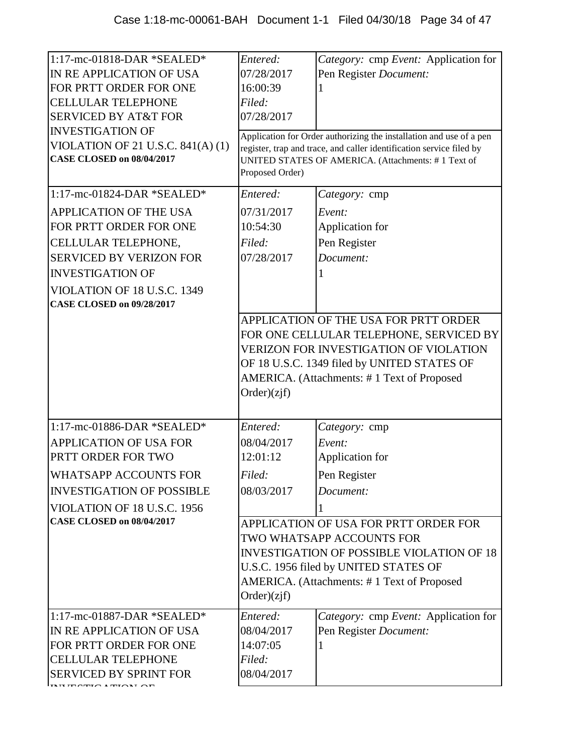| 1:17-mc-01818-DAR *SEALED*<br>IN RE APPLICATION OF USA<br>FOR PRTT ORDER FOR ONE<br><b>CELLULAR TELEPHONE</b><br><b>SERVICED BY AT&amp;T FOR</b><br><b>INVESTIGATION OF</b><br>VIOLATION OF 21 U.S.C. 841(A) (1)<br><b>CASE CLOSED on 08/04/2017</b> | Entered:<br>07/28/2017<br>16:00:39<br>Filed:<br>07/28/2017<br>Proposed Order) | Category: cmp Event: Application for<br>Pen Register Document:<br>Application for Order authorizing the installation and use of a pen<br>register, trap and trace, and caller identification service filed by<br>UNITED STATES OF AMERICA. (Attachments: #1 Text of |
|------------------------------------------------------------------------------------------------------------------------------------------------------------------------------------------------------------------------------------------------------|-------------------------------------------------------------------------------|---------------------------------------------------------------------------------------------------------------------------------------------------------------------------------------------------------------------------------------------------------------------|
| 1:17-mc-01824-DAR *SEALED*                                                                                                                                                                                                                           | Entered:                                                                      | Category: cmp                                                                                                                                                                                                                                                       |
| <b>APPLICATION OF THE USA</b><br>FOR PRTT ORDER FOR ONE<br>CELLULAR TELEPHONE,<br><b>SERVICED BY VERIZON FOR</b><br><b>INVESTIGATION OF</b><br>VIOLATION OF 18 U.S.C. 1349<br><b>CASE CLOSED on 09/28/2017</b>                                       | 07/31/2017<br>10:54:30<br>Filed:<br>07/28/2017                                | Event:<br>Application for<br>Pen Register<br>Document:                                                                                                                                                                                                              |
|                                                                                                                                                                                                                                                      | Order)(zif)                                                                   | APPLICATION OF THE USA FOR PRTT ORDER<br>FOR ONE CELLULAR TELEPHONE, SERVICED BY<br><b>VERIZON FOR INVESTIGATION OF VIOLATION</b><br>OF 18 U.S.C. 1349 filed by UNITED STATES OF<br>AMERICA. (Attachments: #1 Text of Proposed                                      |
| 1:17-mc-01886-DAR *SEALED*                                                                                                                                                                                                                           | Entered:                                                                      | Category: cmp                                                                                                                                                                                                                                                       |
| <b>APPLICATION OF USA FOR</b><br>PRTT ORDER FOR TWO                                                                                                                                                                                                  | 08/04/2017<br>12:01:12                                                        | Event:<br>Application for                                                                                                                                                                                                                                           |
| WHATSAPP ACCOUNTS FOR                                                                                                                                                                                                                                | Filed:                                                                        | Pen Register                                                                                                                                                                                                                                                        |
| <b>INVESTIGATION OF POSSIBLE</b>                                                                                                                                                                                                                     | 08/03/2017                                                                    | Document:                                                                                                                                                                                                                                                           |
| VIOLATION OF 18 U.S.C. 1956<br><b>CASE CLOSED on 08/04/2017</b>                                                                                                                                                                                      | Order)(zif)                                                                   | APPLICATION OF USA FOR PRTT ORDER FOR<br>TWO WHATSAPP ACCOUNTS FOR<br><b>INVESTIGATION OF POSSIBLE VIOLATION OF 18</b><br>U.S.C. 1956 filed by UNITED STATES OF<br>AMERICA. (Attachments: #1 Text of Proposed                                                       |
| 1:17-mc-01887-DAR *SEALED*<br>IN RE APPLICATION OF USA<br>FOR PRTT ORDER FOR ONE<br><b>CELLULAR TELEPHONE</b><br><b>SERVICED BY SPRINT FOR</b>                                                                                                       | Entered:<br>08/04/2017<br>14:07:05<br>Filed:<br>08/04/2017                    | Category: cmp Event: Application for<br>Pen Register Document:                                                                                                                                                                                                      |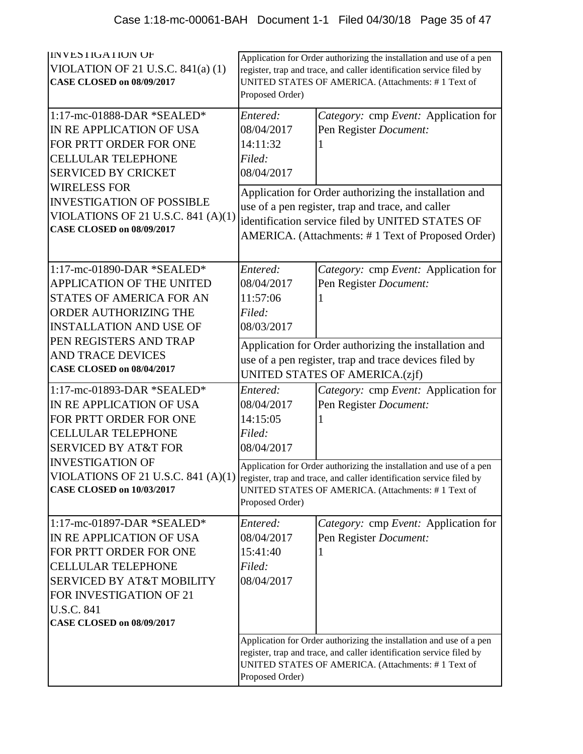| <b>INVESTIGATION OF</b><br>VIOLATION OF 21 U.S.C. $841(a)$ (1)<br><b>CASE CLOSED on 08/09/2017</b>                                                                                                                                        | Application for Order authorizing the installation and use of a pen<br>register, trap and trace, and caller identification service filed by<br>UNITED STATES OF AMERICA. (Attachments: #1 Text of<br>Proposed Order) |                                                                                                                           |
|-------------------------------------------------------------------------------------------------------------------------------------------------------------------------------------------------------------------------------------------|----------------------------------------------------------------------------------------------------------------------------------------------------------------------------------------------------------------------|---------------------------------------------------------------------------------------------------------------------------|
| 1:17-mc-01888-DAR *SEALED*<br>IN RE APPLICATION OF USA<br>FOR PRTT ORDER FOR ONE<br><b>CELLULAR TELEPHONE</b><br><b>SERVICED BY CRICKET</b><br><b>WIRELESS FOR</b>                                                                        | Entered:<br>08/04/2017<br>14:11:32<br>Filed:<br>08/04/2017                                                                                                                                                           | Category: cmp Event: Application for<br>Pen Register Document:                                                            |
| <b>INVESTIGATION OF POSSIBLE</b><br>VIOLATIONS OF 21 U.S.C. 841 $(A)(1)$<br><b>CASE CLOSED on 08/09/2017</b>                                                                                                                              | Application for Order authorizing the installation and<br>use of a pen register, trap and trace, and caller<br>identification service filed by UNITED STATES OF<br>AMERICA. (Attachments: #1 Text of Proposed Order) |                                                                                                                           |
| 1:17-mc-01890-DAR *SEALED*<br>APPLICATION OF THE UNITED<br><b>STATES OF AMERICA FOR AN</b><br>ORDER AUTHORIZING THE<br><b>INSTALLATION AND USE OF</b>                                                                                     | Entered:<br>08/04/2017<br>11:57:06<br>Filed:<br>08/03/2017                                                                                                                                                           | Category: cmp Event: Application for<br>Pen Register Document:                                                            |
| PEN REGISTERS AND TRAP<br><b>AND TRACE DEVICES</b><br><b>CASE CLOSED on 08/04/2017</b>                                                                                                                                                    | Application for Order authorizing the installation and<br>use of a pen register, trap and trace devices filed by<br>UNITED STATES OF AMERICA.(zjf)                                                                   |                                                                                                                           |
| 1:17-mc-01893-DAR *SEALED*<br>IN RE APPLICATION OF USA<br>FOR PRTT ORDER FOR ONE<br><b>CELLULAR TELEPHONE</b><br><b>SERVICED BY AT&amp;T FOR</b>                                                                                          | Entered:<br>08/04/2017<br>14:15:05<br>Filed:<br>08/04/2017                                                                                                                                                           | Category: cmp Event: Application for<br>Pen Register Document:                                                            |
| <b>INVESTIGATION OF</b><br>VIOLATIONS OF 21 U.S.C. 841 (A)(1) register, trap and trace, and caller identification service filed by<br><b>CASE CLOSED on 10/03/2017</b>                                                                    | Proposed Order)                                                                                                                                                                                                      | Application for Order authorizing the installation and use of a pen<br>UNITED STATES OF AMERICA. (Attachments: #1 Text of |
| 1:17-mc-01897-DAR *SEALED*<br>IN RE APPLICATION OF USA<br>FOR PRTT ORDER FOR ONE<br><b>CELLULAR TELEPHONE</b><br><b>SERVICED BY AT&amp;T MOBILITY</b><br>FOR INVESTIGATION OF 21<br><b>U.S.C. 841</b><br><b>CASE CLOSED on 08/09/2017</b> | Entered:<br>08/04/2017<br>15:41:40<br>Filed:<br>08/04/2017                                                                                                                                                           | Category: cmp Event: Application for<br>Pen Register Document:                                                            |
|                                                                                                                                                                                                                                           | Application for Order authorizing the installation and use of a pen<br>register, trap and trace, and caller identification service filed by<br>UNITED STATES OF AMERICA. (Attachments: #1 Text of<br>Proposed Order) |                                                                                                                           |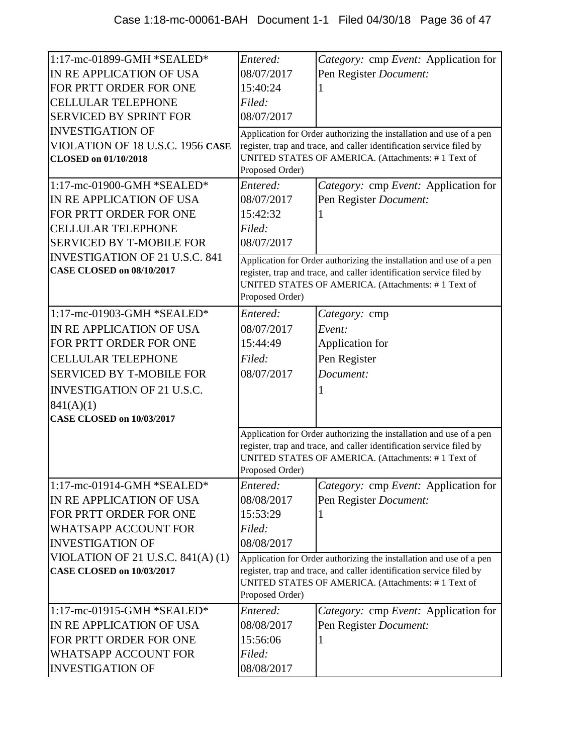| 1:17-mc-01899-GMH *SEALED*            | Entered:        | Category: cmp Event: Application for                                 |
|---------------------------------------|-----------------|----------------------------------------------------------------------|
| IN RE APPLICATION OF USA              | 08/07/2017      | Pen Register Document:                                               |
| FOR PRTT ORDER FOR ONE                | 15:40:24        |                                                                      |
| <b>CELLULAR TELEPHONE</b>             | Filed:          |                                                                      |
| <b>SERVICED BY SPRINT FOR</b>         | 08/07/2017      |                                                                      |
| <b>INVESTIGATION OF</b>               |                 | Application for Order authorizing the installation and use of a pen  |
| VIOLATION OF 18 U.S.C. 1956 CASE      |                 | register, trap and trace, and caller identification service filed by |
| <b>CLOSED</b> on 01/10/2018           |                 | UNITED STATES OF AMERICA. (Attachments: #1 Text of                   |
|                                       | Proposed Order) |                                                                      |
| 1:17-mc-01900-GMH *SEALED*            | Entered:        | Category: cmp Event: Application for                                 |
| IN RE APPLICATION OF USA              | 08/07/2017      | Pen Register Document:                                               |
| FOR PRTT ORDER FOR ONE                | 15:42:32        |                                                                      |
| <b>CELLULAR TELEPHONE</b>             | Filed:          |                                                                      |
| <b>SERVICED BY T-MOBILE FOR</b>       | 08/07/2017      |                                                                      |
| <b>INVESTIGATION OF 21 U.S.C. 841</b> |                 | Application for Order authorizing the installation and use of a pen  |
| <b>CASE CLOSED on 08/10/2017</b>      |                 | register, trap and trace, and caller identification service filed by |
|                                       |                 | UNITED STATES OF AMERICA. (Attachments: #1 Text of                   |
|                                       | Proposed Order) |                                                                      |
| 1:17-mc-01903-GMH *SEALED*            | Entered:        | Category: cmp                                                        |
| IN RE APPLICATION OF USA              | 08/07/2017      | Event:                                                               |
| FOR PRTT ORDER FOR ONE                | 15:44:49        | Application for                                                      |
| <b>CELLULAR TELEPHONE</b>             | Filed:          | Pen Register                                                         |
| <b>SERVICED BY T-MOBILE FOR</b>       | 08/07/2017      | Document:                                                            |
| <b>INVESTIGATION OF 21 U.S.C.</b>     |                 | 1                                                                    |
| 841(A)(1)                             |                 |                                                                      |
| <b>CASE CLOSED on 10/03/2017</b>      |                 |                                                                      |
|                                       |                 | Application for Order authorizing the installation and use of a pen  |
|                                       |                 | register, trap and trace, and caller identification service filed by |
|                                       |                 | UNITED STATES OF AMERICA. (Attachments: #1 Text of                   |
|                                       | Proposed Order) |                                                                      |
| 1:17-mc-01914-GMH *SEALED*            | Entered:        | Category: cmp Event: Application for                                 |
| IN RE APPLICATION OF USA              | 08/08/2017      | Pen Register Document:                                               |
| FOR PRTT ORDER FOR ONE                | 15:53:29        |                                                                      |
| <b>WHATSAPP ACCOUNT FOR</b>           | Filed:          |                                                                      |
| <b>INVESTIGATION OF</b>               | 08/08/2017      |                                                                      |
| VIOLATION OF 21 U.S.C. $841(A)(1)$    |                 | Application for Order authorizing the installation and use of a pen  |
| <b>CASE CLOSED on 10/03/2017</b>      |                 | register, trap and trace, and caller identification service filed by |
|                                       |                 | UNITED STATES OF AMERICA. (Attachments: #1 Text of                   |
|                                       | Proposed Order) |                                                                      |
| 1:17-mc-01915-GMH *SEALED*            | Entered:        | Category: cmp Event: Application for                                 |
| IN RE APPLICATION OF USA              | 08/08/2017      | Pen Register Document:                                               |
| FOR PRTT ORDER FOR ONE                | 15:56:06        |                                                                      |
| <b>WHATSAPP ACCOUNT FOR</b>           | Filed:          |                                                                      |
| <b>INVESTIGATION OF</b>               | 08/08/2017      |                                                                      |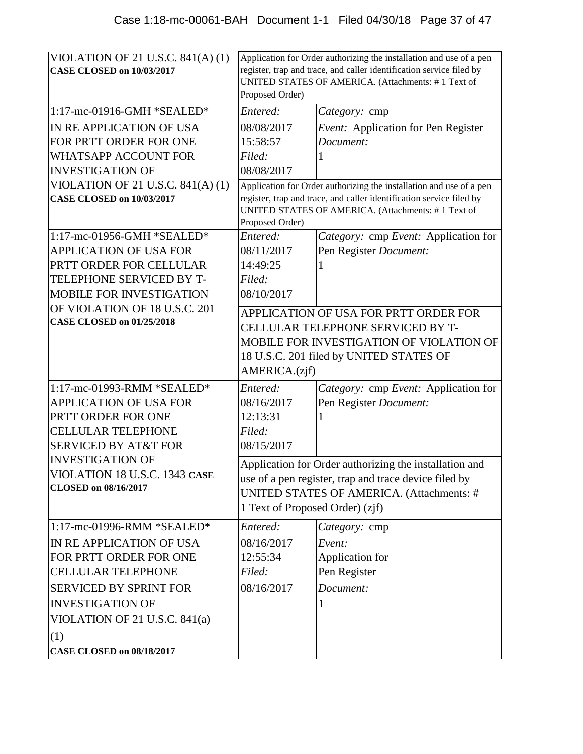| VIOLATION OF 21 U.S.C. $841(A)(1)$<br><b>CASE CLOSED on 10/03/2017</b> | Application for Order authorizing the installation and use of a pen<br>register, trap and trace, and caller identification service filed by<br>UNITED STATES OF AMERICA. (Attachments: #1 Text of<br>Proposed Order) |                                                                                                                            |
|------------------------------------------------------------------------|----------------------------------------------------------------------------------------------------------------------------------------------------------------------------------------------------------------------|----------------------------------------------------------------------------------------------------------------------------|
| 1:17-mc-01916-GMH *SEALED*                                             | Entered:                                                                                                                                                                                                             | Category: cmp                                                                                                              |
| IN RE APPLICATION OF USA                                               | 08/08/2017                                                                                                                                                                                                           | Event: Application for Pen Register                                                                                        |
| FOR PRTT ORDER FOR ONE                                                 | 15:58:57                                                                                                                                                                                                             | Document:                                                                                                                  |
| <b>WHATSAPP ACCOUNT FOR</b>                                            | Filed:                                                                                                                                                                                                               |                                                                                                                            |
| <b>INVESTIGATION OF</b>                                                | 08/08/2017                                                                                                                                                                                                           |                                                                                                                            |
| VIOLATION OF 21 U.S.C. $841(A)(1)$                                     |                                                                                                                                                                                                                      | Application for Order authorizing the installation and use of a pen                                                        |
| <b>CASE CLOSED on 10/03/2017</b>                                       | Proposed Order)                                                                                                                                                                                                      | register, trap and trace, and caller identification service filed by<br>UNITED STATES OF AMERICA. (Attachments: #1 Text of |
| 1:17-mc-01956-GMH *SEALED*                                             | Entered:                                                                                                                                                                                                             | Category: cmp Event: Application for                                                                                       |
| <b>APPLICATION OF USA FOR</b>                                          | 08/11/2017                                                                                                                                                                                                           | Pen Register Document:                                                                                                     |
| PRTT ORDER FOR CELLULAR                                                | 14:49:25                                                                                                                                                                                                             |                                                                                                                            |
| TELEPHONE SERVICED BY T-                                               | Filed:                                                                                                                                                                                                               |                                                                                                                            |
| <b>MOBILE FOR INVESTIGATION</b>                                        | 08/10/2017                                                                                                                                                                                                           |                                                                                                                            |
| OF VIOLATION OF 18 U.S.C. 201                                          | APPLICATION OF USA FOR PRTT ORDER FOR                                                                                                                                                                                |                                                                                                                            |
| <b>CASE CLOSED on 01/25/2018</b>                                       |                                                                                                                                                                                                                      | CELLULAR TELEPHONE SERVICED BY T-                                                                                          |
|                                                                        |                                                                                                                                                                                                                      | MOBILE FOR INVESTIGATION OF VIOLATION OF                                                                                   |
|                                                                        |                                                                                                                                                                                                                      | 18 U.S.C. 201 filed by UNITED STATES OF                                                                                    |
|                                                                        | AMERICA.(zjf)                                                                                                                                                                                                        |                                                                                                                            |
| 1:17-mc-01993-RMM *SEALED*                                             | Entered:                                                                                                                                                                                                             | Category: cmp Event: Application for                                                                                       |
| APPLICATION OF USA FOR                                                 | 08/16/2017                                                                                                                                                                                                           | Pen Register Document:                                                                                                     |
| PRTT ORDER FOR ONE                                                     | 12:13:31                                                                                                                                                                                                             |                                                                                                                            |
| <b>CELLULAR TELEPHONE</b>                                              | Filed:                                                                                                                                                                                                               |                                                                                                                            |
| <b>SERVICED BY AT&amp;T FOR</b>                                        | 08/15/2017                                                                                                                                                                                                           |                                                                                                                            |
| <b>INVESTIGATION OF</b>                                                |                                                                                                                                                                                                                      | Application for Order authorizing the installation and                                                                     |
| VIOLATION 18 U.S.C. 1343 CASE                                          |                                                                                                                                                                                                                      | use of a pen register, trap and trace device filed by                                                                      |
| <b>CLOSED</b> on 08/16/2017                                            |                                                                                                                                                                                                                      | UNITED STATES OF AMERICA. (Attachments: #                                                                                  |
|                                                                        | 1 Text of Proposed Order) (zjf)                                                                                                                                                                                      |                                                                                                                            |
| 1:17-mc-01996-RMM *SEALED*                                             | Entered:                                                                                                                                                                                                             | Category: cmp                                                                                                              |
| IN RE APPLICATION OF USA                                               | 08/16/2017                                                                                                                                                                                                           | Event:                                                                                                                     |
| FOR PRTT ORDER FOR ONE                                                 | 12:55:34                                                                                                                                                                                                             | Application for                                                                                                            |
| <b>CELLULAR TELEPHONE</b>                                              | Filed:                                                                                                                                                                                                               | Pen Register                                                                                                               |
| <b>SERVICED BY SPRINT FOR</b>                                          | 08/16/2017                                                                                                                                                                                                           | Document:                                                                                                                  |
| <b>INVESTIGATION OF</b>                                                |                                                                                                                                                                                                                      |                                                                                                                            |
| VIOLATION OF 21 U.S.C. 841(a)                                          |                                                                                                                                                                                                                      |                                                                                                                            |
| (1)                                                                    |                                                                                                                                                                                                                      |                                                                                                                            |
| <b>CASE CLOSED on 08/18/2017</b>                                       |                                                                                                                                                                                                                      |                                                                                                                            |
|                                                                        |                                                                                                                                                                                                                      |                                                                                                                            |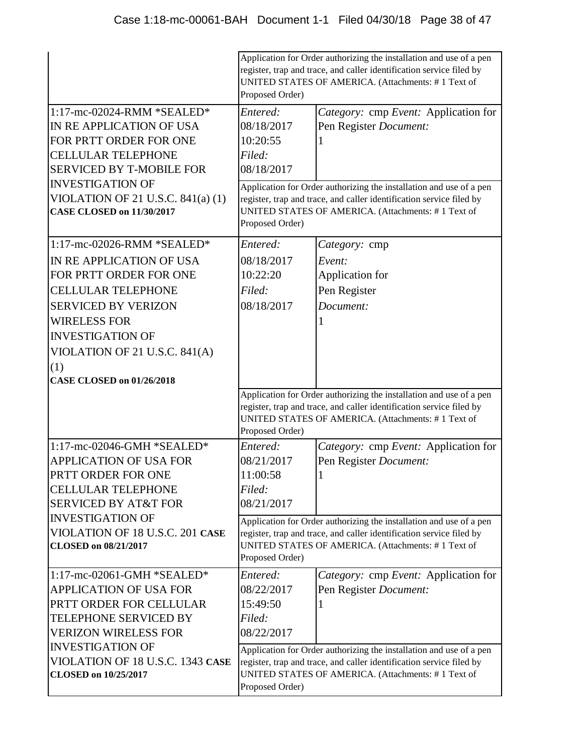|                                                                                                                                                                                                                                       | Application for Order authorizing the installation and use of a pen<br>register, trap and trace, and caller identification service filed by<br>UNITED STATES OF AMERICA. (Attachments: #1 Text of<br>Proposed Order) |                                                                                                                                                                                                   |
|---------------------------------------------------------------------------------------------------------------------------------------------------------------------------------------------------------------------------------------|----------------------------------------------------------------------------------------------------------------------------------------------------------------------------------------------------------------------|---------------------------------------------------------------------------------------------------------------------------------------------------------------------------------------------------|
| $1:17$ -mc-02024-RMM *SEALED*<br>IN RE APPLICATION OF USA<br>FOR PRTT ORDER FOR ONE<br><b>CELLULAR TELEPHONE</b><br><b>SERVICED BY T-MOBILE FOR</b>                                                                                   | Entered:<br>08/18/2017<br>10:20:55<br>Filed:<br>08/18/2017                                                                                                                                                           | Category: cmp Event: Application for<br>Pen Register Document:                                                                                                                                    |
| <b>INVESTIGATION OF</b><br>VIOLATION OF 21 U.S.C. $841(a) (1)$<br><b>CASE CLOSED on 11/30/2017</b>                                                                                                                                    | Proposed Order)                                                                                                                                                                                                      | Application for Order authorizing the installation and use of a pen<br>register, trap and trace, and caller identification service filed by<br>UNITED STATES OF AMERICA. (Attachments: #1 Text of |
| 1:17-mc-02026-RMM *SEALED*<br>IN RE APPLICATION OF USA<br>FOR PRTT ORDER FOR ONE<br><b>CELLULAR TELEPHONE</b><br><b>SERVICED BY VERIZON</b><br><b>WIRELESS FOR</b><br><b>INVESTIGATION OF</b><br>VIOLATION OF 21 U.S.C. 841(A)<br>(1) | Entered:<br>08/18/2017<br>10:22:20<br>Filed:<br>08/18/2017                                                                                                                                                           | Category: cmp<br>Event:<br>Application for<br>Pen Register<br>Document:                                                                                                                           |
| <b>CASE CLOSED on 01/26/2018</b>                                                                                                                                                                                                      | Proposed Order)                                                                                                                                                                                                      | Application for Order authorizing the installation and use of a pen<br>register, trap and trace, and caller identification service filed by<br>UNITED STATES OF AMERICA. (Attachments: #1 Text of |
| 1:17-mc-02046-GMH *SEALED*<br>APPLICATION OF USA FOR<br>PRTT ORDER FOR ONE<br><b>CELLULAR TELEPHONE</b><br><b>SERVICED BY AT&amp;T FOR</b>                                                                                            | Entered:<br>08/21/2017<br>11:00:58<br>Filed:<br>08/21/2017                                                                                                                                                           | Category: cmp Event: Application for<br>Pen Register Document:                                                                                                                                    |
| <b>INVESTIGATION OF</b><br>VIOLATION OF 18 U.S.C. 201 CASE<br><b>CLOSED</b> on 08/21/2017                                                                                                                                             | Proposed Order)                                                                                                                                                                                                      | Application for Order authorizing the installation and use of a pen<br>register, trap and trace, and caller identification service filed by<br>UNITED STATES OF AMERICA. (Attachments: #1 Text of |
| 1:17-mc-02061-GMH *SEALED*<br><b>APPLICATION OF USA FOR</b><br>PRTT ORDER FOR CELLULAR<br><b>TELEPHONE SERVICED BY</b><br><b>VERIZON WIRELESS FOR</b><br><b>INVESTIGATION OF</b>                                                      | Entered:<br>08/22/2017<br>15:49:50<br>Filed:<br>08/22/2017                                                                                                                                                           | Category: cmp Event: Application for<br>Pen Register Document:<br>Application for Order authorizing the installation and use of a pen                                                             |
| VIOLATION OF 18 U.S.C. 1343 CASE<br><b>CLOSED</b> on 10/25/2017                                                                                                                                                                       | Proposed Order)                                                                                                                                                                                                      | register, trap and trace, and caller identification service filed by<br>UNITED STATES OF AMERICA. (Attachments: #1 Text of                                                                        |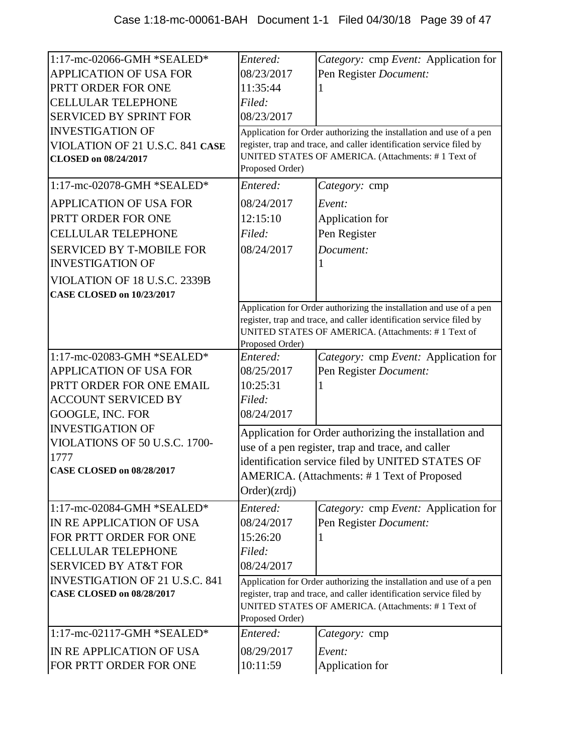| 1:17-mc-02066-GMH *SEALED*            | Entered:                                                                                                    | Category: cmp Event: Application for                                 |
|---------------------------------------|-------------------------------------------------------------------------------------------------------------|----------------------------------------------------------------------|
| <b>APPLICATION OF USA FOR</b>         | 08/23/2017                                                                                                  | Pen Register Document:                                               |
| PRTT ORDER FOR ONE                    | 11:35:44                                                                                                    |                                                                      |
| <b>CELLULAR TELEPHONE</b>             | Filed:                                                                                                      |                                                                      |
| <b>SERVICED BY SPRINT FOR</b>         | 08/23/2017                                                                                                  |                                                                      |
| <b>INVESTIGATION OF</b>               |                                                                                                             | Application for Order authorizing the installation and use of a pen  |
| VIOLATION OF 21 U.S.C. 841 CASE       | register, trap and trace, and caller identification service filed by                                        |                                                                      |
| <b>CLOSED on 08/24/2017</b>           | Proposed Order)                                                                                             | UNITED STATES OF AMERICA. (Attachments: #1 Text of                   |
|                                       |                                                                                                             |                                                                      |
| 1:17-mc-02078-GMH *SEALED*            | Entered:                                                                                                    | Category: cmp                                                        |
| <b>APPLICATION OF USA FOR</b>         | 08/24/2017                                                                                                  | Event:                                                               |
| PRTT ORDER FOR ONE                    | 12:15:10                                                                                                    | Application for                                                      |
| <b>CELLULAR TELEPHONE</b>             | Filed:                                                                                                      | Pen Register                                                         |
| <b>SERVICED BY T-MOBILE FOR</b>       | 08/24/2017                                                                                                  | Document:                                                            |
| <b>INVESTIGATION OF</b>               |                                                                                                             |                                                                      |
| VIOLATION OF 18 U.S.C. 2339B          |                                                                                                             |                                                                      |
| <b>CASE CLOSED on 10/23/2017</b>      |                                                                                                             |                                                                      |
|                                       |                                                                                                             | Application for Order authorizing the installation and use of a pen  |
|                                       |                                                                                                             | register, trap and trace, and caller identification service filed by |
|                                       | Proposed Order)                                                                                             | UNITED STATES OF AMERICA. (Attachments: #1 Text of                   |
| 1:17-mc-02083-GMH *SEALED*            | Entered:                                                                                                    | Category: cmp Event: Application for                                 |
| <b>APPLICATION OF USA FOR</b>         | 08/25/2017                                                                                                  | Pen Register Document:                                               |
| PRTT ORDER FOR ONE EMAIL              | 10:25:31                                                                                                    |                                                                      |
| <b>ACCOUNT SERVICED BY</b>            | Filed:                                                                                                      |                                                                      |
| GOOGLE, INC. FOR                      | 08/24/2017                                                                                                  |                                                                      |
| <b>INVESTIGATION OF</b>               |                                                                                                             |                                                                      |
| VIOLATIONS OF 50 U.S.C. 1700-         | Application for Order authorizing the installation and<br>use of a pen register, trap and trace, and caller |                                                                      |
| 1777                                  |                                                                                                             |                                                                      |
| <b>CASE CLOSED on 08/28/2017</b>      |                                                                                                             | identification service filed by UNITED STATES OF                     |
|                                       |                                                                                                             | AMERICA. (Attachments: #1 Text of Proposed                           |
|                                       | Order)(zrdj)                                                                                                |                                                                      |
| 1:17-mc-02084-GMH *SEALED*            | Entered:                                                                                                    | Category: cmp Event: Application for                                 |
| IN RE APPLICATION OF USA              | 08/24/2017                                                                                                  | Pen Register Document:                                               |
| FOR PRTT ORDER FOR ONE                | 15:26:20                                                                                                    |                                                                      |
| <b>CELLULAR TELEPHONE</b>             | Filed:                                                                                                      |                                                                      |
| <b>SERVICED BY AT&amp;T FOR</b>       | 08/24/2017                                                                                                  |                                                                      |
| <b>INVESTIGATION OF 21 U.S.C. 841</b> |                                                                                                             | Application for Order authorizing the installation and use of a pen  |
| <b>CASE CLOSED on 08/28/2017</b>      |                                                                                                             | register, trap and trace, and caller identification service filed by |
|                                       | Proposed Order)                                                                                             | UNITED STATES OF AMERICA. (Attachments: #1 Text of                   |
| 1:17-mc-02117-GMH *SEALED*            | Entered:                                                                                                    | Category: cmp                                                        |
| IN RE APPLICATION OF USA              | 08/29/2017                                                                                                  | Event:                                                               |
| FOR PRTT ORDER FOR ONE                | 10:11:59                                                                                                    | Application for                                                      |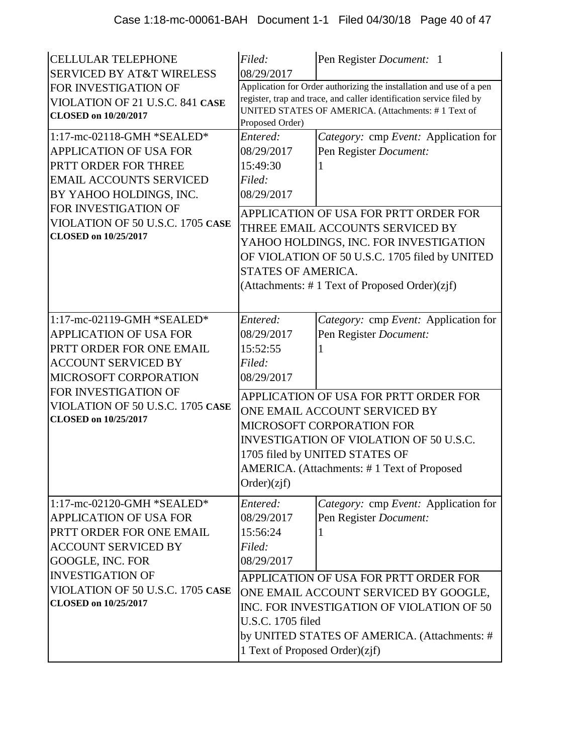| <b>CELLULAR TELEPHONE</b><br><b>SERVICED BY AT&amp;T WIRELESS</b>                                                                                                                                                                           | Filed:<br>08/29/2017                                                                                                                                                                                                                                 | Pen Register Document: 1                                                                                                                                                                                                                                                                 |  |
|---------------------------------------------------------------------------------------------------------------------------------------------------------------------------------------------------------------------------------------------|------------------------------------------------------------------------------------------------------------------------------------------------------------------------------------------------------------------------------------------------------|------------------------------------------------------------------------------------------------------------------------------------------------------------------------------------------------------------------------------------------------------------------------------------------|--|
| FOR INVESTIGATION OF<br>VIOLATION OF 21 U.S.C. 841 CASE<br><b>CLOSED</b> on 10/20/2017                                                                                                                                                      | Application for Order authorizing the installation and use of a pen<br>register, trap and trace, and caller identification service filed by<br>UNITED STATES OF AMERICA. (Attachments: #1 Text of<br>Proposed Order)                                 |                                                                                                                                                                                                                                                                                          |  |
| 1:17-mc-02118-GMH *SEALED*<br><b>APPLICATION OF USA FOR</b><br>PRTT ORDER FOR THREE<br><b>EMAIL ACCOUNTS SERVICED</b><br>BY YAHOO HOLDINGS, INC.<br>FOR INVESTIGATION OF<br>VIOLATION OF 50 U.S.C. 1705 CASE<br><b>CLOSED</b> on 10/25/2017 | Entered:<br>08/29/2017<br>15:49:30<br>Filed:<br>08/29/2017<br>STATES OF AMERICA.                                                                                                                                                                     | Category: cmp Event: Application for<br>Pen Register Document:<br>APPLICATION OF USA FOR PRTT ORDER FOR<br>THREE EMAIL ACCOUNTS SERVICED BY<br>YAHOO HOLDINGS, INC. FOR INVESTIGATION<br>OF VIOLATION OF 50 U.S.C. 1705 filed by UNITED<br>(Attachments: #1 Text of Proposed Order)(zjf) |  |
| 1:17-mc-02119-GMH *SEALED*<br><b>APPLICATION OF USA FOR</b><br>PRTT ORDER FOR ONE EMAIL<br><b>ACCOUNT SERVICED BY</b><br>MICROSOFT CORPORATION                                                                                              | Entered:<br>08/29/2017<br>15:52:55<br>Filed:<br>08/29/2017                                                                                                                                                                                           | Category: cmp Event: Application for<br>Pen Register Document:                                                                                                                                                                                                                           |  |
| FOR INVESTIGATION OF<br>VIOLATION OF 50 U.S.C. 1705 CASE<br><b>CLOSED</b> on 10/25/2017                                                                                                                                                     | APPLICATION OF USA FOR PRTT ORDER FOR<br>ONE EMAIL ACCOUNT SERVICED BY<br><b>MICROSOFT CORPORATION FOR</b><br>INVESTIGATION OF VIOLATION OF 50 U.S.C.<br>1705 filed by UNITED STATES OF<br>AMERICA. (Attachments: #1 Text of Proposed<br>Order)(zif) |                                                                                                                                                                                                                                                                                          |  |
| 1:17-mc-02120-GMH *SEALED*<br><b>APPLICATION OF USA FOR</b><br>PRTT ORDER FOR ONE EMAIL<br><b>ACCOUNT SERVICED BY</b><br>GOOGLE, INC. FOR                                                                                                   | Entered:<br>08/29/2017<br>15:56:24<br>Filed:<br>08/29/2017                                                                                                                                                                                           | Category: cmp Event: Application for<br>Pen Register Document:                                                                                                                                                                                                                           |  |
| <b>INVESTIGATION OF</b><br>VIOLATION OF 50 U.S.C. 1705 CASE<br><b>CLOSED</b> on 10/25/2017                                                                                                                                                  | APPLICATION OF USA FOR PRTT ORDER FOR<br>ONE EMAIL ACCOUNT SERVICED BY GOOGLE,<br>INC. FOR INVESTIGATION OF VIOLATION OF 50<br>U.S.C. 1705 filed<br>by UNITED STATES OF AMERICA. (Attachments: #<br>1 Text of Proposed Order)(zjf)                   |                                                                                                                                                                                                                                                                                          |  |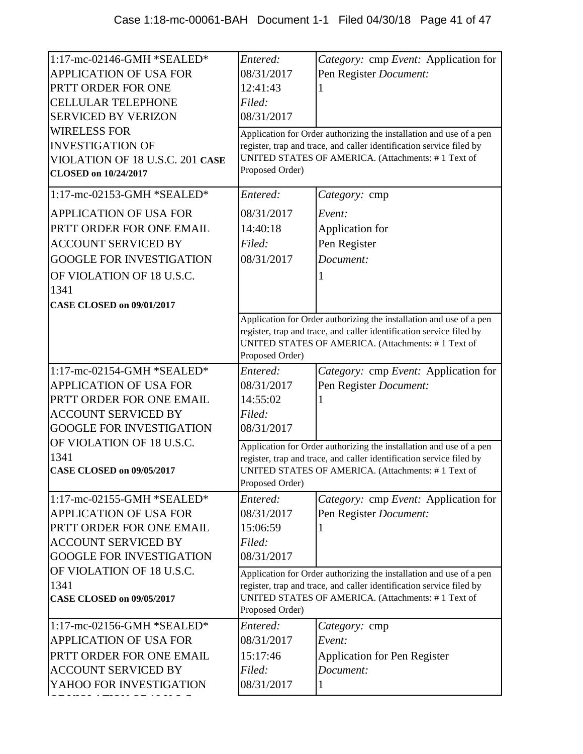| 1:17-mc-02146-GMH *SEALED*<br>APPLICATION OF USA FOR<br>PRTT ORDER FOR ONE<br><b>CELLULAR TELEPHONE</b><br><b>SERVICED BY VERIZON</b><br><b>WIRELESS FOR</b><br><b>INVESTIGATION OF</b><br>VIOLATION OF 18 U.S.C. 201 CASE<br><b>CLOSED on 10/24/2017</b> | Entered:<br>08/31/2017<br>12:41:43<br>Filed:<br>08/31/2017<br>Proposed Order)                                                                                                                                        | Category: cmp Event: Application for<br>Pen Register Document:<br>Application for Order authorizing the installation and use of a pen<br>register, trap and trace, and caller identification service filed by<br>UNITED STATES OF AMERICA. (Attachments: #1 Text of |
|-----------------------------------------------------------------------------------------------------------------------------------------------------------------------------------------------------------------------------------------------------------|----------------------------------------------------------------------------------------------------------------------------------------------------------------------------------------------------------------------|---------------------------------------------------------------------------------------------------------------------------------------------------------------------------------------------------------------------------------------------------------------------|
| 1:17-mc-02153-GMH *SEALED*                                                                                                                                                                                                                                | Entered:                                                                                                                                                                                                             | Category: cmp                                                                                                                                                                                                                                                       |
| <b>APPLICATION OF USA FOR</b><br>PRTT ORDER FOR ONE EMAIL<br><b>ACCOUNT SERVICED BY</b><br><b>GOOGLE FOR INVESTIGATION</b><br>OF VIOLATION OF 18 U.S.C.<br>1341                                                                                           | 08/31/2017<br>14:40:18<br>Filed:<br>08/31/2017                                                                                                                                                                       | Event:<br>Application for<br>Pen Register<br>Document:                                                                                                                                                                                                              |
| <b>CASE CLOSED on 09/01/2017</b>                                                                                                                                                                                                                          |                                                                                                                                                                                                                      |                                                                                                                                                                                                                                                                     |
|                                                                                                                                                                                                                                                           | Proposed Order)                                                                                                                                                                                                      | Application for Order authorizing the installation and use of a pen<br>register, trap and trace, and caller identification service filed by<br>UNITED STATES OF AMERICA. (Attachments: #1 Text of                                                                   |
| 1:17-mc-02154-GMH *SEALED*                                                                                                                                                                                                                                | Entered:                                                                                                                                                                                                             | Category: cmp Event: Application for                                                                                                                                                                                                                                |
| <b>APPLICATION OF USA FOR</b>                                                                                                                                                                                                                             | 08/31/2017                                                                                                                                                                                                           | Pen Register Document:                                                                                                                                                                                                                                              |
| PRTT ORDER FOR ONE EMAIL                                                                                                                                                                                                                                  | 14:55:02                                                                                                                                                                                                             |                                                                                                                                                                                                                                                                     |
| <b>ACCOUNT SERVICED BY</b>                                                                                                                                                                                                                                | Filed:                                                                                                                                                                                                               |                                                                                                                                                                                                                                                                     |
| <b>GOOGLE FOR INVESTIGATION</b>                                                                                                                                                                                                                           | 08/31/2017                                                                                                                                                                                                           |                                                                                                                                                                                                                                                                     |
| OF VIOLATION OF 18 U.S.C.<br>1341                                                                                                                                                                                                                         |                                                                                                                                                                                                                      | Application for Order authorizing the installation and use of a pen                                                                                                                                                                                                 |
| <b>CASE CLOSED on 09/05/2017</b>                                                                                                                                                                                                                          | Proposed Order)                                                                                                                                                                                                      | register, trap and trace, and caller identification service filed by<br>UNITED STATES OF AMERICA. (Attachments: #1 Text of                                                                                                                                          |
| 1:17-mc-02155-GMH *SEALED*                                                                                                                                                                                                                                | Entered:                                                                                                                                                                                                             | Category: cmp Event: Application for                                                                                                                                                                                                                                |
| <b>APPLICATION OF USA FOR</b>                                                                                                                                                                                                                             | 08/31/2017                                                                                                                                                                                                           | Pen Register Document:                                                                                                                                                                                                                                              |
| PRTT ORDER FOR ONE EMAIL                                                                                                                                                                                                                                  | 15:06:59                                                                                                                                                                                                             |                                                                                                                                                                                                                                                                     |
| <b>ACCOUNT SERVICED BY</b>                                                                                                                                                                                                                                | Filed:                                                                                                                                                                                                               |                                                                                                                                                                                                                                                                     |
| <b>GOOGLE FOR INVESTIGATION</b>                                                                                                                                                                                                                           | 08/31/2017                                                                                                                                                                                                           |                                                                                                                                                                                                                                                                     |
| OF VIOLATION OF 18 U.S.C.<br>1341<br><b>CASE CLOSED on 09/05/2017</b>                                                                                                                                                                                     | Application for Order authorizing the installation and use of a pen<br>register, trap and trace, and caller identification service filed by<br>UNITED STATES OF AMERICA. (Attachments: #1 Text of<br>Proposed Order) |                                                                                                                                                                                                                                                                     |
| 1:17-mc-02156-GMH *SEALED*                                                                                                                                                                                                                                | Entered:                                                                                                                                                                                                             | Category: cmp                                                                                                                                                                                                                                                       |
| <b>APPLICATION OF USA FOR</b>                                                                                                                                                                                                                             | 08/31/2017                                                                                                                                                                                                           | Event:                                                                                                                                                                                                                                                              |
| PRTT ORDER FOR ONE EMAIL                                                                                                                                                                                                                                  | 15:17:46                                                                                                                                                                                                             | <b>Application for Pen Register</b>                                                                                                                                                                                                                                 |
| <b>ACCOUNT SERVICED BY</b>                                                                                                                                                                                                                                | Filed:                                                                                                                                                                                                               | Document:                                                                                                                                                                                                                                                           |
| YAHOO FOR INVESTIGATION                                                                                                                                                                                                                                   | 08/31/2017                                                                                                                                                                                                           | 1                                                                                                                                                                                                                                                                   |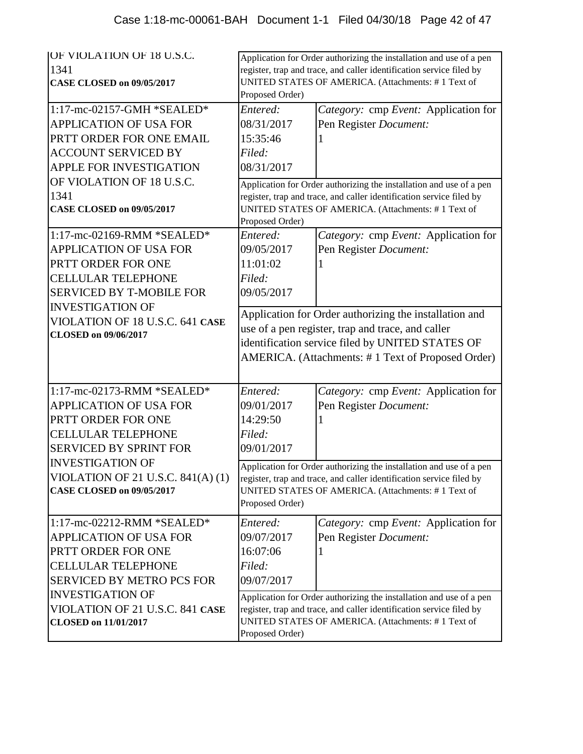| <b>JOF VIOLATION OF 18 U.S.C.</b><br>1341<br><b>CASE CLOSED on 09/05/2017</b><br>1:17-mc-02157-GMH *SEALED*                                                                  | Application for Order authorizing the installation and use of a pen<br>register, trap and trace, and caller identification service filed by<br>UNITED STATES OF AMERICA. (Attachments: #1 Text of<br>Proposed Order)<br>Entered:<br>Category: cmp Event: Application for |                                                                                                                                                                                                   |
|------------------------------------------------------------------------------------------------------------------------------------------------------------------------------|--------------------------------------------------------------------------------------------------------------------------------------------------------------------------------------------------------------------------------------------------------------------------|---------------------------------------------------------------------------------------------------------------------------------------------------------------------------------------------------|
| <b>APPLICATION OF USA FOR</b><br>PRTT ORDER FOR ONE EMAIL<br><b>ACCOUNT SERVICED BY</b><br>APPLE FOR INVESTIGATION                                                           | 08/31/2017<br>15:35:46<br>Filed:<br>08/31/2017                                                                                                                                                                                                                           | Pen Register Document:                                                                                                                                                                            |
| OF VIOLATION OF 18 U.S.C.<br>1341<br><b>CASE CLOSED on 09/05/2017</b>                                                                                                        | Proposed Order)                                                                                                                                                                                                                                                          | Application for Order authorizing the installation and use of a pen<br>register, trap and trace, and caller identification service filed by<br>UNITED STATES OF AMERICA. (Attachments: #1 Text of |
| 1:17-mc-02169-RMM *SEALED*<br><b>APPLICATION OF USA FOR</b><br>PRTT ORDER FOR ONE<br><b>CELLULAR TELEPHONE</b><br><b>SERVICED BY T-MOBILE FOR</b><br><b>INVESTIGATION OF</b> | Entered:<br>09/05/2017<br>11:01:02<br>Filed:<br>09/05/2017                                                                                                                                                                                                               | Category: cmp Event: Application for<br>Pen Register Document:                                                                                                                                    |
| VIOLATION OF 18 U.S.C. 641 CASE<br><b>CLOSED</b> on 09/06/2017                                                                                                               | Application for Order authorizing the installation and<br>use of a pen register, trap and trace, and caller<br>identification service filed by UNITED STATES OF<br>AMERICA. (Attachments: #1 Text of Proposed Order)                                                     |                                                                                                                                                                                                   |
| 1:17-mc-02173-RMM *SEALED*<br>APPLICATION OF USA FOR<br>PRTT ORDER FOR ONE<br><b>CELLULAR TELEPHONE</b><br><b>SERVICED BY SPRINT FOR</b>                                     | Entered:<br>09/01/2017<br>14:29:50<br>Filed:<br>09/01/2017                                                                                                                                                                                                               | Category: cmp Event: Application for<br>Pen Register Document:                                                                                                                                    |
| <b>INVESTIGATION OF</b><br>VIOLATION OF 21 U.S.C. 841(A) (1)<br><b>CASE CLOSED on 09/05/2017</b>                                                                             | Application for Order authorizing the installation and use of a pen<br>register, trap and trace, and caller identification service filed by<br>UNITED STATES OF AMERICA. (Attachments: #1 Text of<br>Proposed Order)                                                     |                                                                                                                                                                                                   |
| $1:17$ -mc-02212-RMM *SEALED*<br><b>APPLICATION OF USA FOR</b><br>PRTT ORDER FOR ONE<br><b>CELLULAR TELEPHONE</b><br><b>SERVICED BY METRO PCS FOR</b>                        | Entered:<br>09/07/2017<br>16:07:06<br>Filed:<br>09/07/2017                                                                                                                                                                                                               | <i>Category:</i> cmp <i>Event:</i> Application for<br>Pen Register Document:                                                                                                                      |
| <b>INVESTIGATION OF</b><br>VIOLATION OF 21 U.S.C. 841 CASE<br><b>CLOSED on 11/01/2017</b>                                                                                    | Application for Order authorizing the installation and use of a pen<br>register, trap and trace, and caller identification service filed by<br>UNITED STATES OF AMERICA. (Attachments: #1 Text of<br>Proposed Order)                                                     |                                                                                                                                                                                                   |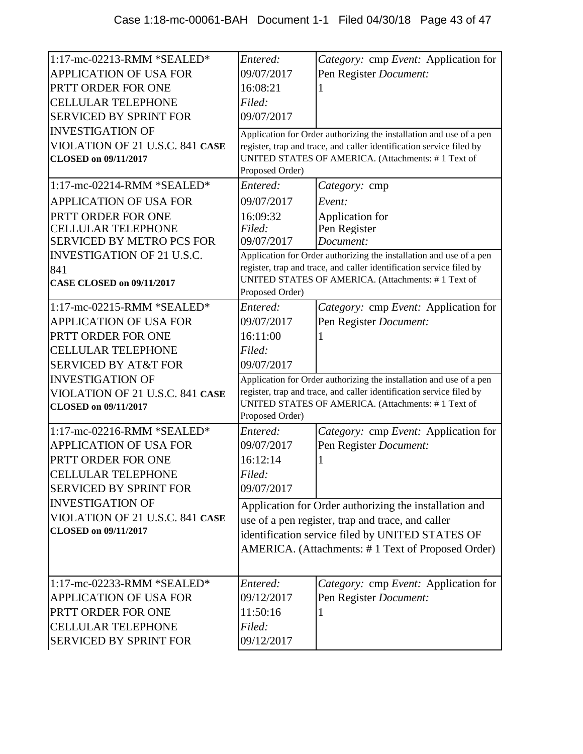| 1:17-mc-02213-RMM *SEALED*        | Entered:        | Category: cmp Event: Application for                                                                                       |
|-----------------------------------|-----------------|----------------------------------------------------------------------------------------------------------------------------|
| APPLICATION OF USA FOR            | 09/07/2017      | Pen Register Document:                                                                                                     |
| PRTT ORDER FOR ONE                | 16:08:21        |                                                                                                                            |
| <b>CELLULAR TELEPHONE</b>         | Filed:          |                                                                                                                            |
| <b>SERVICED BY SPRINT FOR</b>     | 09/07/2017      |                                                                                                                            |
| <b>INVESTIGATION OF</b>           |                 | Application for Order authorizing the installation and use of a pen                                                        |
| VIOLATION OF 21 U.S.C. 841 CASE   |                 | register, trap and trace, and caller identification service filed by                                                       |
| <b>CLOSED on 09/11/2017</b>       |                 | UNITED STATES OF AMERICA. (Attachments: #1 Text of                                                                         |
|                                   | Proposed Order) |                                                                                                                            |
| 1:17-mc-02214-RMM *SEALED*        | Entered:        | <i>Category:</i> cmp                                                                                                       |
| <b>APPLICATION OF USA FOR</b>     | 09/07/2017      | Event:                                                                                                                     |
| PRTT ORDER FOR ONE                | 16:09:32        | Application for                                                                                                            |
| <b>CELLULAR TELEPHONE</b>         | Filed:          | Pen Register                                                                                                               |
| <b>SERVICED BY METRO PCS FOR</b>  | 09/07/2017      | Document:                                                                                                                  |
| <b>INVESTIGATION OF 21 U.S.C.</b> |                 | Application for Order authorizing the installation and use of a pen                                                        |
| 841                               |                 | register, trap and trace, and caller identification service filed by<br>UNITED STATES OF AMERICA. (Attachments: #1 Text of |
| <b>CASE CLOSED on 09/11/2017</b>  | Proposed Order) |                                                                                                                            |
| $1:17$ -mc-02215-RMM *SEALED*     | Entered:        | Category: cmp Event: Application for                                                                                       |
| <b>APPLICATION OF USA FOR</b>     | 09/07/2017      | Pen Register Document:                                                                                                     |
| PRTT ORDER FOR ONE                | 16:11:00        |                                                                                                                            |
| <b>CELLULAR TELEPHONE</b>         | Filed:          |                                                                                                                            |
| <b>SERVICED BY AT&amp;T FOR</b>   | 09/07/2017      |                                                                                                                            |
| <b>INVESTIGATION OF</b>           |                 | Application for Order authorizing the installation and use of a pen                                                        |
| VIOLATION OF 21 U.S.C. 841 CASE   |                 | register, trap and trace, and caller identification service filed by                                                       |
| <b>CLOSED</b> on 09/11/2017       | Proposed Order) | UNITED STATES OF AMERICA. (Attachments: #1 Text of                                                                         |
| 1:17-mc-02216-RMM *SEALED*        | Entered:        | Category: cmp Event: Application for                                                                                       |
| <b>APPLICATION OF USA FOR</b>     | 09/07/2017      | Pen Register Document:                                                                                                     |
| PRTT ORDER FOR ONE                | 16:12:14        |                                                                                                                            |
| <b>CELLULAR TELEPHONE</b>         | Filed:          |                                                                                                                            |
| <b>SERVICED BY SPRINT FOR</b>     | 09/07/2017      |                                                                                                                            |
| <b>INVESTIGATION OF</b>           |                 |                                                                                                                            |
| VIOLATION OF 21 U.S.C. 841 CASE   |                 | Application for Order authorizing the installation and                                                                     |
|                                   |                 |                                                                                                                            |
|                                   |                 | use of a pen register, trap and trace, and caller                                                                          |
| <b>CLOSED</b> on 09/11/2017       |                 | identification service filed by UNITED STATES OF                                                                           |
|                                   |                 | AMERICA. (Attachments: #1 Text of Proposed Order)                                                                          |
|                                   |                 |                                                                                                                            |
| 1:17-mc-02233-RMM *SEALED*        | Entered:        | Category: cmp Event: Application for                                                                                       |
| <b>APPLICATION OF USA FOR</b>     | 09/12/2017      | Pen Register Document:                                                                                                     |
| PRTT ORDER FOR ONE                | 11:50:16        |                                                                                                                            |
| <b>CELLULAR TELEPHONE</b>         | Filed:          |                                                                                                                            |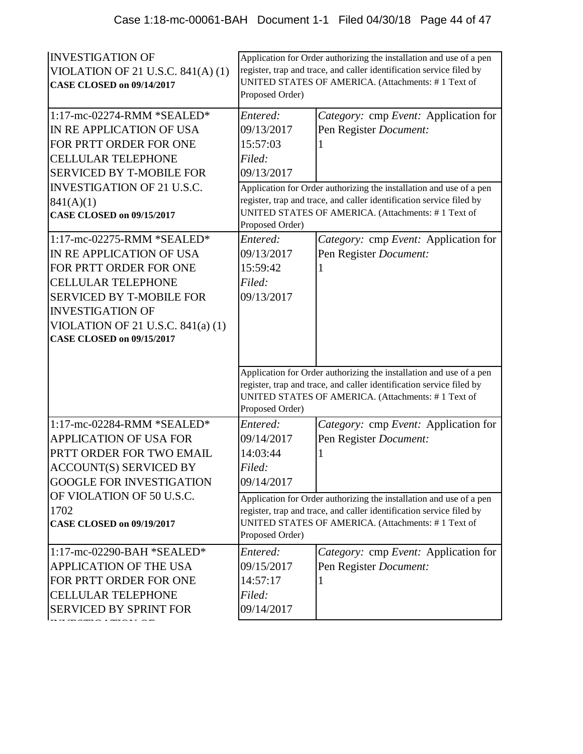| <b>INVESTIGATION OF</b><br>VIOLATION OF 21 U.S.C. $841(A)(1)$<br><b>CASE CLOSED on 09/14/2017</b><br>1:17-mc-02274-RMM *SEALED*                                                                                                                       | Proposed Order)<br>Entered:                                | Application for Order authorizing the installation and use of a pen<br>register, trap and trace, and caller identification service filed by<br>UNITED STATES OF AMERICA. (Attachments: #1 Text of<br>Category: cmp Event: Application for |
|-------------------------------------------------------------------------------------------------------------------------------------------------------------------------------------------------------------------------------------------------------|------------------------------------------------------------|-------------------------------------------------------------------------------------------------------------------------------------------------------------------------------------------------------------------------------------------|
| IN RE APPLICATION OF USA                                                                                                                                                                                                                              | 09/13/2017                                                 | Pen Register Document:                                                                                                                                                                                                                    |
| FOR PRTT ORDER FOR ONE                                                                                                                                                                                                                                | 15:57:03                                                   |                                                                                                                                                                                                                                           |
| <b>CELLULAR TELEPHONE</b>                                                                                                                                                                                                                             | Filed:                                                     |                                                                                                                                                                                                                                           |
| <b>SERVICED BY T-MOBILE FOR</b>                                                                                                                                                                                                                       | 09/13/2017                                                 |                                                                                                                                                                                                                                           |
| <b>INVESTIGATION OF 21 U.S.C.</b>                                                                                                                                                                                                                     |                                                            | Application for Order authorizing the installation and use of a pen                                                                                                                                                                       |
| 841(A)(1)                                                                                                                                                                                                                                             |                                                            | register, trap and trace, and caller identification service filed by                                                                                                                                                                      |
| <b>CASE CLOSED on 09/15/2017</b>                                                                                                                                                                                                                      | Proposed Order)                                            | UNITED STATES OF AMERICA. (Attachments: #1 Text of                                                                                                                                                                                        |
| 1:17-mc-02275-RMM *SEALED*<br>IN RE APPLICATION OF USA<br>FOR PRTT ORDER FOR ONE<br><b>CELLULAR TELEPHONE</b><br><b>SERVICED BY T-MOBILE FOR</b><br><b>INVESTIGATION OF</b><br>VIOLATION OF 21 U.S.C. $841(a)(1)$<br><b>CASE CLOSED on 09/15/2017</b> | Entered:<br>09/13/2017<br>15:59:42<br>Filed:<br>09/13/2017 | Category: cmp Event: Application for<br>Pen Register Document:                                                                                                                                                                            |
|                                                                                                                                                                                                                                                       | Proposed Order)                                            | Application for Order authorizing the installation and use of a pen<br>register, trap and trace, and caller identification service filed by<br>UNITED STATES OF AMERICA. (Attachments: #1 Text of                                         |
| 1:17-mc-02284-RMM *SEALED*                                                                                                                                                                                                                            | Entered:                                                   | Category: cmp Event: Application for                                                                                                                                                                                                      |
| APPLICATION OF USA FOR                                                                                                                                                                                                                                | 09/14/2017                                                 | Pen Register Document:                                                                                                                                                                                                                    |
| PRTT ORDER FOR TWO EMAIL                                                                                                                                                                                                                              | 14:03:44                                                   |                                                                                                                                                                                                                                           |
| <b>ACCOUNT(S) SERVICED BY</b>                                                                                                                                                                                                                         | Filed:                                                     |                                                                                                                                                                                                                                           |
| <b>GOOGLE FOR INVESTIGATION</b>                                                                                                                                                                                                                       | 09/14/2017                                                 |                                                                                                                                                                                                                                           |
| OF VIOLATION OF 50 U.S.C.                                                                                                                                                                                                                             |                                                            | Application for Order authorizing the installation and use of a pen                                                                                                                                                                       |
| 1702<br><b>CASE CLOSED on 09/19/2017</b>                                                                                                                                                                                                              |                                                            | register, trap and trace, and caller identification service filed by<br>UNITED STATES OF AMERICA. (Attachments: #1 Text of                                                                                                                |
|                                                                                                                                                                                                                                                       | Proposed Order)                                            |                                                                                                                                                                                                                                           |
| 1:17-mc-02290-BAH *SEALED*                                                                                                                                                                                                                            | Entered:                                                   | Category: cmp Event: Application for                                                                                                                                                                                                      |
| APPLICATION OF THE USA                                                                                                                                                                                                                                | 09/15/2017                                                 | Pen Register Document:                                                                                                                                                                                                                    |
| FOR PRTT ORDER FOR ONE                                                                                                                                                                                                                                | 14:57:17                                                   |                                                                                                                                                                                                                                           |
| <b>CELLULAR TELEPHONE</b>                                                                                                                                                                                                                             | Filed:                                                     |                                                                                                                                                                                                                                           |
| <b>SERVICED BY SPRINT FOR</b>                                                                                                                                                                                                                         | 09/14/2017                                                 |                                                                                                                                                                                                                                           |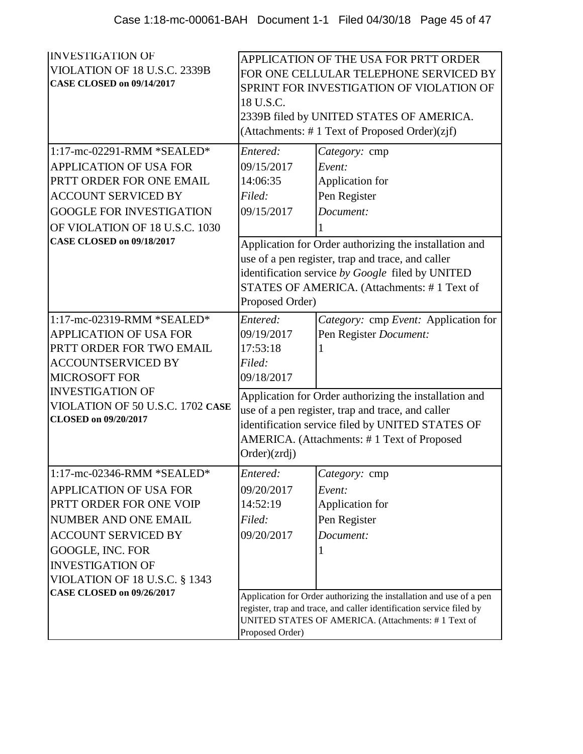| <b>INVESTIGATION OF</b><br>VIOLATION OF 18 U.S.C. 2339B<br>CASE CLOSED on 09/14/2017<br>1:17-mc-02291-RMM *SEALED* | APPLICATION OF THE USA FOR PRTT ORDER<br>FOR ONE CELLULAR TELEPHONE SERVICED BY<br>SPRINT FOR INVESTIGATION OF VIOLATION OF<br>18 U.S.C.<br>2339B filed by UNITED STATES OF AMERICA.<br>(Attachments: #1 Text of Proposed Order)(zjf)<br>Entered:<br>Category: cmp |                                                                                                                                                                                                                |
|--------------------------------------------------------------------------------------------------------------------|--------------------------------------------------------------------------------------------------------------------------------------------------------------------------------------------------------------------------------------------------------------------|----------------------------------------------------------------------------------------------------------------------------------------------------------------------------------------------------------------|
| <b>APPLICATION OF USA FOR</b>                                                                                      | 09/15/2017                                                                                                                                                                                                                                                         | Event:                                                                                                                                                                                                         |
| PRTT ORDER FOR ONE EMAIL                                                                                           | 14:06:35                                                                                                                                                                                                                                                           | Application for                                                                                                                                                                                                |
| <b>ACCOUNT SERVICED BY</b>                                                                                         | Filed:                                                                                                                                                                                                                                                             | Pen Register                                                                                                                                                                                                   |
| <b>GOOGLE FOR INVESTIGATION</b>                                                                                    | 09/15/2017                                                                                                                                                                                                                                                         | Document:                                                                                                                                                                                                      |
| OF VIOLATION OF 18 U.S.C. 1030                                                                                     |                                                                                                                                                                                                                                                                    |                                                                                                                                                                                                                |
| <b>CASE CLOSED on 09/18/2017</b>                                                                                   | Proposed Order)                                                                                                                                                                                                                                                    | Application for Order authorizing the installation and<br>use of a pen register, trap and trace, and caller<br>identification service by Google filed by UNITED<br>STATES OF AMERICA. (Attachments: #1 Text of |
| 1:17-mc-02319-RMM *SEALED*                                                                                         | Entered:                                                                                                                                                                                                                                                           | Category: cmp Event: Application for                                                                                                                                                                           |
| <b>APPLICATION OF USA FOR</b>                                                                                      | 09/19/2017<br>17:53:18                                                                                                                                                                                                                                             | Pen Register Document:                                                                                                                                                                                         |
| PRTT ORDER FOR TWO EMAIL<br><b>ACCOUNTSERVICED BY</b>                                                              | Filed:                                                                                                                                                                                                                                                             |                                                                                                                                                                                                                |
| <b>MICROSOFT FOR</b>                                                                                               | 09/18/2017                                                                                                                                                                                                                                                         |                                                                                                                                                                                                                |
| <b>INVESTIGATION OF</b><br>VIOLATION OF 50 U.S.C. 1702 CASE<br><b>CLOSED</b> on 09/20/2017                         | Application for Order authorizing the installation and<br>use of a pen register, trap and trace, and caller<br>identification service filed by UNITED STATES OF<br>AMERICA. (Attachments: #1 Text of Proposed<br>Order)(zrdj)                                      |                                                                                                                                                                                                                |
| 1:17-mc-02346-RMM *SEALED*                                                                                         | Entered:                                                                                                                                                                                                                                                           | Category: cmp                                                                                                                                                                                                  |
| <b>APPLICATION OF USA FOR</b>                                                                                      | 09/20/2017                                                                                                                                                                                                                                                         | Event:                                                                                                                                                                                                         |
| PRTT ORDER FOR ONE VOIP                                                                                            | 14:52:19                                                                                                                                                                                                                                                           | Application for                                                                                                                                                                                                |
| <b>NUMBER AND ONE EMAIL</b>                                                                                        | Filed:                                                                                                                                                                                                                                                             | Pen Register                                                                                                                                                                                                   |
| <b>ACCOUNT SERVICED BY</b>                                                                                         | 09/20/2017                                                                                                                                                                                                                                                         | Document:                                                                                                                                                                                                      |
| GOOGLE, INC. FOR                                                                                                   |                                                                                                                                                                                                                                                                    |                                                                                                                                                                                                                |
| <b>INVESTIGATION OF</b><br><b>VIOLATION OF 18 U.S.C. § 1343</b>                                                    |                                                                                                                                                                                                                                                                    |                                                                                                                                                                                                                |
| <b>CASE CLOSED on 09/26/2017</b>                                                                                   |                                                                                                                                                                                                                                                                    |                                                                                                                                                                                                                |
|                                                                                                                    | Application for Order authorizing the installation and use of a pen<br>register, trap and trace, and caller identification service filed by<br>UNITED STATES OF AMERICA. (Attachments: #1 Text of<br>Proposed Order)                                               |                                                                                                                                                                                                                |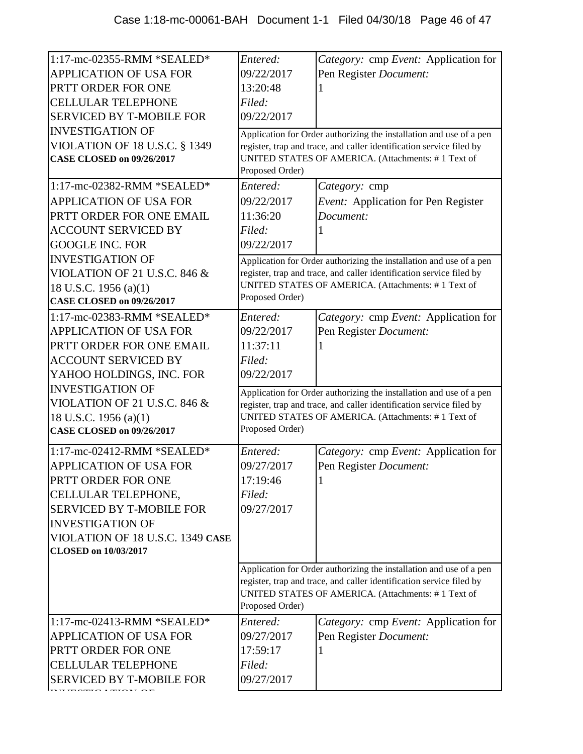| 1:17-mc-02355-RMM *SEALED*<br><b>APPLICATION OF USA FOR</b><br>PRTT ORDER FOR ONE<br><b>CELLULAR TELEPHONE</b><br><b>SERVICED BY T-MOBILE FOR</b><br><b>INVESTIGATION OF</b><br><b>VIOLATION OF 18 U.S.C. § 1349</b> | Entered:<br>09/22/2017<br>13:20:48<br>Filed:<br>09/22/2017 | Category: cmp Event: Application for<br>Pen Register Document:<br>Application for Order authorizing the installation and use of a pen<br>register, trap and trace, and caller identification service filed by |
|----------------------------------------------------------------------------------------------------------------------------------------------------------------------------------------------------------------------|------------------------------------------------------------|---------------------------------------------------------------------------------------------------------------------------------------------------------------------------------------------------------------|
| <b>CASE CLOSED on 09/26/2017</b>                                                                                                                                                                                     | Proposed Order)                                            | UNITED STATES OF AMERICA. (Attachments: #1 Text of                                                                                                                                                            |
| $1:17$ -mc-02382-RMM *SEALED*                                                                                                                                                                                        | Entered:                                                   | Category: cmp                                                                                                                                                                                                 |
| <b>APPLICATION OF USA FOR</b>                                                                                                                                                                                        | 09/22/2017                                                 | Event: Application for Pen Register                                                                                                                                                                           |
| PRTT ORDER FOR ONE EMAIL                                                                                                                                                                                             | 11:36:20                                                   | Document:                                                                                                                                                                                                     |
| <b>ACCOUNT SERVICED BY</b>                                                                                                                                                                                           | Filed:                                                     |                                                                                                                                                                                                               |
| <b>GOOGLE INC. FOR</b>                                                                                                                                                                                               | 09/22/2017                                                 |                                                                                                                                                                                                               |
| <b>INVESTIGATION OF</b>                                                                                                                                                                                              |                                                            | Application for Order authorizing the installation and use of a pen                                                                                                                                           |
| <b>VIOLATION OF 21 U.S.C. 846 &amp;</b>                                                                                                                                                                              |                                                            | register, trap and trace, and caller identification service filed by                                                                                                                                          |
| 18 U.S.C. 1956 (a)(1)                                                                                                                                                                                                | Proposed Order)                                            | UNITED STATES OF AMERICA. (Attachments: #1 Text of                                                                                                                                                            |
| <b>CASE CLOSED on 09/26/2017</b>                                                                                                                                                                                     |                                                            |                                                                                                                                                                                                               |
| $1:17$ -mc-02383-RMM *SEALED*                                                                                                                                                                                        | Entered:                                                   | Category: cmp Event: Application for                                                                                                                                                                          |
| <b>APPLICATION OF USA FOR</b>                                                                                                                                                                                        | 09/22/2017                                                 | Pen Register Document:                                                                                                                                                                                        |
| PRTT ORDER FOR ONE EMAIL                                                                                                                                                                                             | 11:37:11                                                   |                                                                                                                                                                                                               |
| <b>ACCOUNT SERVICED BY</b>                                                                                                                                                                                           | Filed:                                                     |                                                                                                                                                                                                               |
| YAHOO HOLDINGS, INC. FOR                                                                                                                                                                                             | 09/22/2017                                                 |                                                                                                                                                                                                               |
| <b>INVESTIGATION OF</b>                                                                                                                                                                                              |                                                            | Application for Order authorizing the installation and use of a pen                                                                                                                                           |
| <b>VIOLATION OF 21 U.S.C. 846 &amp;</b>                                                                                                                                                                              |                                                            | register, trap and trace, and caller identification service filed by<br>UNITED STATES OF AMERICA. (Attachments: #1 Text of                                                                                    |
| 18 U.S.C. 1956 (a)(1)<br><b>CASE CLOSED on 09/26/2017</b>                                                                                                                                                            | Proposed Order)                                            |                                                                                                                                                                                                               |
|                                                                                                                                                                                                                      |                                                            |                                                                                                                                                                                                               |
| 1:17-mc-02412-RMM *SEALED*                                                                                                                                                                                           | Entered:                                                   | Category: cmp Event: Application for                                                                                                                                                                          |
| <b>APPLICATION OF USA FOR</b>                                                                                                                                                                                        | 09/27/2017                                                 | Pen Register Document:                                                                                                                                                                                        |
| PRTT ORDER FOR ONE                                                                                                                                                                                                   | 17:19:46                                                   |                                                                                                                                                                                                               |
| CELLULAR TELEPHONE,                                                                                                                                                                                                  | Filed:                                                     |                                                                                                                                                                                                               |
| <b>SERVICED BY T-MOBILE FOR</b>                                                                                                                                                                                      | 09/27/2017                                                 |                                                                                                                                                                                                               |
| <b>INVESTIGATION OF</b>                                                                                                                                                                                              |                                                            |                                                                                                                                                                                                               |
| VIOLATION OF 18 U.S.C. 1349 CASE                                                                                                                                                                                     |                                                            |                                                                                                                                                                                                               |
| <b>CLOSED on 10/03/2017</b>                                                                                                                                                                                          |                                                            |                                                                                                                                                                                                               |
|                                                                                                                                                                                                                      | Proposed Order)                                            | Application for Order authorizing the installation and use of a pen<br>register, trap and trace, and caller identification service filed by<br>UNITED STATES OF AMERICA. (Attachments: #1 Text of             |
| 1:17-mc-02413-RMM *SEALED*                                                                                                                                                                                           | Entered:                                                   | Category: cmp Event: Application for                                                                                                                                                                          |
| APPLICATION OF USA FOR                                                                                                                                                                                               | 09/27/2017                                                 | Pen Register Document:                                                                                                                                                                                        |
| PRTT ORDER FOR ONE                                                                                                                                                                                                   | 17:59:17                                                   |                                                                                                                                                                                                               |
| <b>CELLULAR TELEPHONE</b>                                                                                                                                                                                            | Filed:                                                     |                                                                                                                                                                                                               |
| SERVICED BY T-MOBILE FOR                                                                                                                                                                                             | 09/27/2017                                                 |                                                                                                                                                                                                               |
|                                                                                                                                                                                                                      |                                                            |                                                                                                                                                                                                               |